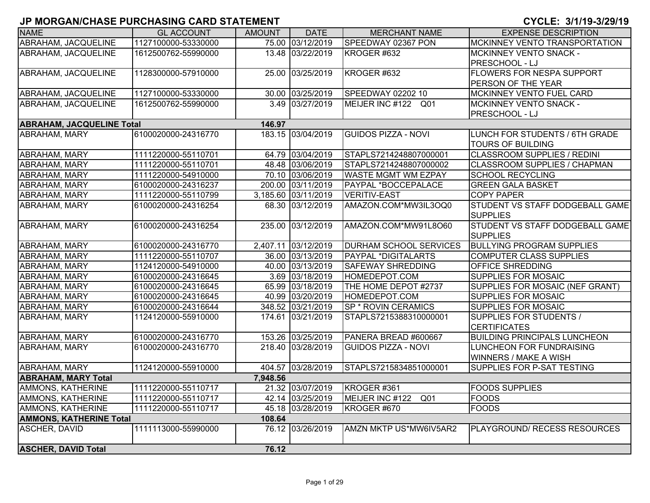| <b>NAME</b>                      | <b>GL ACCOUNT</b>   | <b>AMOUNT</b> | <b>DATE</b>         | <b>MERCHANT NAME</b>               | <b>EXPENSE DESCRIPTION</b>             |
|----------------------------------|---------------------|---------------|---------------------|------------------------------------|----------------------------------------|
| ABRAHAM, JACQUELINE              | 1127100000-53330000 |               | 75.00 03/12/2019    | SPEEDWAY 02367 PON                 | MCKINNEY VENTO TRANSPORTATION          |
| ABRAHAM, JACQUELINE              | 1612500762-55990000 |               | 13.48 03/22/2019    | KROGER #632                        | <b>MCKINNEY VENTO SNACK -</b>          |
|                                  |                     |               |                     |                                    | <b>PRESCHOOL - LJ</b>                  |
| ABRAHAM, JACQUELINE              | 1128300000-57910000 |               | 25.00 03/25/2019    | KROGER #632                        | <b>FLOWERS FOR NESPA SUPPORT</b>       |
|                                  |                     |               |                     |                                    | PERSON OF THE YEAR                     |
| ABRAHAM, JACQUELINE              | 1127100000-53330000 |               | 30.00 03/25/2019    | SPEEDWAY 02202 10                  | MCKINNEY VENTO FUEL CARD               |
| ABRAHAM, JACQUELINE              | 1612500762-55990000 |               | 3.49 03/27/2019     | MEIJER INC #122 Q01                | MCKINNEY VENTO SNACK -                 |
|                                  |                     |               |                     |                                    | <b>PRESCHOOL - LJ</b>                  |
| <b>ABRAHAM, JACQUELINE Total</b> |                     | 146.97        |                     |                                    |                                        |
| <b>ABRAHAM, MARY</b>             | 6100020000-24316770 |               | 183.15 03/04/2019   | <b>GUIDOS PIZZA - NOVI</b>         | LUNCH FOR STUDENTS / 6TH GRADE         |
|                                  |                     |               |                     |                                    | <b>TOURS OF BUILDING</b>               |
| <b>ABRAHAM, MARY</b>             | 1111220000-55110701 |               | 64.79 03/04/2019    | STAPLS7214248807000001             | <b>CLASSROOM SUPPLIES / REDINI</b>     |
| ABRAHAM, MARY                    | 1111220000-55110701 |               | 48.48 03/06/2019    | STAPLS7214248807000002             | <b>CLASSROOM SUPPLIES / CHAPMAN</b>    |
| ABRAHAM, MARY                    | 1111220000-54910000 |               | 70.10 03/06/2019    | <b>WASTE MGMT WM EZPAY</b>         | <b>SCHOOL RECYCLING</b>                |
| ABRAHAM, MARY                    | 6100020000-24316237 |               | 200.00 03/11/2019   | PAYPAL *BOCCEPALACE                | <b>GREEN GALA BASKET</b>               |
| <b>ABRAHAM, MARY</b>             | 1111220000-55110799 |               | 3,185.60 03/11/2019 | <b>VERITIV-EAST</b>                | <b>COPY PAPER</b>                      |
| ABRAHAM, MARY                    | 6100020000-24316254 |               | 68.30 03/12/2019    | AMAZON.COM*MW3IL3OQ0               | <b>STUDENT VS STAFF DODGEBALL GAME</b> |
|                                  |                     |               |                     |                                    | <b>SUPPLIES</b>                        |
| <b>ABRAHAM, MARY</b>             | 6100020000-24316254 |               | 235.00 03/12/2019   | AMAZON.COM*MW91L8O60               | STUDENT VS STAFF DODGEBALL GAME        |
|                                  |                     |               |                     |                                    | <b>SUPPLIES</b>                        |
| ABRAHAM, MARY                    | 6100020000-24316770 |               | 2,407.11 03/12/2019 | <b>DURHAM SCHOOL SERVICES</b>      | <b>BULLYING PROGRAM SUPPLIES</b>       |
| <b>ABRAHAM, MARY</b>             | 1111220000-55110707 |               | 36.00 03/13/2019    | PAYPAL *DIGITALARTS                | <b>COMPUTER CLASS SUPPLIES</b>         |
| ABRAHAM, MARY                    | 1124120000-54910000 |               | 40.00 03/13/2019    | <b>SAFEWAY SHREDDING</b>           | <b>OFFICE SHREDDING</b>                |
| ABRAHAM, MARY                    | 6100020000-24316645 |               | 3.69 03/18/2019     | HOMEDEPOT.COM                      | SUPPLIES FOR MOSAIC                    |
| ABRAHAM, MARY                    | 6100020000-24316645 |               | 65.99 03/18/2019    | THE HOME DEPOT #2737               | SUPPLIES FOR MOSAIC (NEF GRANT)        |
| ABRAHAM, MARY                    | 6100020000-24316645 |               | 40.99 03/20/2019    | HOMEDEPOT.COM                      | <b>SUPPLIES FOR MOSAIC</b>             |
| <b>ABRAHAM, MARY</b>             | 6100020000-24316644 |               | 348.52 03/21/2019   | <b>SP * ROVIN CERAMICS</b>         | <b>SUPPLIES FOR MOSAIC</b>             |
| ABRAHAM, MARY                    | 1124120000-55910000 |               | 174.61 03/21/2019   | STAPLS7215388310000001             | SUPPLIES FOR STUDENTS /                |
|                                  |                     |               |                     |                                    | <b>CERTIFICATES</b>                    |
| ABRAHAM, MARY                    | 6100020000-24316770 |               | 153.26 03/25/2019   | PANERA BREAD #600667               | <b>BUILDING PRINCIPALS LUNCHEON</b>    |
| ABRAHAM, MARY                    | 6100020000-24316770 |               | 218.40 03/28/2019   | <b>GUIDOS PIZZA - NOVI</b>         | LUNCHEON FOR FUNDRAISING               |
|                                  |                     |               |                     |                                    | <b>WINNERS / MAKE A WISH</b>           |
| <b>ABRAHAM, MARY</b>             | 1124120000-55910000 |               | 404.57 03/28/2019   | STAPLS7215834851000001             | SUPPLIES FOR P-SAT TESTING             |
| <b>ABRAHAM, MARY Total</b>       |                     | 7,948.56      |                     |                                    |                                        |
| AMMONS, KATHERINE                | 1111220000-55110717 |               | 21.32 03/07/2019    | KROGER #361                        | <b>FOODS SUPPLIES</b>                  |
| AMMONS, KATHERINE                | 1111220000-55110717 |               | 42.14 03/25/2019    | MEIJER INC #122<br>Q <sub>01</sub> | <b>FOODS</b>                           |
| AMMONS, KATHERINE                | 1111220000-55110717 |               | 45.18 03/28/2019    | KROGER #670                        | <b>FOODS</b>                           |
| <b>AMMONS, KATHERINE Total</b>   |                     | 108.64        |                     |                                    |                                        |
| ASCHER, DAVID                    | 1111113000-55990000 |               | 76.12 03/26/2019    | AMZN MKTP US*MW6IV5AR2             | <b>PLAYGROUND/ RECESS RESOURCES</b>    |
|                                  |                     |               |                     |                                    |                                        |
| <b>ASCHER, DAVID Total</b>       |                     | 76.12         |                     |                                    |                                        |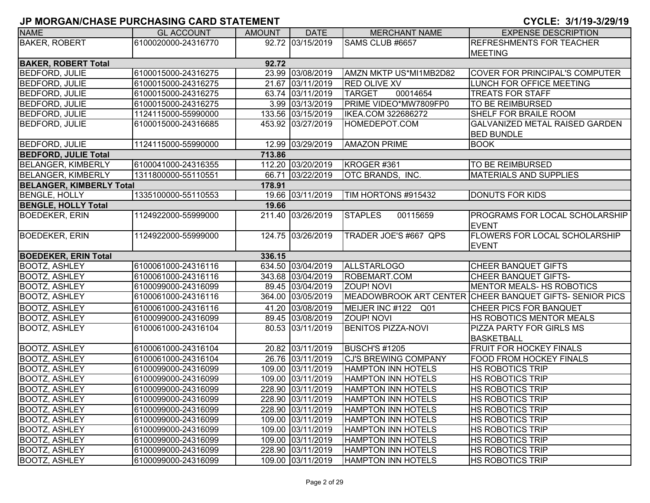| <b>NAME</b>                     | <b>GL ACCOUNT</b>   | <b>AMOUNT</b> | <b>DATE</b>       | <b>MERCHANT NAME</b>        | <b>EXPENSE DESCRIPTION</b>                              |
|---------------------------------|---------------------|---------------|-------------------|-----------------------------|---------------------------------------------------------|
| <b>BAKER, ROBERT</b>            | 6100020000-24316770 |               | 92.72 03/15/2019  | SAMS CLUB #6657             | <b>REFRESHMENTS FOR TEACHER</b>                         |
|                                 |                     |               |                   |                             | <b>MEETING</b>                                          |
| <b>BAKER, ROBERT Total</b>      |                     | 92.72         |                   |                             |                                                         |
| <b>BEDFORD, JULIE</b>           | 6100015000-24316275 |               | 23.99 03/08/2019  | AMZN MKTP US*MI1MB2D82      | COVER FOR PRINCIPAL'S COMPUTER                          |
| <b>BEDFORD, JULIE</b>           | 6100015000-24316275 |               | 21.67 03/11/2019  | <b>RED OLIVE XV</b>         | LUNCH FOR OFFICE MEETING                                |
| <b>BEDFORD, JULIE</b>           | 6100015000-24316275 |               | 63.74 03/11/2019  | <b>TARGET</b><br>00014654   | <b>TREATS FOR STAFF</b>                                 |
| <b>BEDFORD, JULIE</b>           | 6100015000-24316275 |               | 3.99 03/13/2019   | PRIME VIDEO*MW7809FP0       | <b>TO BE REIMBURSED</b>                                 |
| <b>BEDFORD, JULIE</b>           | 1124115000-55990000 |               | 133.56 03/15/2019 | IKEA.COM 322686272          | SHELF FOR BRAILE ROOM                                   |
| <b>BEDFORD, JULIE</b>           | 6100015000-24316685 |               | 453.92 03/27/2019 | HOMEDEPOT.COM               | <b>GALVANIZED METAL RAISED GARDEN</b>                   |
|                                 |                     |               |                   |                             | <b>BED BUNDLE</b>                                       |
| <b>BEDFORD, JULIE</b>           | 1124115000-55990000 |               | 12.99 03/29/2019  | <b>AMAZON PRIME</b>         | <b>BOOK</b>                                             |
| <b>BEDFORD, JULIE Total</b>     |                     | 713.86        |                   |                             |                                                         |
| <b>BELANGER, KIMBERLY</b>       | 6100041000-24316355 |               | 112.20 03/20/2019 | KROGER #361                 | TO BE REIMBURSED                                        |
| <b>BELANGER, KIMBERLY</b>       | 1311800000-55110551 |               | 66.71 03/22/2019  | OTC BRANDS, INC.            | <b>MATERIALS AND SUPPLIES</b>                           |
| <b>BELANGER, KIMBERLY Total</b> |                     | 178.91        |                   |                             |                                                         |
| <b>BENGLE, HOLLY</b>            | 1335100000-55110553 |               | 19.66 03/11/2019  | TIM HORTONS #915432         | <b>DONUTS FOR KIDS</b>                                  |
| <b>BENGLE, HOLLY Total</b>      |                     | 19.66         |                   |                             |                                                         |
| <b>BOEDEKER, ERIN</b>           | 1124922000-55999000 |               | 211.40 03/26/2019 | <b>STAPLES</b><br>00115659  | <b>PROGRAMS FOR LOCAL SCHOLARSHIP</b>                   |
|                                 |                     |               |                   |                             | <b>EVENT</b>                                            |
| <b>BOEDEKER, ERIN</b>           | 1124922000-55999000 |               | 124.75 03/26/2019 | TRADER JOE'S #667 QPS       | <b>FLOWERS FOR LOCAL SCHOLARSHIP</b>                    |
|                                 |                     |               |                   |                             | <b>EVENT</b>                                            |
| <b>BOEDEKER, ERIN Total</b>     |                     | 336.15        |                   |                             |                                                         |
| <b>BOOTZ, ASHLEY</b>            | 6100061000-24316116 |               | 634.50 03/04/2019 | <b>ALLSTARLOGO</b>          | <b>CHEER BANQUET GIFTS</b>                              |
| <b>BOOTZ, ASHLEY</b>            | 6100061000-24316116 |               | 343.68 03/04/2019 | ROBEMART.COM                | CHEER BANQUET GIFTS-                                    |
| <b>BOOTZ, ASHLEY</b>            | 6100099000-24316099 |               | 89.45 03/04/2019  | <b>ZOUP! NOVI</b>           | MENTOR MEALS- HS ROBOTICS                               |
| <b>BOOTZ, ASHLEY</b>            | 6100061000-24316116 |               | 364.00 03/05/2019 |                             | MEADOWBROOK ART CENTER CHEER BANQUET GIFTS- SENIOR PICS |
| <b>BOOTZ, ASHLEY</b>            | 6100061000-24316116 |               | 41.20 03/08/2019  | MEIJER INC #122<br>Q01      | CHEER PICS FOR BANQUET                                  |
| <b>BOOTZ, ASHLEY</b>            | 6100099000-24316099 |               | 89.45 03/08/2019  | <b>ZOUP! NOVI</b>           | HS ROBOTICS MENTOR MEALS                                |
| <b>BOOTZ, ASHLEY</b>            | 6100061000-24316104 |               | 80.53 03/11/2019  | <b>BENITOS PIZZA-NOVI</b>   | PIZZA PARTY FOR GIRLS MS                                |
|                                 |                     |               |                   |                             | <b>BASKETBALL</b>                                       |
| <b>BOOTZ, ASHLEY</b>            | 6100061000-24316104 |               | 20.82 03/11/2019  | BUSCH'S #1205               | <b>FRUIT FOR HOCKEY FINALS</b>                          |
| <b>BOOTZ, ASHLEY</b>            | 6100061000-24316104 |               | 26.76 03/11/2019  | <b>CJ'S BREWING COMPANY</b> | <b>FOOD FROM HOCKEY FINALS</b>                          |
| <b>BOOTZ, ASHLEY</b>            | 6100099000-24316099 |               | 109.00 03/11/2019 | <b>HAMPTON INN HOTELS</b>   | <b>HS ROBOTICS TRIP</b>                                 |
| <b>BOOTZ, ASHLEY</b>            | 6100099000-24316099 |               | 109.00 03/11/2019 | <b>HAMPTON INN HOTELS</b>   | <b>HS ROBOTICS TRIP</b>                                 |
| <b>BOOTZ, ASHLEY</b>            | 6100099000-24316099 |               | 228.90 03/11/2019 | <b>HAMPTON INN HOTELS</b>   | <b>HS ROBOTICS TRIP</b>                                 |
| <b>BOOTZ, ASHLEY</b>            | 6100099000-24316099 |               | 228.90 03/11/2019 | <b>HAMPTON INN HOTELS</b>   | <b>HS ROBOTICS TRIP</b>                                 |
| <b>BOOTZ, ASHLEY</b>            | 6100099000-24316099 |               | 228.90 03/11/2019 | <b>HAMPTON INN HOTELS</b>   | <b>HS ROBOTICS TRIP</b>                                 |
| <b>BOOTZ, ASHLEY</b>            | 6100099000-24316099 |               | 109.00 03/11/2019 | <b>HAMPTON INN HOTELS</b>   | <b>HS ROBOTICS TRIP</b>                                 |
| <b>BOOTZ, ASHLEY</b>            | 6100099000-24316099 |               | 109.00 03/11/2019 | <b>HAMPTON INN HOTELS</b>   | <b>HS ROBOTICS TRIP</b>                                 |
| <b>BOOTZ, ASHLEY</b>            | 6100099000-24316099 |               | 109.00 03/11/2019 | <b>HAMPTON INN HOTELS</b>   | <b>HS ROBOTICS TRIP</b>                                 |
| <b>BOOTZ, ASHLEY</b>            | 6100099000-24316099 |               | 228.90 03/11/2019 | <b>HAMPTON INN HOTELS</b>   | <b>HS ROBOTICS TRIP</b>                                 |
| <b>BOOTZ, ASHLEY</b>            | 6100099000-24316099 |               | 109.00 03/11/2019 | <b>HAMPTON INN HOTELS</b>   | <b>HS ROBOTICS TRIP</b>                                 |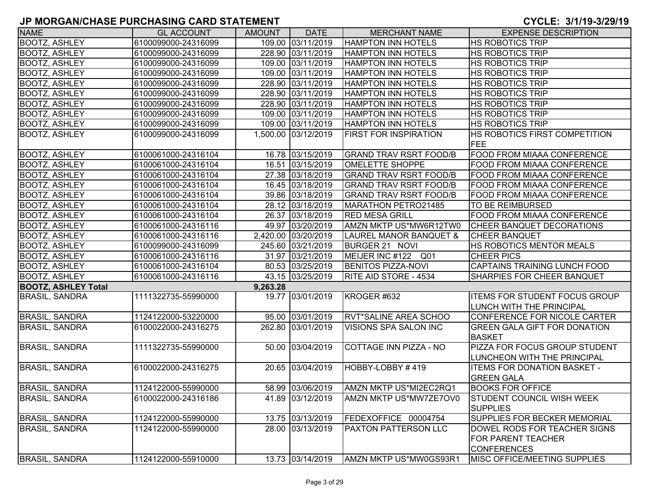| <b>NAME</b>                | <b>GL ACCOUNT</b>   | <b>AMOUNT</b> | <b>DATE</b>         | <b>MERCHANT NAME</b>          | <b>EXPENSE DESCRIPTION</b>                                              |
|----------------------------|---------------------|---------------|---------------------|-------------------------------|-------------------------------------------------------------------------|
| <b>BOOTZ, ASHLEY</b>       | 6100099000-24316099 |               | 109.00 03/11/2019   | <b>HAMPTON INN HOTELS</b>     | <b>HS ROBOTICS TRIP</b>                                                 |
| <b>BOOTZ, ASHLEY</b>       | 6100099000-24316099 |               | 228.90 03/11/2019   | <b>HAMPTON INN HOTELS</b>     | <b>HS ROBOTICS TRIP</b>                                                 |
| <b>BOOTZ, ASHLEY</b>       | 6100099000-24316099 |               | 109.00 03/11/2019   | HAMPTON INN HOTELS            | <b>HS ROBOTICS TRIP</b>                                                 |
| <b>BOOTZ, ASHLEY</b>       | 6100099000-24316099 |               | 109.00 03/11/2019   | <b>HAMPTON INN HOTELS</b>     | <b>HS ROBOTICS TRIP</b>                                                 |
| <b>BOOTZ, ASHLEY</b>       | 6100099000-24316099 |               | 228.90 03/11/2019   | <b>HAMPTON INN HOTELS</b>     | <b>HS ROBOTICS TRIP</b>                                                 |
| <b>BOOTZ, ASHLEY</b>       | 6100099000-24316099 |               | 228.90 03/11/2019   | <b>HAMPTON INN HOTELS</b>     | <b>HS ROBOTICS TRIP</b>                                                 |
| <b>BOOTZ, ASHLEY</b>       | 6100099000-24316099 |               | 228.90 03/11/2019   | <b>HAMPTON INN HOTELS</b>     | <b>HS ROBOTICS TRIP</b>                                                 |
| <b>BOOTZ, ASHLEY</b>       | 6100099000-24316099 |               | 109.00 03/11/2019   | <b>HAMPTON INN HOTELS</b>     | <b>HS ROBOTICS TRIP</b>                                                 |
| <b>BOOTZ, ASHLEY</b>       | 6100099000-24316099 |               | 109.00 03/11/2019   | <b>HAMPTON INN HOTELS</b>     | <b>HS ROBOTICS TRIP</b>                                                 |
| <b>BOOTZ, ASHLEY</b>       | 6100099000-24316099 |               | 1,500.00 03/12/2019 | <b>FIRST FOR INSPIRATION</b>  | <b>HS ROBOTICS FIRST COMPETITION</b>                                    |
|                            |                     |               |                     |                               | FEE                                                                     |
| <b>BOOTZ, ASHLEY</b>       | 6100061000-24316104 |               | 16.78 03/15/2019    | <b>GRAND TRAV RSRT FOOD/B</b> | <b>FOOD FROM MIAAA CONFERENCE</b>                                       |
| <b>BOOTZ, ASHLEY</b>       | 6100061000-24316104 |               | 16.51 03/15/2019    | OMELETTE SHOPPE               | <b>FOOD FROM MIAAA CONFERENCE</b>                                       |
| <b>BOOTZ, ASHLEY</b>       | 6100061000-24316104 |               | 27.38 03/18/2019    | <b>GRAND TRAV RSRT FOOD/B</b> | <b>FOOD FROM MIAAA CONFERENCE</b>                                       |
| <b>BOOTZ, ASHLEY</b>       | 6100061000-24316104 |               | 16.45 03/18/2019    | <b>GRAND TRAV RSRT FOOD/B</b> | <b>FOOD FROM MIAAA CONFERENCE</b>                                       |
| <b>BOOTZ, ASHLEY</b>       | 6100061000-24316104 |               | 39.86 03/18/2019    | <b>GRAND TRAV RSRT FOOD/B</b> | <b>FOOD FROM MIAAA CONFERENCE</b>                                       |
| <b>BOOTZ, ASHLEY</b>       | 6100061000-24316104 |               | 28.12 03/18/2019    | MARATHON PETRO21485           | TO BE REIMBURSED                                                        |
| <b>BOOTZ, ASHLEY</b>       | 6100061000-24316104 |               | 26.37 03/18/2019    | <b>RED MESA GRILL</b>         | <b>FOOD FROM MIAAA CONFERENCE</b>                                       |
| <b>BOOTZ, ASHLEY</b>       | 6100061000-24316116 |               | 49.97 03/20/2019    | AMZN MKTP US*MW6R12TW0        | <b>CHEER BANQUET DECORATIONS</b>                                        |
| <b>BOOTZ, ASHLEY</b>       | 6100061000-24316116 |               | 2,420.00 03/20/2019 | LAUREL MANOR BANQUET &        | <b>CHEER BANQUET</b>                                                    |
| <b>BOOTZ, ASHLEY</b>       | 6100099000-24316099 |               | 245.60 03/21/2019   | BURGER 21 NOVI                | <b>HS ROBOTICS MENTOR MEALS</b>                                         |
| <b>BOOTZ, ASHLEY</b>       | 6100061000-24316116 |               | 31.97 03/21/2019    | MEIJER INC #122 Q01           | <b>CHEER PICS</b>                                                       |
| <b>BOOTZ, ASHLEY</b>       | 6100061000-24316104 |               | 80.53 03/25/2019    | <b>BENITOS PIZZA-NOVI</b>     | CAPTAINS TRAINING LUNCH FOOD                                            |
| <b>BOOTZ, ASHLEY</b>       | 6100061000-24316116 |               | 43.15 03/25/2019    | <b>RITE AID STORE - 4534</b>  | SHARPIES FOR CHEER BANQUET                                              |
| <b>BOOTZ, ASHLEY Total</b> |                     | 9,263.28      |                     |                               |                                                                         |
| <b>BRASIL, SANDRA</b>      | 1111322735-55990000 |               | 19.77 03/01/2019    | KROGER #632                   | <b>ITEMS FOR STUDENT FOCUS GROUP</b><br><b>LUNCH WITH THE PRINCIPAL</b> |
| <b>BRASIL, SANDRA</b>      | 1124122000-53220000 |               | 95.00 03/01/2019    | <b>RVT*SALINE AREA SCHOO</b>  | CONFERENCE FOR NICOLE CARTER                                            |
| <b>BRASIL, SANDRA</b>      | 6100022000-24316275 |               | 262.80 03/01/2019   | <b>VISIONS SPA SALON INC</b>  | <b>GREEN GALA GIFT FOR DONATION</b><br><b>BASKET</b>                    |
| <b>BRASIL, SANDRA</b>      | 1111322735-55990000 |               | 50.00 03/04/2019    | COTTAGE INN PIZZA - NO        | <b>PIZZA FOR FOCUS GROUP STUDENT</b><br>LUNCHEON WITH THE PRINCIPAL     |
| <b>BRASIL, SANDRA</b>      | 6100022000-24316275 |               | 20.65 03/04/2019    | HOBBY-LOBBY #419              | <b>ITEMS FOR DONATION BASKET -</b><br><b>GREEN GALA</b>                 |
| <b>BRASIL, SANDRA</b>      | 1124122000-55990000 |               | 58.99 03/06/2019    | AMZN MKTP US*MI2EC2RQ1        | <b>BOOKS FOR OFFICE</b>                                                 |
| <b>BRASIL, SANDRA</b>      | 6100022000-24316186 |               | 41.89 03/12/2019    | AMZN MKTP US*MW7ZE7OV0        | <b>STUDENT COUNCIL WISH WEEK</b>                                        |
|                            |                     |               |                     |                               | <b>SUPPLIES</b>                                                         |
| <b>BRASIL, SANDRA</b>      | 1124122000-55990000 |               | 13.75 03/13/2019    | FEDEXOFFICE 00004754          | <b>SUPPLIES FOR BECKER MEMORIAL</b>                                     |
| <b>BRASIL, SANDRA</b>      | 1124122000-55990000 |               | 28.00 03/13/2019    | <b>PAXTON PATTERSON LLC</b>   | DOWEL RODS FOR TEACHER SIGNS                                            |
|                            |                     |               |                     |                               | <b>FOR PARENT TEACHER</b>                                               |
|                            |                     |               |                     |                               | <b>CONFERENCES</b>                                                      |
| <b>BRASIL, SANDRA</b>      | 1124122000-55910000 |               | 13.73 03/14/2019    | AMZN MKTP US*MW0GS93R1        | <b>MISC OFFICE/MEETING SUPPLIES</b>                                     |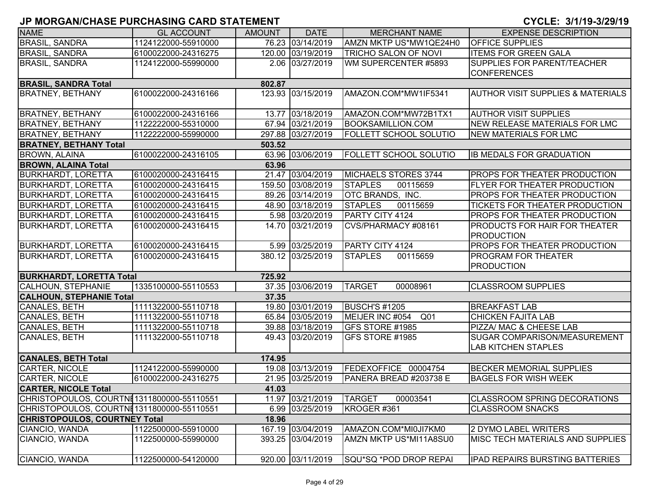| 76.23 03/14/2019<br><b>BRASIL, SANDRA</b><br>1124122000-55910000<br>AMZN MKTP US*MW1QE24H0<br><b>OFFICE SUPPLIES</b><br>120.00 03/19/2019<br><b>BRASIL, SANDRA</b><br><b>ITEMS FOR GREEN GALA</b><br>6100022000-24316275<br><b>TRICHO SALON OF NOVI</b><br>2.06 03/27/2019<br><b>SUPPLIES FOR PARENT/TEACHER</b><br><b>BRASIL, SANDRA</b><br>1124122000-55990000<br>WM SUPERCENTER #5893<br><b>CONFERENCES</b><br><b>BRASIL, SANDRA Total</b><br>802.87<br>123.93 03/15/2019<br>6100022000-24316166<br>AMAZON.COM*MW1IF5341<br><b>AUTHOR VISIT SUPPLIES &amp; MATERIALS</b><br><b>BRATNEY, BETHANY</b><br><b>BRATNEY, BETHANY</b><br>13.77 03/18/2019<br>6100022000-24316166<br>AMAZON.COM*MW72B1TX1<br><b>AUTHOR VISIT SUPPLIES</b><br>67.94 03/21/2019<br><b>BRATNEY, BETHANY</b><br>1122222000-55310000<br><b>BOOKSAMILLION.COM</b><br>NEW RELEASE MATERIALS FOR LMC<br><b>BRATNEY, BETHANY</b><br>297.88 03/27/2019<br>1122222000-55990000<br><b>FOLLETT SCHOOL SOLUTIO</b><br>NEW MATERIALS FOR LMC<br><b>BRATNEY, BETHANY Total</b><br>503.52<br>63.96 03/06/2019<br><b>BROWN, ALAINA</b><br>6100022000-24316105<br><b>FOLLETT SCHOOL SOLUTIO</b><br><b>IB MEDALS FOR GRADUATION</b> | <b>NAME</b> | <b>GL ACCOUNT</b> | <b>AMOUNT</b> | <b>DATE</b> | <b>MERCHANT NAME</b> | <b>EXPENSE DESCRIPTION</b> |
|--------------------------------------------------------------------------------------------------------------------------------------------------------------------------------------------------------------------------------------------------------------------------------------------------------------------------------------------------------------------------------------------------------------------------------------------------------------------------------------------------------------------------------------------------------------------------------------------------------------------------------------------------------------------------------------------------------------------------------------------------------------------------------------------------------------------------------------------------------------------------------------------------------------------------------------------------------------------------------------------------------------------------------------------------------------------------------------------------------------------------------------------------------------------------------------------|-------------|-------------------|---------------|-------------|----------------------|----------------------------|
|                                                                                                                                                                                                                                                                                                                                                                                                                                                                                                                                                                                                                                                                                                                                                                                                                                                                                                                                                                                                                                                                                                                                                                                            |             |                   |               |             |                      |                            |
|                                                                                                                                                                                                                                                                                                                                                                                                                                                                                                                                                                                                                                                                                                                                                                                                                                                                                                                                                                                                                                                                                                                                                                                            |             |                   |               |             |                      |                            |
|                                                                                                                                                                                                                                                                                                                                                                                                                                                                                                                                                                                                                                                                                                                                                                                                                                                                                                                                                                                                                                                                                                                                                                                            |             |                   |               |             |                      |                            |
|                                                                                                                                                                                                                                                                                                                                                                                                                                                                                                                                                                                                                                                                                                                                                                                                                                                                                                                                                                                                                                                                                                                                                                                            |             |                   |               |             |                      |                            |
|                                                                                                                                                                                                                                                                                                                                                                                                                                                                                                                                                                                                                                                                                                                                                                                                                                                                                                                                                                                                                                                                                                                                                                                            |             |                   |               |             |                      |                            |
|                                                                                                                                                                                                                                                                                                                                                                                                                                                                                                                                                                                                                                                                                                                                                                                                                                                                                                                                                                                                                                                                                                                                                                                            |             |                   |               |             |                      |                            |
|                                                                                                                                                                                                                                                                                                                                                                                                                                                                                                                                                                                                                                                                                                                                                                                                                                                                                                                                                                                                                                                                                                                                                                                            |             |                   |               |             |                      |                            |
|                                                                                                                                                                                                                                                                                                                                                                                                                                                                                                                                                                                                                                                                                                                                                                                                                                                                                                                                                                                                                                                                                                                                                                                            |             |                   |               |             |                      |                            |
|                                                                                                                                                                                                                                                                                                                                                                                                                                                                                                                                                                                                                                                                                                                                                                                                                                                                                                                                                                                                                                                                                                                                                                                            |             |                   |               |             |                      |                            |
|                                                                                                                                                                                                                                                                                                                                                                                                                                                                                                                                                                                                                                                                                                                                                                                                                                                                                                                                                                                                                                                                                                                                                                                            |             |                   |               |             |                      |                            |
|                                                                                                                                                                                                                                                                                                                                                                                                                                                                                                                                                                                                                                                                                                                                                                                                                                                                                                                                                                                                                                                                                                                                                                                            |             |                   |               |             |                      |                            |
|                                                                                                                                                                                                                                                                                                                                                                                                                                                                                                                                                                                                                                                                                                                                                                                                                                                                                                                                                                                                                                                                                                                                                                                            |             |                   |               |             |                      |                            |
| <b>BROWN, ALAINA Total</b><br>63.96                                                                                                                                                                                                                                                                                                                                                                                                                                                                                                                                                                                                                                                                                                                                                                                                                                                                                                                                                                                                                                                                                                                                                        |             |                   |               |             |                      |                            |
| 21.47 03/04/2019<br><b>BURKHARDT, LORETTA</b><br>6100020000-24316415<br>MICHAELS STORES 3744<br><b>PROPS FOR THEATER PRODUCTION</b>                                                                                                                                                                                                                                                                                                                                                                                                                                                                                                                                                                                                                                                                                                                                                                                                                                                                                                                                                                                                                                                        |             |                   |               |             |                      |                            |
| 159.50 03/08/2019<br><b>STAPLES</b><br><b>BURKHARDT, LORETTA</b><br>6100020000-24316415<br>00115659<br><b>FLYER FOR THEATER PRODUCTION</b>                                                                                                                                                                                                                                                                                                                                                                                                                                                                                                                                                                                                                                                                                                                                                                                                                                                                                                                                                                                                                                                 |             |                   |               |             |                      |                            |
| 89.26 03/14/2019<br><b>BURKHARDT, LORETTA</b><br>6100020000-24316415<br>OTC BRANDS, INC.<br>PROPS FOR THEATER PRODUCTION                                                                                                                                                                                                                                                                                                                                                                                                                                                                                                                                                                                                                                                                                                                                                                                                                                                                                                                                                                                                                                                                   |             |                   |               |             |                      |                            |
| 48.90 03/18/2019<br><b>STAPLES</b><br>00115659<br><b>BURKHARDT, LORETTA</b><br>6100020000-24316415<br><b>TICKETS FOR THEATER PRODUCTION</b>                                                                                                                                                                                                                                                                                                                                                                                                                                                                                                                                                                                                                                                                                                                                                                                                                                                                                                                                                                                                                                                |             |                   |               |             |                      |                            |
| PARTY CITY 4124<br>5.98 03/20/2019<br><b>BURKHARDT, LORETTA</b><br>6100020000-24316415<br><b>PROPS FOR THEATER PRODUCTION</b>                                                                                                                                                                                                                                                                                                                                                                                                                                                                                                                                                                                                                                                                                                                                                                                                                                                                                                                                                                                                                                                              |             |                   |               |             |                      |                            |
| <b>BURKHARDT, LORETTA</b><br>14.70 03/21/2019<br>CVS/PHARMACY #08161<br>6100020000-24316415<br><b>PRODUCTS FOR HAIR FOR THEATER</b>                                                                                                                                                                                                                                                                                                                                                                                                                                                                                                                                                                                                                                                                                                                                                                                                                                                                                                                                                                                                                                                        |             |                   |               |             |                      |                            |
| <b>PRODUCTION</b>                                                                                                                                                                                                                                                                                                                                                                                                                                                                                                                                                                                                                                                                                                                                                                                                                                                                                                                                                                                                                                                                                                                                                                          |             |                   |               |             |                      |                            |
| <b>BURKHARDT, LORETTA</b><br>6100020000-24316415<br>5.99 03/25/2019<br>PARTY CITY 4124<br><b>PROPS FOR THEATER PRODUCTION</b>                                                                                                                                                                                                                                                                                                                                                                                                                                                                                                                                                                                                                                                                                                                                                                                                                                                                                                                                                                                                                                                              |             |                   |               |             |                      |                            |
| <b>BURKHARDT, LORETTA</b><br>380.12 03/25/2019<br>00115659<br>6100020000-24316415<br><b>STAPLES</b><br><b>IPROGRAM FOR THEATER</b><br><b>PRODUCTION</b>                                                                                                                                                                                                                                                                                                                                                                                                                                                                                                                                                                                                                                                                                                                                                                                                                                                                                                                                                                                                                                    |             |                   |               |             |                      |                            |
| <b>BURKHARDT, LORETTA Total</b>                                                                                                                                                                                                                                                                                                                                                                                                                                                                                                                                                                                                                                                                                                                                                                                                                                                                                                                                                                                                                                                                                                                                                            |             |                   |               |             |                      |                            |
| 725.92<br>37.35 03/06/2019<br><b>TARGET</b><br>00008961                                                                                                                                                                                                                                                                                                                                                                                                                                                                                                                                                                                                                                                                                                                                                                                                                                                                                                                                                                                                                                                                                                                                    |             |                   |               |             |                      |                            |
| CALHOUN, STEPHANIE<br>1335100000-55110553<br><b>CLASSROOM SUPPLIES</b>                                                                                                                                                                                                                                                                                                                                                                                                                                                                                                                                                                                                                                                                                                                                                                                                                                                                                                                                                                                                                                                                                                                     |             |                   |               |             |                      |                            |
| <b>CALHOUN, STEPHANIE Total</b><br>37.35                                                                                                                                                                                                                                                                                                                                                                                                                                                                                                                                                                                                                                                                                                                                                                                                                                                                                                                                                                                                                                                                                                                                                   |             |                   |               |             |                      |                            |
| 19.80 03/01/2019<br>1111322000-55110718<br><b>BUSCH'S #1205</b><br>CANALES, BETH<br><b>BREAKFAST LAB</b>                                                                                                                                                                                                                                                                                                                                                                                                                                                                                                                                                                                                                                                                                                                                                                                                                                                                                                                                                                                                                                                                                   |             |                   |               |             |                      |                            |
| 65.84 03/05/2019<br>CANALES, BETH<br>1111322000-55110718<br>MEIJER INC #054<br>Q01<br><b>CHICKEN FAJITA LAB</b>                                                                                                                                                                                                                                                                                                                                                                                                                                                                                                                                                                                                                                                                                                                                                                                                                                                                                                                                                                                                                                                                            |             |                   |               |             |                      |                            |
| 39.88 03/18/2019<br>CANALES, BETH<br>1111322000-55110718<br>GFS STORE #1985<br><b>PIZZA/ MAC &amp; CHEESE LAB</b>                                                                                                                                                                                                                                                                                                                                                                                                                                                                                                                                                                                                                                                                                                                                                                                                                                                                                                                                                                                                                                                                          |             |                   |               |             |                      |                            |
| CANALES, BETH<br>1111322000-55110718<br>49.43 03/20/2019<br>GFS STORE #1985<br><b>SUGAR COMPARISON/MEASUREMENT</b><br><b>LAB KITCHEN STAPLES</b>                                                                                                                                                                                                                                                                                                                                                                                                                                                                                                                                                                                                                                                                                                                                                                                                                                                                                                                                                                                                                                           |             |                   |               |             |                      |                            |
| <b>CANALES, BETH Total</b><br>174.95                                                                                                                                                                                                                                                                                                                                                                                                                                                                                                                                                                                                                                                                                                                                                                                                                                                                                                                                                                                                                                                                                                                                                       |             |                   |               |             |                      |                            |
| 19.08 03/13/2019<br>CARTER, NICOLE<br>1124122000-55990000<br>FEDEXOFFICE 00004754<br><b>BECKER MEMORIAL SUPPLIES</b>                                                                                                                                                                                                                                                                                                                                                                                                                                                                                                                                                                                                                                                                                                                                                                                                                                                                                                                                                                                                                                                                       |             |                   |               |             |                      |                            |
| CARTER, NICOLE<br>21.95 03/25/2019<br>6100022000-24316275<br>PANERA BREAD #203738 E<br><b>BAGELS FOR WISH WEEK</b>                                                                                                                                                                                                                                                                                                                                                                                                                                                                                                                                                                                                                                                                                                                                                                                                                                                                                                                                                                                                                                                                         |             |                   |               |             |                      |                            |
| <b>CARTER, NICOLE Total</b><br>41.03                                                                                                                                                                                                                                                                                                                                                                                                                                                                                                                                                                                                                                                                                                                                                                                                                                                                                                                                                                                                                                                                                                                                                       |             |                   |               |             |                      |                            |
| CHRISTOPOULOS, COURTNE1311800000-55110551<br>11.97 03/21/2019<br><b>TARGET</b><br>00003541<br>CLASSROOM SPRING DECORATIONS                                                                                                                                                                                                                                                                                                                                                                                                                                                                                                                                                                                                                                                                                                                                                                                                                                                                                                                                                                                                                                                                 |             |                   |               |             |                      |                            |
| CHRISTOPOULOS, COURTNE1311800000-55110551<br>6.99 03/25/2019<br>KROGER <sub>#361</sub><br><b>CLASSROOM SNACKS</b>                                                                                                                                                                                                                                                                                                                                                                                                                                                                                                                                                                                                                                                                                                                                                                                                                                                                                                                                                                                                                                                                          |             |                   |               |             |                      |                            |
| <b>CHRISTOPOULOS, COURTNEY Total</b><br>18.96                                                                                                                                                                                                                                                                                                                                                                                                                                                                                                                                                                                                                                                                                                                                                                                                                                                                                                                                                                                                                                                                                                                                              |             |                   |               |             |                      |                            |
| 167.19 03/04/2019<br>CIANCIO, WANDA<br>1122500000-55910000<br>AMAZON.COM*MI0JI7KM0<br>2 DYMO LABEL WRITERS                                                                                                                                                                                                                                                                                                                                                                                                                                                                                                                                                                                                                                                                                                                                                                                                                                                                                                                                                                                                                                                                                 |             |                   |               |             |                      |                            |
| CIANCIO, WANDA<br>393.25 03/04/2019<br>AMZN MKTP US*MI11A8SU0<br><b>MISC TECH MATERIALS AND SUPPLIES</b><br>1122500000-55990000                                                                                                                                                                                                                                                                                                                                                                                                                                                                                                                                                                                                                                                                                                                                                                                                                                                                                                                                                                                                                                                            |             |                   |               |             |                      |                            |
| CIANCIO, WANDA<br>920.00 03/11/2019<br>1122500000-54120000<br>SQU*SQ *POD DROP REPAI<br><b>IPAD REPAIRS BURSTING BATTERIES</b>                                                                                                                                                                                                                                                                                                                                                                                                                                                                                                                                                                                                                                                                                                                                                                                                                                                                                                                                                                                                                                                             |             |                   |               |             |                      |                            |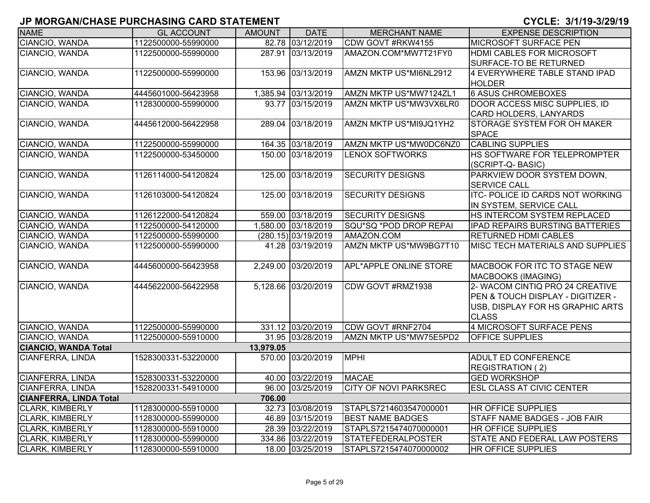| <b>NAME</b>                   | <b>GL ACCOUNT</b>   | <b>AMOUNT</b> | <b>DATE</b>         | <b>MERCHANT NAME</b>         | <b>EXPENSE DESCRIPTION</b>              |
|-------------------------------|---------------------|---------------|---------------------|------------------------------|-----------------------------------------|
| CIANCIO, WANDA                | 1122500000-55990000 |               | 82.78 03/12/2019    | CDW GOVT #RKW4155            | <b>MICROSOFT SURFACE PEN</b>            |
| CIANCIO, WANDA                | 1122500000-55990000 |               | 287.91 03/13/2019   | AMAZON.COM*MW7T21FY0         | <b>HDMI CABLES FOR MICROSOFT</b>        |
|                               |                     |               |                     |                              | SURFACE-TO BE RETURNED                  |
| CIANCIO, WANDA                | 1122500000-55990000 |               | 153.96 03/13/2019   | AMZN MKTP US*MI6NL2912       | 4 EVERYWHERE TABLE STAND IPAD           |
|                               |                     |               |                     |                              | <b>HOLDER</b>                           |
| CIANCIO, WANDA                | 4445601000-56423958 |               | 1,385.94 03/13/2019 | AMZN MKTP US*MW7124ZL1       | 6 ASUS CHROMEBOXES                      |
| CIANCIO, WANDA                | 1128300000-55990000 |               | 93.77 03/15/2019    | AMZN MKTP US*MW3VX6LR0       | <b>DOOR ACCESS MISC SUPPLIES, ID</b>    |
|                               |                     |               |                     |                              | <b>CARD HOLDERS, LANYARDS</b>           |
| CIANCIO, WANDA                | 4445612000-56422958 |               | 289.04 03/18/2019   | AMZN MKTP US*MI9JQ1YH2       | <b>STORAGE SYSTEM FOR OH MAKER</b>      |
|                               |                     |               |                     |                              | <b>SPACE</b>                            |
| CIANCIO, WANDA                | 1122500000-55990000 |               | 164.35 03/18/2019   | AMZN MKTP US*MW0DC6NZ0       | <b>CABLING SUPPLIES</b>                 |
| CIANCIO, WANDA                | 1122500000-53450000 |               | 150.00 03/18/2019   | <b>LENOX SOFTWORKS</b>       | HS SOFTWARE FOR TELEPROMPTER            |
|                               |                     |               |                     |                              | (SCRIPT-Q-BASIC)                        |
| CIANCIO, WANDA                | 1126114000-54120824 |               | 125.00 03/18/2019   | <b>SECURITY DESIGNS</b>      | PARKVIEW DOOR SYSTEM DOWN,              |
|                               |                     |               |                     |                              | <b>SERVICE CALL</b>                     |
| CIANCIO, WANDA                | 1126103000-54120824 |               | 125.00 03/18/2019   | <b>SECURITY DESIGNS</b>      | <b>ITC- POLICE ID CARDS NOT WORKING</b> |
|                               |                     |               |                     |                              | IN SYSTEM, SERVICE CALL                 |
| CIANCIO, WANDA                | 1126122000-54120824 |               | 559.00 03/18/2019   | <b>SECURITY DESIGNS</b>      | HS INTERCOM SYSTEM REPLACED             |
| CIANCIO, WANDA                | 1122500000-54120000 |               | 1,580.00 03/18/2019 | SQU*SQ *POD DROP REPAI       | <b>IPAD REPAIRS BURSTING BATTERIES</b>  |
| CIANCIO, WANDA                | 1122500000-55990000 |               | (280.15) 03/19/2019 | AMAZON.COM                   | <b>RETURNED HDMI CABLES</b>             |
| CIANCIO, WANDA                | 1122500000-55990000 |               | 41.28 03/19/2019    | AMZN MKTP US*MW9BG7T10       | MISC TECH MATERIALS AND SUPPLIES        |
|                               |                     |               |                     |                              |                                         |
| CIANCIO, WANDA                | 4445600000-56423958 |               | 2,249.00 03/20/2019 | APL*APPLE ONLINE STORE       | MACBOOK FOR ITC TO STAGE NEW            |
|                               |                     |               |                     |                              | MACBOOKS (IMAGING)                      |
| CIANCIO, WANDA                | 4445622000-56422958 |               | 5,128.66 03/20/2019 | CDW GOVT #RMZ1938            | 2- WACOM CINTIQ PRO 24 CREATIVE         |
|                               |                     |               |                     |                              | PEN & TOUCH DISPLAY - DIGITIZER -       |
|                               |                     |               |                     |                              | USB, DISPLAY FOR HS GRAPHIC ARTS        |
|                               |                     |               |                     |                              | <b>CLASS</b>                            |
| CIANCIO, WANDA                | 1122500000-55990000 |               | 331.12 03/20/2019   | CDW GOVT #RNF2704            | 4 MICROSOFT SURFACE PENS                |
| CIANCIO, WANDA                | 1122500000-55910000 |               | 31.95 03/28/2019    | AMZN MKTP US*MW75E5PD2       | OFFICE SUPPLIES                         |
| <b>CIANCIO, WANDA Total</b>   |                     | 13,979.05     |                     |                              |                                         |
| CIANFERRA, LINDA              | 1528300331-53220000 |               | 570.00 03/20/2019   | <b>MPHI</b>                  | <b>ADULT ED CONFERENCE</b>              |
|                               |                     |               |                     |                              | <b>REGISTRATION (2)</b>                 |
| <b>CIANFERRA, LINDA</b>       | 1528300331-53220000 |               | 40.00 03/22/2019    | <b>MACAE</b>                 | <b>GED WORKSHOP</b>                     |
| <b>CIANFERRA, LINDA</b>       | 1528200331-54910000 |               | 96.00 03/25/2019    | <b>CITY OF NOVI PARKSREC</b> | <b>ESL CLASS AT CIVIC CENTER</b>        |
| <b>CIANFERRA, LINDA Total</b> |                     | 706.00        |                     |                              |                                         |
| <b>CLARK, KIMBERLY</b>        | 1128300000-55910000 |               | 32.73 03/08/2019    | STAPLS7214603547000001       | <b>HR OFFICE SUPPLIES</b>               |
| <b>CLARK, KIMBERLY</b>        | 1128300000-55990000 |               | 46.89 03/15/2019    | <b>BEST NAME BADGES</b>      | <b>STAFF NAME BADGES - JOB FAIR</b>     |
| <b>CLARK, KIMBERLY</b>        | 1128300000-55910000 |               | 28.39 03/22/2019    | STAPLS7215474070000001       | <b>HR OFFICE SUPPLIES</b>               |
| <b>CLARK, KIMBERLY</b>        | 1128300000-55990000 |               | 334.86 03/22/2019   | <b>STATEFEDERALPOSTER</b>    | STATE AND FEDERAL LAW POSTERS           |
| <b>CLARK, KIMBERLY</b>        | 1128300000-55910000 |               | 18.00 03/25/2019    | STAPLS7215474070000002       | <b>HR OFFICE SUPPLIES</b>               |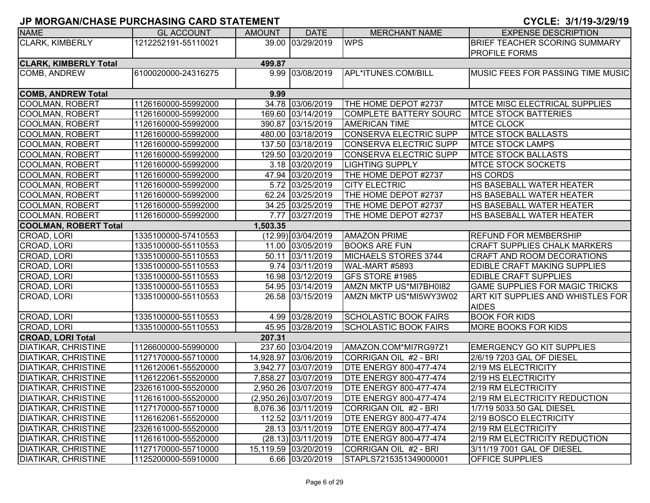| <b>NAME</b>                  | <b>GL ACCOUNT</b>   | <b>AMOUNT</b> | <b>DATE</b>             | <b>MERCHANT NAME</b>          | <b>EXPENSE DESCRIPTION</b>                        |
|------------------------------|---------------------|---------------|-------------------------|-------------------------------|---------------------------------------------------|
| <b>CLARK, KIMBERLY</b>       | 1212252191-55110021 |               | 39.00 03/29/2019        | <b>WPS</b>                    | <b>BRIEF TEACHER SCORING SUMMARY</b>              |
|                              |                     |               |                         |                               | <b>PROFILE FORMS</b>                              |
| <b>CLARK, KIMBERLY Total</b> |                     | 499.87        |                         |                               |                                                   |
| COMB, ANDREW                 | 6100020000-24316275 |               | 9.99 03/08/2019         | APL*ITUNES.COM/BILL           | MUSIC FEES FOR PASSING TIME MUSIC                 |
| <b>COMB, ANDREW Total</b>    |                     | 9.99          |                         |                               |                                                   |
| COOLMAN, ROBERT              | 1126160000-55992000 |               | 34.78 03/06/2019        | THE HOME DEPOT #2737          | <b>MTCE MISC ELECTRICAL SUPPLIES</b>              |
| COOLMAN, ROBERT              | 1126160000-55992000 |               | 169.60 03/14/2019       | <b>COMPLETE BATTERY SOURC</b> | <b>MTCE STOCK BATTERIES</b>                       |
| COOLMAN, ROBERT              | 1126160000-55992000 |               | 390.87 03/15/2019       | <b>AMERICAN TIME</b>          | <b>MTCE CLOCK</b>                                 |
| <b>COOLMAN, ROBERT</b>       | 1126160000-55992000 |               | 480.00 03/18/2019       | <b>CONSERVA ELECTRIC SUPP</b> | <b>MTCE STOCK BALLASTS</b>                        |
| <b>COOLMAN, ROBERT</b>       | 1126160000-55992000 |               | 137.50 03/18/2019       | <b>CONSERVA ELECTRIC SUPP</b> | <b>MTCE STOCK LAMPS</b>                           |
| <b>COOLMAN, ROBERT</b>       | 1126160000-55992000 |               | 129.50 03/20/2019       | <b>CONSERVA ELECTRIC SUPP</b> | <b>MTCE STOCK BALLASTS</b>                        |
| COOLMAN, ROBERT              | 1126160000-55992000 |               | 3.18 03/20/2019         | <b>LIGHTING SUPPLY</b>        | <b>MTCE STOCK SOCKETS</b>                         |
| COOLMAN, ROBERT              | 1126160000-55992000 |               | 47.94 03/20/2019        | THE HOME DEPOT #2737          | <b>HS CORDS</b>                                   |
| COOLMAN, ROBERT              | 1126160000-55992000 |               | 5.72 03/25/2019         | <b>CITY ELECTRIC</b>          | HS BASEBALL WATER HEATER                          |
| COOLMAN, ROBERT              | 1126160000-55992000 |               | 62.24 03/25/2019        | THE HOME DEPOT #2737          | HS BASEBALL WATER HEATER                          |
| COOLMAN, ROBERT              | 1126160000-55992000 |               | 34.25 03/25/2019        | THE HOME DEPOT #2737          | <b>HS BASEBALL WATER HEATER</b>                   |
| <b>COOLMAN, ROBERT</b>       | 1126160000-55992000 |               | 7.77 03/27/2019         | THE HOME DEPOT #2737          | <b>HS BASEBALL WATER HEATER</b>                   |
| <b>COOLMAN, ROBERT Total</b> |                     | 1,503.35      |                         |                               |                                                   |
| CROAD, LORI                  | 1335100000-57410553 |               | (12.99) 03/04/2019      | <b>AMAZON PRIME</b>           | <b>REFUND FOR MEMBERSHIP</b>                      |
| CROAD, LORI                  | 1335100000-55110553 |               | 11.00 03/05/2019        | <b>BOOKS ARE FUN</b>          | <b>CRAFT SUPPLIES CHALK MARKERS</b>               |
| CROAD, LORI                  | 1335100000-55110553 |               | 50.11 03/11/2019        | MICHAELS STORES 3744          | CRAFT AND ROOM DECORATIONS                        |
| CROAD, LORI                  | 1335100000-55110553 |               | 9.74 03/11/2019         | WAL-MART #5893                | <b>EDIBLE CRAFT MAKING SUPPLIES</b>               |
| CROAD, LORI                  | 1335100000-55110553 |               | 16.98 03/12/2019        | GFS STORE #1985               | <b>EDIBLE CRAFT SUPPLIES</b>                      |
| CROAD, LORI                  | 1335100000-55110553 |               | 54.95 03/14/2019        | AMZN MKTP US*MI7BH0I82        | <b>GAME SUPPLIES FOR MAGIC TRICKS</b>             |
| CROAD, LORI                  | 1335100000-55110553 |               | 26.58 03/15/2019        | AMZN MKTP US*MI5WY3W02        | ART KIT SUPPLIES AND WHISTLES FOR<br><b>AIDES</b> |
| CROAD, LORI                  | 1335100000-55110553 |               | 4.99 03/28/2019         | <b>SCHOLASTIC BOOK FAIRS</b>  | <b>BOOK FOR KIDS</b>                              |
| CROAD, LORI                  | 1335100000-55110553 |               | 45.95 03/28/2019        | <b>SCHOLASTIC BOOK FAIRS</b>  | <b>MORE BOOKS FOR KIDS</b>                        |
| <b>CROAD, LORI Total</b>     |                     | 207.31        |                         |                               |                                                   |
| DIATIKAR, CHRISTINE          | 1126600000-55990000 |               | 237.60 03/04/2019       | AMAZON.COM*MI7RG97Z1          | <b>EMERGENCY GO KIT SUPPLIES</b>                  |
| DIATIKAR, CHRISTINE          | 1127170000-55710000 |               | 14,928.97 03/06/2019    | CORRIGAN OIL #2 - BRI         | 2/6/19 7203 GAL OF DIESEL                         |
| <b>DIATIKAR, CHRISTINE</b>   | 1126120061-55520000 |               | 3,942.77 03/07/2019     | <b>DTE ENERGY 800-477-474</b> | 2/19 MS ELECTRICITY                               |
| <b>DIATIKAR, CHRISTINE</b>   | 1126122061-55520000 | 7,858.27      | 03/07/2019              | <b>DTE ENERGY 800-477-474</b> | 2/19 HS ELECTRICITY                               |
| <b>DIATIKAR, CHRISTINE</b>   | 2326161000-55520000 |               | 2,950.26 03/07/2019     | <b>DTE ENERGY 800-477-474</b> | 2/19 RM ELECTRICITY                               |
| <b>DIATIKAR, CHRISTINE</b>   | 1126161000-55520000 |               | $(2,950.26)$ 03/07/2019 | <b>DTE ENERGY 800-477-474</b> | 2/19 RM ELECTRICITY REDUCTION                     |
| <b>DIATIKAR, CHRISTINE</b>   | 1127170000-55710000 |               | 8,076.36 03/11/2019     | CORRIGAN OIL #2 - BRI         | 1/7/19 5033.50 GAL DIESEL                         |
| <b>DIATIKAR, CHRISTINE</b>   | 1126162061-55520000 |               | 112.52 03/11/2019       | <b>DTE ENERGY 800-477-474</b> | 2/19 BOSCO ELECTRICITY                            |
| <b>DIATIKAR, CHRISTINE</b>   | 2326161000-55520000 |               | 28.13 03/11/2019        | <b>DTE ENERGY 800-477-474</b> | 2/19 RM ELECTRICITY                               |
| DIATIKAR, CHRISTINE          | 1126161000-55520000 |               | $(28.13)$ 03/11/2019    | <b>DTE ENERGY 800-477-474</b> | 2/19 RM ELECTRICITY REDUCTION                     |
| <b>DIATIKAR, CHRISTINE</b>   | 1127170000-55710000 |               | 15,119.59 03/20/2019    | CORRIGAN OIL #2 - BRI         | 3/11/19 7001 GAL OF DIESEL                        |
| <b>DIATIKAR, CHRISTINE</b>   | 1125200000-55910000 |               | 6.66 03/20/2019         | STAPLS7215351349000001        | <b>OFFICE SUPPLIES</b>                            |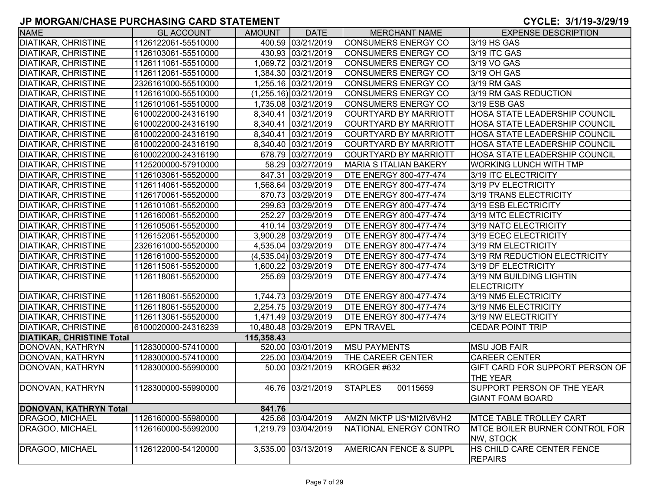| <b>NAME</b>                      | <b>GL ACCOUNT</b>   | <b>AMOUNT</b> | <b>DATE</b>             | <b>MERCHANT NAME</b>              | <b>EXPENSE DESCRIPTION</b>                   |
|----------------------------------|---------------------|---------------|-------------------------|-----------------------------------|----------------------------------------------|
| <b>DIATIKAR, CHRISTINE</b>       | 1126122061-55510000 |               | 400.59 03/21/2019       | CONSUMERS ENERGY CO               | 3/19 HS GAS                                  |
| <b>DIATIKAR, CHRISTINE</b>       | 1126103061-55510000 |               | 430.93 03/21/2019       | CONSUMERS ENERGY CO               | 3/19 ITC GAS                                 |
| <b>DIATIKAR, CHRISTINE</b>       | 1126111061-55510000 |               | 1,069.72 03/21/2019     | CONSUMERS ENERGY CO               | 3/19 VO GAS                                  |
| <b>DIATIKAR, CHRISTINE</b>       | 1126112061-55510000 |               | 1,384.30 03/21/2019     | CONSUMERS ENERGY CO               | 3/19 OH GAS                                  |
| <b>DIATIKAR, CHRISTINE</b>       | 2326161000-55510000 |               | 1,255.16 03/21/2019     | CONSUMERS ENERGY CO               | 3/19 RM GAS                                  |
| <b>DIATIKAR, CHRISTINE</b>       | 1126161000-55510000 |               | $(1,255.16)$ 03/21/2019 | CONSUMERS ENERGY CO               | 3/19 RM GAS REDUCTION                        |
| <b>DIATIKAR, CHRISTINE</b>       | 1126101061-55510000 |               | 1,735.08 03/21/2019     | CONSUMERS ENERGY CO               | 3/19 ESB GAS                                 |
| <b>DIATIKAR, CHRISTINE</b>       | 6100022000-24316190 |               | 8,340.41 03/21/2019     | COURTYARD BY MARRIOTT             | <b>HOSA STATE LEADERSHIP COUNCIL</b>         |
| <b>DIATIKAR, CHRISTINE</b>       | 6100022000-24316190 |               | 8,340.41 03/21/2019     | COURTYARD BY MARRIOTT             | <b>HOSA STATE LEADERSHIP COUNCIL</b>         |
| <b>DIATIKAR, CHRISTINE</b>       | 6100022000-24316190 |               | 8,340.41 03/21/2019     | COURTYARD BY MARRIOTT             | <b>HOSA STATE LEADERSHIP COUNCIL</b>         |
| <b>DIATIKAR, CHRISTINE</b>       | 6100022000-24316190 |               | 8,340.40 03/21/2019     | COURTYARD BY MARRIOTT             | <b>HOSA STATE LEADERSHIP COUNCIL</b>         |
| <b>DIATIKAR, CHRISTINE</b>       | 6100022000-24316190 |               | 678.79 03/27/2019       | COURTYARD BY MARRIOTT             | <b>HOSA STATE LEADERSHIP COUNCIL</b>         |
| <b>DIATIKAR, CHRISTINE</b>       | 1125200000-57910000 |               | 58.29 03/27/2019        | <b>MARIA S ITALIAN BAKERY</b>     | <b>WORKING LUNCH WITH TMP</b>                |
| <b>DIATIKAR, CHRISTINE</b>       | 1126103061-55520000 |               | 847.31 03/29/2019       | <b>DTE ENERGY 800-477-474</b>     | 3/19 ITC ELECTRICITY                         |
| <b>DIATIKAR, CHRISTINE</b>       | 1126114061-55520000 |               | 1,568.64 03/29/2019     | <b>DTE ENERGY 800-477-474</b>     | 3/19 PV ELECTRICITY                          |
| <b>DIATIKAR, CHRISTINE</b>       | 1126170061-55520000 |               | 870.73 03/29/2019       | <b>DTE ENERGY 800-477-474</b>     | 3/19 TRANS ELECTRICITY                       |
| <b>DIATIKAR, CHRISTINE</b>       | 1126101061-55520000 |               | 299.63 03/29/2019       | <b>DTE ENERGY 800-477-474</b>     | 3/19 ESB ELECTRICITY                         |
| <b>DIATIKAR, CHRISTINE</b>       | 1126160061-55520000 |               | 252.27 03/29/2019       | <b>DTE ENERGY 800-477-474</b>     | 3/19 MTC ELECTRICITY                         |
| <b>DIATIKAR, CHRISTINE</b>       | 1126105061-55520000 |               | 410.14 03/29/2019       | <b>DTE ENERGY 800-477-474</b>     | 3/19 NATC ELECTRICITY                        |
| <b>DIATIKAR, CHRISTINE</b>       | 1126152061-55520000 |               | 3,900.28 03/29/2019     | <b>DTE ENERGY 800-477-474</b>     | 3/19 ECEC ELECTRICITY                        |
| <b>DIATIKAR, CHRISTINE</b>       | 2326161000-55520000 |               | 4,535.04 03/29/2019     | <b>DTE ENERGY 800-477-474</b>     | 3/19 RM ELECTRICITY                          |
| <b>DIATIKAR, CHRISTINE</b>       | 1126161000-55520000 |               | $(4,535.04)$ 03/29/2019 | <b>DTE ENERGY 800-477-474</b>     | 3/19 RM REDUCTION ELECTRICITY                |
| <b>DIATIKAR, CHRISTINE</b>       | 1126115061-55520000 |               | 1,600.22 03/29/2019     | <b>DTE ENERGY 800-477-474</b>     | 3/19 DF ELECTRICITY                          |
| <b>DIATIKAR, CHRISTINE</b>       | 1126118061-55520000 |               | 255.69 03/29/2019       | <b>DTE ENERGY 800-477-474</b>     | 3/19 NM BUILDING LIGHTIN                     |
|                                  |                     |               |                         |                                   | <b>ELECTRICITY</b>                           |
| <b>DIATIKAR, CHRISTINE</b>       | 1126118061-55520000 |               | 1,744.73 03/29/2019     | <b>DTE ENERGY 800-477-474</b>     | 3/19 NM5 ELECTRICITY                         |
| <b>DIATIKAR, CHRISTINE</b>       | 1126118061-55520000 |               | 2,254.75 03/29/2019     | <b>DTE ENERGY 800-477-474</b>     | 3/19 NM6 ELECTRICITY                         |
| <b>DIATIKAR, CHRISTINE</b>       | 1126113061-55520000 |               | 1,471.49 03/29/2019     | <b>DTE ENERGY 800-477-474</b>     | 3/19 NW ELECTRICITY                          |
| <b>DIATIKAR, CHRISTINE</b>       | 6100020000-24316239 |               | 10,480.48 03/29/2019    | <b>EPN TRAVEL</b>                 | <b>CEDAR POINT TRIP</b>                      |
| <b>DIATIKAR, CHRISTINE Total</b> |                     | 115,358.43    |                         |                                   |                                              |
| DONOVAN, KATHRYN                 | 1128300000-57410000 |               | 520.00 03/01/2019       | <b>MSU PAYMENTS</b>               | <b>MSU JOB FAIR</b>                          |
| DONOVAN, KATHRYN                 | 1128300000-57410000 |               | 225.00 03/04/2019       | THE CAREER CENTER                 | <b>CAREER CENTER</b>                         |
| DONOVAN, KATHRYN                 | 1128300000-55990000 |               | 50.00 03/21/2019        | KROGER #632                       | GIFT CARD FOR SUPPORT PERSON OF              |
|                                  |                     |               |                         |                                   | <b>THE YEAR</b>                              |
| DONOVAN, KATHRYN                 | 1128300000-55990000 |               | 46.76 03/21/2019        | <b>STAPLES</b><br>00115659        | SUPPORT PERSON OF THE YEAR                   |
|                                  |                     |               |                         |                                   | <b>GIANT FOAM BOARD</b>                      |
| <b>DONOVAN, KATHRYN Total</b>    |                     | 841.76        |                         |                                   |                                              |
| DRAGOO, MICHAEL                  | 1126160000-55980000 |               | 425.66 03/04/2019       | AMZN MKTP US*MI2IV6VH2            | <b>MTCE TABLE TROLLEY CART</b>               |
| <b>DRAGOO, MICHAEL</b>           | 1126160000-55992000 |               | 1,219.79 03/04/2019     | NATIONAL ENERGY CONTRO            | <b>IMTCE BOILER BURNER CONTROL FOR</b>       |
|                                  |                     |               |                         |                                   | NW, STOCK                                    |
| DRAGOO, MICHAEL                  | 1126122000-54120000 |               | 3,535.00 03/13/2019     | <b>AMERICAN FENCE &amp; SUPPL</b> | HS CHILD CARE CENTER FENCE<br><b>REPAIRS</b> |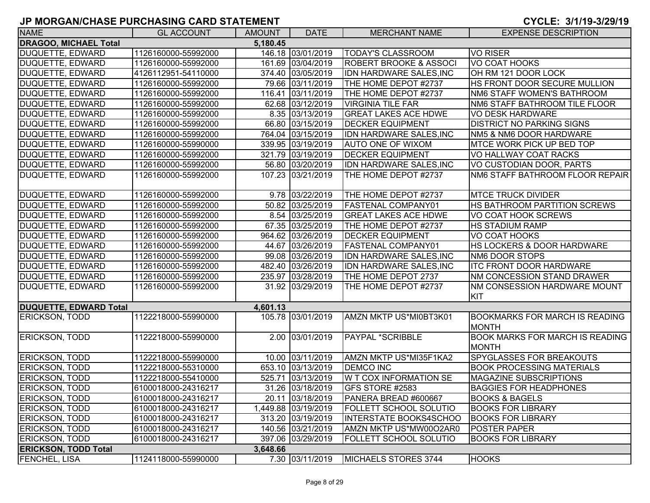| <b>NAME</b>                   | <b>GL ACCOUNT</b>   | <b>AMOUNT</b> | <b>DATE</b>         | <b>MERCHANT NAME</b>              | <b>EXPENSE DESCRIPTION</b>                             |
|-------------------------------|---------------------|---------------|---------------------|-----------------------------------|--------------------------------------------------------|
| <b>DRAGOO, MICHAEL Total</b>  |                     | 5,180.45      |                     |                                   |                                                        |
| <b>DUQUETTE, EDWARD</b>       | 1126160000-55992000 |               | 146.18 03/01/2019   | <b>TODAY'S CLASSROOM</b>          | <b>VO RISER</b>                                        |
| <b>DUQUETTE, EDWARD</b>       | 1126160000-55992000 |               | 161.69 03/04/2019   | <b>ROBERT BROOKE &amp; ASSOCI</b> | VO COAT HOOKS                                          |
| <b>DUQUETTE, EDWARD</b>       | 4126112951-54110000 |               | 374.40 03/05/2019   | IDN HARDWARE SALES, INC           | OH RM 121 DOOR LOCK                                    |
| <b>DUQUETTE, EDWARD</b>       | 1126160000-55992000 |               | 79.66 03/11/2019    | THE HOME DEPOT #2737              | HS FRONT DOOR SECURE MULLION                           |
| <b>DUQUETTE, EDWARD</b>       | 1126160000-55992000 |               | 116.41 03/11/2019   | THE HOME DEPOT #2737              | NM6 STAFF WOMEN'S BATHROOM                             |
| <b>DUQUETTE, EDWARD</b>       | 1126160000-55992000 |               | 62.68 03/12/2019    | <b>VIRGINIA TILE FAR</b>          | NM6 STAFF BATHROOM TILE FLOOR                          |
| <b>DUQUETTE, EDWARD</b>       | 1126160000-55992000 |               | 8.35 03/13/2019     | <b>GREAT LAKES ACE HDWE</b>       | <b>VO DESK HARDWARE</b>                                |
| <b>DUQUETTE, EDWARD</b>       | 1126160000-55992000 |               | 66.80 03/15/2019    | <b>DECKER EQUIPMENT</b>           | <b>DISTRICT NO PARKING SIGNS</b>                       |
| <b>DUQUETTE, EDWARD</b>       | 1126160000-55992000 |               | 764.04 03/15/2019   | IDN HARDWARE SALES, INC           | NM5 & NM6 DOOR HARDWARE                                |
| <b>DUQUETTE, EDWARD</b>       | 1126160000-55990000 |               | 339.95 03/19/2019   | AUTO ONE OF WIXOM                 | MTCE WORK PICK UP BED TOP                              |
| <b>DUQUETTE, EDWARD</b>       | 1126160000-55992000 |               | 321.79 03/19/2019   | <b>DECKER EQUIPMENT</b>           | VO HALLWAY COAT RACKS                                  |
| DUQUETTE, EDWARD              | 1126160000-55992000 |               | 56.80 03/20/2019    | IDN HARDWARE SALES, INC           | VO CUSTODIAN DOOR, PARTS                               |
| DUQUETTE, EDWARD              | 1126160000-55992000 | 107.23        | 03/21/2019          | THE HOME DEPOT #2737              | NM6 STAFF BATHROOM FLOOR REPAIR                        |
|                               |                     |               |                     |                                   |                                                        |
| <b>DUQUETTE, EDWARD</b>       | 1126160000-55992000 |               | 9.78 03/22/2019     | THE HOME DEPOT #2737              | <b>MTCE TRUCK DIVIDER</b>                              |
| <b>DUQUETTE, EDWARD</b>       | 1126160000-55992000 |               | 50.82 03/25/2019    | <b>FASTENAL COMPANY01</b>         | <b>HS BATHROOM PARTITION SCREWS</b>                    |
| <b>DUQUETTE, EDWARD</b>       | 1126160000-55992000 |               | 8.54 03/25/2019     | <b>GREAT LAKES ACE HDWE</b>       | VO COAT HOOK SCREWS                                    |
| <b>DUQUETTE, EDWARD</b>       | 1126160000-55992000 |               | 67.35 03/25/2019    | THE HOME DEPOT #2737              | <b>HS STADIUM RAMP</b>                                 |
| <b>DUQUETTE, EDWARD</b>       | 1126160000-55992000 |               | 964.62 03/26/2019   | <b>DECKER EQUIPMENT</b>           | VO COAT HOOKS                                          |
| <b>DUQUETTE, EDWARD</b>       | 1126160000-55992000 |               | 44.67 03/26/2019    | <b>FASTENAL COMPANY01</b>         | <b>HS LOCKERS &amp; DOOR HARDWARE</b>                  |
| <b>DUQUETTE, EDWARD</b>       | 1126160000-55992000 |               | 99.08 03/26/2019    | IDN HARDWARE SALES, INC           | <b>NM6 DOOR STOPS</b>                                  |
| <b>DUQUETTE, EDWARD</b>       | 1126160000-55992000 |               | 482.40 03/26/2019   | IDN HARDWARE SALES, INC           | <b>ITC FRONT DOOR HARDWARE</b>                         |
| <b>DUQUETTE, EDWARD</b>       | 1126160000-55992000 |               | 235.97 03/28/2019   | THE HOME DEPOT 2737               | NM CONCESSION STAND DRAWER                             |
| <b>DUQUETTE, EDWARD</b>       | 1126160000-55992000 |               | 31.92 03/29/2019    | THE HOME DEPOT #2737              | NM CONSESSION HARDWARE MOUNT                           |
|                               |                     |               |                     |                                   | KIT                                                    |
| <b>DUQUETTE, EDWARD Total</b> |                     | 4,601.13      | 105.78 03/01/2019   | AMZN MKTP US*MI0BT3K01            |                                                        |
| <b>ERICKSON, TODD</b>         | 1122218000-55990000 |               |                     |                                   | <b>BOOKMARKS FOR MARCH IS READING</b>                  |
| <b>ERICKSON, TODD</b>         | 1122218000-55990000 |               | 2.00 03/01/2019     | PAYPAL *SCRIBBLE                  | <b>MONTH</b><br><b>BOOK MARKS FOR MARCH IS READING</b> |
|                               |                     |               |                     |                                   | <b>MONTH</b>                                           |
| ERICKSON, TODD                | 1122218000-55990000 |               | 10.00 03/11/2019    | AMZN MKTP US*MI35F1KA2            | <b>SPYGLASSES FOR BREAKOUTS</b>                        |
| <b>ERICKSON, TODD</b>         | 1122218000-55310000 |               | 653.10 03/13/2019   | <b>DEMCO INC</b>                  | <b>BOOK PROCESSING MATERIALS</b>                       |
| <b>ERICKSON, TODD</b>         | 1122218000-55410000 | 525.71        | 03/13/2019          | <b>W T COX INFORMATION SE</b>     | <b>MAGAZINE SUBSCRIPTIONS</b>                          |
| <b>ERICKSON, TODD</b>         | 6100018000-24316217 |               | 31.26 03/18/2019    | GFS STORE #2583                   | <b>BAGGIES FOR HEADPHONES</b>                          |
| <b>ERICKSON, TODD</b>         | 6100018000-24316217 |               | 20.11 03/18/2019    | PANERA BREAD #600667              | <b>BOOKS &amp; BAGELS</b>                              |
| <b>ERICKSON, TODD</b>         | 6100018000-24316217 |               | 1,449.88 03/19/2019 | <b>FOLLETT SCHOOL SOLUTIO</b>     | <b>BOOKS FOR LIBRARY</b>                               |
| <b>ERICKSON, TODD</b>         | 6100018000-24316217 |               | 313.20 03/19/2019   | <b>INTERSTATE BOOKS4SCHOO</b>     | <b>BOOKS FOR LIBRARY</b>                               |
| <b>ERICKSON, TODD</b>         | 6100018000-24316217 |               | 140.56 03/21/2019   | AMZN MKTP US*MW00O2AR0            | <b>POSTER PAPER</b>                                    |
| <b>ERICKSON, TODD</b>         | 6100018000-24316217 |               | 397.06 03/29/2019   | <b>FOLLETT SCHOOL SOLUTIO</b>     | <b>BOOKS FOR LIBRARY</b>                               |
| <b>ERICKSON, TODD Total</b>   |                     | 3,648.66      |                     |                                   |                                                        |
| <b>FENCHEL, LISA</b>          | 1124118000-55990000 |               | 7.30 03/11/2019     | MICHAELS STORES 3744              | <b>HOOKS</b>                                           |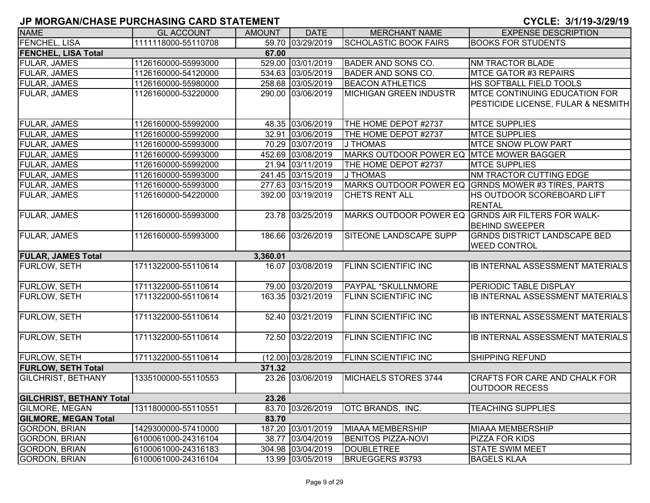| <b>NAME</b>                     |                     |               |                      |                                          |                                                    |
|---------------------------------|---------------------|---------------|----------------------|------------------------------------------|----------------------------------------------------|
|                                 | <b>GL ACCOUNT</b>   | <b>AMOUNT</b> | <b>DATE</b>          | <b>MERCHANT NAME</b>                     | <b>EXPENSE DESCRIPTION</b>                         |
| FENCHEL, LISA                   | 1111118000-55110708 |               | 59.70 03/29/2019     | <b>SCHOLASTIC BOOK FAIRS</b>             | <b>BOOKS FOR STUDENTS</b>                          |
| <b>FENCHEL, LISA Total</b>      |                     | 67.00         |                      |                                          |                                                    |
| <b>FULAR, JAMES</b>             | 1126160000-55993000 |               | 529.00 03/01/2019    | <b>BADER AND SONS CO.</b>                | <b>NM TRACTOR BLADE</b>                            |
| FULAR, JAMES                    | 1126160000-54120000 |               | 534.63 03/05/2019    | <b>BADER AND SONS CO.</b>                | <b>MTCE GATOR #3 REPAIRS</b>                       |
| FULAR, JAMES                    | 1126160000-55980000 |               | 258.68 03/05/2019    | <b>BEACON ATHLETICS</b>                  | HS SOFTBALL FIELD TOOLS                            |
| <b>FULAR, JAMES</b>             | 1126160000-53220000 |               | 290.00 03/06/2019    | <b>MICHIGAN GREEN INDUSTR</b>            | <b>MTCE CONTINUING EDUCATION FOR</b>               |
|                                 |                     |               |                      |                                          | <b>PESTICIDE LICENSE, FULAR &amp; NESMITH</b>      |
|                                 |                     |               |                      |                                          |                                                    |
| <b>FULAR, JAMES</b>             | 1126160000-55992000 |               | 48.35 03/06/2019     | THE HOME DEPOT #2737                     | <b>MTCE SUPPLIES</b>                               |
| FULAR, JAMES                    | 1126160000-55992000 |               | 32.91 03/06/2019     | THE HOME DEPOT #2737                     | <b>MTCE SUPPLIES</b>                               |
| FULAR, JAMES                    | 1126160000-55993000 |               | 70.29 03/07/2019     | J THOMAS                                 | <b>IMTCE SNOW PLOW PART</b>                        |
| <b>FULAR, JAMES</b>             | 1126160000-55993000 |               | 452.69 03/08/2019    | MARKS OUTDOOR POWER EQ MTCE MOWER BAGGER |                                                    |
| FULAR, JAMES                    | 1126160000-55992000 |               | 21.94 03/11/2019     | THE HOME DEPOT #2737                     | <b>MTCE SUPPLIES</b>                               |
| FULAR, JAMES                    | 1126160000-55993000 |               | 241.45 03/15/2019    | J THOMAS                                 | <b>NM TRACTOR CUTTING EDGE</b>                     |
| FULAR, JAMES                    | 1126160000-55993000 |               | 277.63 03/15/2019    |                                          | MARKS OUTDOOR POWER EQ GRNDS MOWER #3 TIRES, PARTS |
| FULAR, JAMES                    | 1126160000-54220000 |               | 392.00 03/19/2019    | <b>CHETS RENT ALL</b>                    | HS OUTDOOR SCOREBOARD LIFT                         |
|                                 |                     |               |                      |                                          | <b>RENTAL</b>                                      |
| <b>FULAR, JAMES</b>             | 1126160000-55993000 |               | 23.78 03/25/2019     |                                          | MARKS OUTDOOR POWER EQ GRNDS AIR FILTERS FOR WALK- |
|                                 |                     |               |                      |                                          | <b>BEHIND SWEEPER</b>                              |
| <b>FULAR, JAMES</b>             | 1126160000-55993000 |               | 186.66 03/26/2019    | SITEONE LANDSCAPE SUPP                   | <b>GRNDS DISTRICT LANDSCAPE BED</b>                |
|                                 |                     |               |                      |                                          | <b>WEED CONTROL</b>                                |
| <b>FULAR, JAMES Total</b>       |                     | 3,360.01      |                      |                                          |                                                    |
| FURLOW, SETH                    | 1711322000-55110614 |               | 16.07 03/08/2019     | <b>FLINN SCIENTIFIC INC</b>              | IB INTERNAL ASSESSMENT MATERIALS                   |
|                                 |                     |               |                      |                                          |                                                    |
| FURLOW, SETH                    | 1711322000-55110614 |               | 79.00 03/20/2019     | PAYPAL *SKULLNMORE                       | <b>PERIODIC TABLE DISPLAY</b>                      |
| FURLOW, SETH                    | 1711322000-55110614 |               | 163.35 03/21/2019    | <b>FLINN SCIENTIFIC INC</b>              | IB INTERNAL ASSESSMENT MATERIALS                   |
|                                 |                     |               |                      |                                          |                                                    |
| FURLOW, SETH                    | 1711322000-55110614 |               | 52.40 03/21/2019     | <b>FLINN SCIENTIFIC INC</b>              | IB INTERNAL ASSESSMENT MATERIALS                   |
|                                 |                     |               |                      |                                          |                                                    |
| FURLOW, SETH                    | 1711322000-55110614 |               | 72.50 03/22/2019     | <b>FLINN SCIENTIFIC INC</b>              | IB INTERNAL ASSESSMENT MATERIALS                   |
|                                 |                     |               |                      |                                          |                                                    |
| FURLOW, SETH                    | 1711322000-55110614 |               | $(12.00)$ 03/28/2019 | <b>FLINN SCIENTIFIC INC</b>              | SHIPPING REFUND                                    |
| <b>FURLOW, SETH Total</b>       |                     | 371.32        |                      |                                          |                                                    |
| <b>GILCHRIST, BETHANY</b>       | 1335100000-55110553 |               | 23.26 03/06/2019     | MICHAELS STORES 3744                     | CRAFTS FOR CARE AND CHALK FOR                      |
|                                 |                     |               |                      |                                          | OUTDOOR RECESS                                     |
| <b>GILCHRIST, BETHANY Total</b> |                     | 23.26         |                      |                                          |                                                    |
| <b>GILMORE, MEGAN</b>           | 1311800000-55110551 |               | 83.70 03/26/2019     | <b>IOTC BRANDS. INC.</b>                 | <b>TEACHING SUPPLIES</b>                           |
| <b>GILMORE, MEGAN Total</b>     |                     | 83.70         |                      |                                          |                                                    |
| <b>GORDON, BRIAN</b>            | 1429300000-57410000 |               | 187.20 03/01/2019    | MIAAA MEMBERSHIP                         | MIAAA MEMBERSHIP                                   |
| <b>GORDON, BRIAN</b>            | 6100061000-24316104 |               | 38.77 03/04/2019     | <b>BENITOS PIZZA-NOVI</b>                | <b>PIZZA FOR KIDS</b>                              |
| <b>GORDON, BRIAN</b>            | 6100061000-24316183 |               | 304.98 03/04/2019    | <b>DOUBLETREE</b>                        | <b>STATE SWIM MEET</b>                             |
|                                 |                     |               |                      |                                          |                                                    |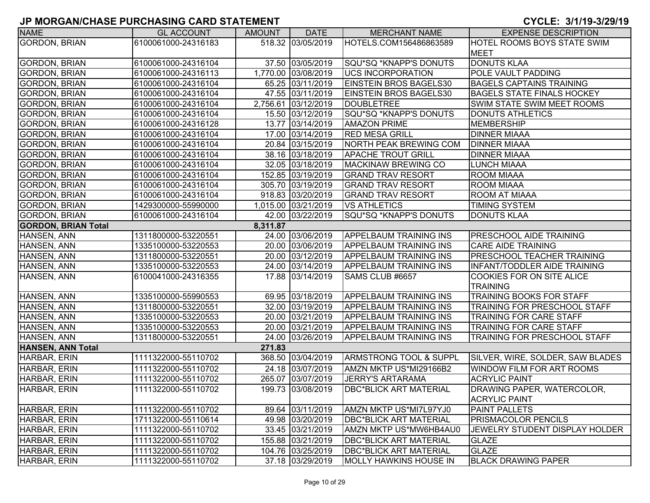| <b>NAME</b>                | <b>GL ACCOUNT</b>   | <b>AMOUNT</b> | <b>DATE</b>         | <b>MERCHANT NAME</b>          | <b>EXPENSE DESCRIPTION</b>          |
|----------------------------|---------------------|---------------|---------------------|-------------------------------|-------------------------------------|
| <b>GORDON, BRIAN</b>       | 6100061000-24316183 |               | 518.32 03/05/2019   | HOTELS.COM156486863589        | <b>HOTEL ROOMS BOYS STATE SWIM</b>  |
|                            |                     |               |                     |                               | <b>MEET</b>                         |
| <b>GORDON, BRIAN</b>       | 6100061000-24316104 |               | 37.50 03/05/2019    | SQU*SQ *KNAPP'S DONUTS        | <b>DONUTS KLAA</b>                  |
| <b>GORDON, BRIAN</b>       | 6100061000-24316113 |               | 1,770.00 03/08/2019 | <b>UCS INCORPORATION</b>      | <b>POLE VAULT PADDING</b>           |
| <b>GORDON, BRIAN</b>       | 6100061000-24316104 |               | 65.25 03/11/2019    | <b>EINSTEIN BROS BAGELS30</b> | <b>BAGELS CAPTAINS TRAINING</b>     |
| <b>GORDON, BRIAN</b>       | 6100061000-24316104 |               | 47.55 03/11/2019    | <b>EINSTEIN BROS BAGELS30</b> | <b>BAGELS STATE FINALS HOCKEY</b>   |
| <b>GORDON, BRIAN</b>       | 6100061000-24316104 |               | 2,756.61 03/12/2019 | <b>DOUBLETREE</b>             | <b>SWIM STATE SWIM MEET ROOMS</b>   |
| <b>GORDON, BRIAN</b>       | 6100061000-24316104 |               | 15.50 03/12/2019    | SQU*SQ *KNAPP'S DONUTS        | <b>DONUTS ATHLETICS</b>             |
| <b>GORDON, BRIAN</b>       | 6100061000-24316128 |               | 13.77 03/14/2019    | <b>AMAZON PRIME</b>           | <b>MEMBERSHIP</b>                   |
| <b>GORDON, BRIAN</b>       | 6100061000-24316104 |               | 17.00 03/14/2019    | <b>RED MESA GRILL</b>         | <b>DINNER MIAAA</b>                 |
| <b>GORDON, BRIAN</b>       | 6100061000-24316104 |               | 20.84 03/15/2019    | <b>NORTH PEAK BREWING COM</b> | <b>DINNER MIAAA</b>                 |
| <b>GORDON, BRIAN</b>       | 6100061000-24316104 |               | 38.16 03/18/2019    | <b>APACHE TROUT GRILL</b>     | <b>DINNER MIAAA</b>                 |
| <b>GORDON, BRIAN</b>       | 6100061000-24316104 |               | 32.05 03/18/2019    | <b>MACKINAW BREWING CO</b>    | <b>LUNCH MIAAA</b>                  |
| <b>GORDON, BRIAN</b>       | 6100061000-24316104 |               | 152.85 03/19/2019   | <b>GRAND TRAV RESORT</b>      | <b>ROOM MIAAA</b>                   |
| <b>GORDON, BRIAN</b>       | 6100061000-24316104 |               | 305.70 03/19/2019   | <b>GRAND TRAV RESORT</b>      | <b>ROOM MIAAA</b>                   |
| <b>GORDON, BRIAN</b>       | 6100061000-24316104 |               | 918.83 03/20/2019   | <b>GRAND TRAV RESORT</b>      | <b>ROOM AT MIAAA</b>                |
| <b>GORDON, BRIAN</b>       | 1429300000-55990000 |               | 1,015.00 03/21/2019 | <b>VS ATHLETICS</b>           | <b>TIMING SYSTEM</b>                |
| <b>GORDON, BRIAN</b>       | 6100061000-24316104 |               | 42.00 03/22/2019    | SQU*SQ *KNAPP'S DONUTS        | <b>DONUTS KLAA</b>                  |
| <b>GORDON, BRIAN Total</b> |                     | 8,311.87      |                     |                               |                                     |
| HANSEN, ANN                | 1311800000-53220551 |               | 24.00 03/06/2019    | <b>APPELBAUM TRAINING INS</b> | <b>PRESCHOOL AIDE TRAINING</b>      |
| HANSEN, ANN                | 1335100000-53220553 |               | 20.00 03/06/2019    | <b>APPELBAUM TRAINING INS</b> | <b>CARE AIDE TRAINING</b>           |
| HANSEN, ANN                | 1311800000-53220551 |               | 20.00 03/12/2019    | <b>APPELBAUM TRAINING INS</b> | <b>PRESCHOOL TEACHER TRAINING</b>   |
| HANSEN, ANN                | 1335100000-53220553 |               | 24.00 03/14/2019    | <b>APPELBAUM TRAINING INS</b> | <b>INFANT/TODDLER AIDE TRAINING</b> |
| HANSEN, ANN                | 6100041000-24316355 |               | 17.88 03/14/2019    | SAMS CLUB #6657               | <b>COOKIES FOR ON SITE ALICE</b>    |
|                            |                     |               |                     |                               | <b>TRAINING</b>                     |
| HANSEN, ANN                | 1335100000-55990553 |               | 69.95 03/18/2019    | <b>APPELBAUM TRAINING INS</b> | TRAINING BOOKS FOR STAFF            |
| HANSEN, ANN                | 1311800000-53220551 |               | 32.00 03/19/2019    | <b>APPELBAUM TRAINING INS</b> | TRAINING FOR PRESCHOOL STAFF        |
| HANSEN, ANN                | 1335100000-53220553 |               | 20.00 03/21/2019    | <b>APPELBAUM TRAINING INS</b> | <b>TRAINING FOR CARE STAFF</b>      |
| HANSEN, ANN                | 1335100000-53220553 |               | 20.00 03/21/2019    | <b>APPELBAUM TRAINING INS</b> | <b>TRAINING FOR CARE STAFF</b>      |
| HANSEN, ANN                | 1311800000-53220551 |               | 24.00 03/26/2019    | <b>APPELBAUM TRAINING INS</b> | TRAINING FOR PRESCHOOL STAFF        |
| <b>HANSEN, ANN Total</b>   |                     | 271.83        |                     |                               |                                     |
| HARBAR, ERIN               | 1111322000-55110702 |               | 368.50 03/04/2019   | ARMSTRONG TOOL & SUPPL        | SILVER, WIRE, SOLDER, SAW BLADES    |
| HARBAR, ERIN               | 1111322000-55110702 |               | 24.18 03/07/2019    | AMZN MKTP US*MI29166B2        | <b>WINDOW FILM FOR ART ROOMS</b>    |
| HARBAR, ERIN               | 1111322000-55110702 |               | 265.07 03/07/2019   | <b>JERRY'S ARTARAMA</b>       | <b>ACRYLIC PAINT</b>                |
| HARBAR, ERIN               | 1111322000-55110702 |               | 199.73 03/08/2019   | <b>DBC*BLICK ART MATERIAL</b> | DRAWING PAPER, WATERCOLOR,          |
|                            |                     |               |                     |                               | <b>ACRYLIC PAINT</b>                |
| HARBAR, ERIN               | 1111322000-55110702 |               | 89.64 03/11/2019    | AMZN MKTP US*MI7L97YJ0        | <b>PAINT PALLETS</b>                |
| HARBAR, ERIN               | 1711322000-55110614 |               | 49.98 03/20/2019    | <b>DBC*BLICK ART MATERIAL</b> | <b>PRISMACOLOR PENCILS</b>          |
| HARBAR, ERIN               | 1111322000-55110702 |               | 33.45 03/21/2019    | AMZN MKTP US*MW6HB4AU0        | JEWELRY STUDENT DISPLAY HOLDER      |
| HARBAR, ERIN               | 1111322000-55110702 |               | 155.88 03/21/2019   | <b>DBC*BLICK ART MATERIAL</b> | <b>GLAZE</b>                        |
| HARBAR, ERIN               | 1111322000-55110702 |               | 104.76 03/25/2019   | <b>DBC*BLICK ART MATERIAL</b> | <b>GLAZE</b>                        |
| HARBAR, ERIN               | 1111322000-55110702 |               | 37.18 03/29/2019    | <b>MOLLY HAWKINS HOUSE IN</b> | <b>BLACK DRAWING PAPER</b>          |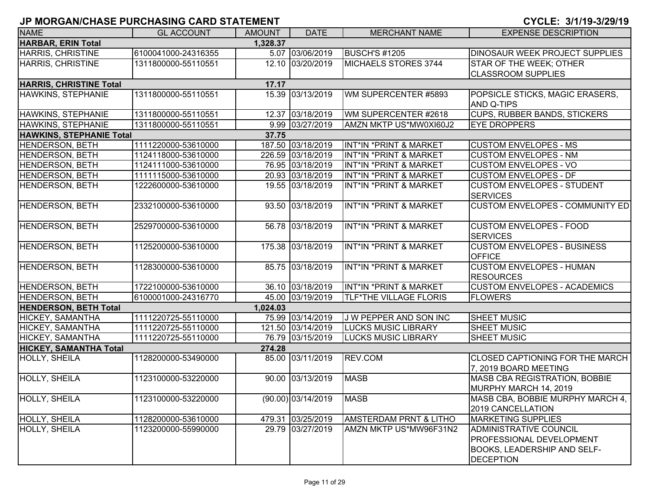| <b>NAME</b>                           | <b>GL ACCOUNT</b>   | <b>AMOUNT</b> | <b>DATE</b>          | <b>MERCHANT NAME</b>              | <b>EXPENSE DESCRIPTION</b>             |  |  |  |
|---------------------------------------|---------------------|---------------|----------------------|-----------------------------------|----------------------------------------|--|--|--|
| <b>HARBAR, ERIN Total</b><br>1,328.37 |                     |               |                      |                                   |                                        |  |  |  |
| HARRIS, CHRISTINE                     | 6100041000-24316355 |               | 5.07 03/06/2019      | <b>BUSCH'S #1205</b>              | <b>DINOSAUR WEEK PROJECT SUPPLIES</b>  |  |  |  |
| <b>HARRIS, CHRISTINE</b>              | 1311800000-55110551 |               | 12.10 03/20/2019     | MICHAELS STORES 3744              | <b>STAR OF THE WEEK; OTHER</b>         |  |  |  |
|                                       |                     |               |                      |                                   | <b>CLASSROOM SUPPLIES</b>              |  |  |  |
| <b>HARRIS, CHRISTINE Total</b>        |                     | 17.17         |                      |                                   |                                        |  |  |  |
| HAWKINS, STEPHANIE                    | 1311800000-55110551 |               | 15.39 03/13/2019     | WM SUPERCENTER #5893              | POPSICLE STICKS, MAGIC ERASERS,        |  |  |  |
|                                       |                     |               |                      |                                   | AND Q-TIPS                             |  |  |  |
| <b>HAWKINS, STEPHANIE</b>             | 1311800000-55110551 |               | 12.37 03/18/2019     | WM SUPERCENTER #2618              | <b>CUPS, RUBBER BANDS, STICKERS</b>    |  |  |  |
| <b>HAWKINS, STEPHANIE</b>             | 1311800000-55110551 |               | 9.99 03/27/2019      | AMZN MKTP US*MW0XI60J2            | <b>EYE DROPPERS</b>                    |  |  |  |
| <b>HAWKINS, STEPHANIE Total</b>       |                     | 37.75         |                      |                                   |                                        |  |  |  |
| HENDERSON, BETH                       | 1111220000-53610000 |               | 187.50 03/18/2019    | INT*IN *PRINT & MARKET            | <b>CUSTOM ENVELOPES - MS</b>           |  |  |  |
| HENDERSON, BETH                       | 1124118000-53610000 |               | 226.59 03/18/2019    | INT*IN *PRINT & MARKET            | <b>CUSTOM ENVELOPES - NM</b>           |  |  |  |
| HENDERSON, BETH                       | 1124111000-53610000 |               | 76.95 03/18/2019     | INT*IN *PRINT & MARKET            | <b>CUSTOM ENVELOPES - VO</b>           |  |  |  |
| HENDERSON, BETH                       | 1111115000-53610000 |               | 20.93 03/18/2019     | <b>INT*IN *PRINT &amp; MARKET</b> | <b>CUSTOM ENVELOPES - DF</b>           |  |  |  |
| HENDERSON, BETH                       | 1222600000-53610000 |               | 19.55 03/18/2019     | INT*IN *PRINT & MARKET            | <b>CUSTOM ENVELOPES - STUDENT</b>      |  |  |  |
|                                       |                     |               |                      |                                   | <b>SERVICES</b>                        |  |  |  |
| <b>HENDERSON, BETH</b>                | 2332100000-53610000 |               | 93.50 03/18/2019     | INT*IN *PRINT & MARKET            | <b>CUSTOM ENVELOPES - COMMUNITY ED</b> |  |  |  |
|                                       |                     |               |                      |                                   |                                        |  |  |  |
| <b>HENDERSON, BETH</b>                | 2529700000-53610000 |               | 56.78 03/18/2019     | INT*IN *PRINT & MARKET            | <b>CUSTOM ENVELOPES - FOOD</b>         |  |  |  |
|                                       |                     |               |                      |                                   | <b>SERVICES</b>                        |  |  |  |
| <b>HENDERSON, BETH</b>                | 1125200000-53610000 |               | 175.38 03/18/2019    | INT*IN *PRINT & MARKET            | <b>CUSTOM ENVELOPES - BUSINESS</b>     |  |  |  |
|                                       |                     |               |                      |                                   | <b>OFFICE</b>                          |  |  |  |
| HENDERSON, BETH                       | 1128300000-53610000 |               | 85.75 03/18/2019     | INT*IN *PRINT & MARKET            | <b>CUSTOM ENVELOPES - HUMAN</b>        |  |  |  |
|                                       |                     |               |                      |                                   | <b>RESOURCES</b>                       |  |  |  |
| <b>HENDERSON, BETH</b>                | 1722100000-53610000 |               | 36.10 03/18/2019     | INT*IN *PRINT & MARKET            | <b>CUSTOM ENVELOPES - ACADEMICS</b>    |  |  |  |
| <b>HENDERSON, BETH</b>                | 6100001000-24316770 |               | 45.00 03/19/2019     | <b>TLF*THE VILLAGE FLORIS</b>     | <b>FLOWERS</b>                         |  |  |  |
| <b>HENDERSON, BETH Total</b>          |                     | 1,024.03      |                      |                                   |                                        |  |  |  |
| HICKEY, SAMANTHA                      | 1111220725-55110000 |               | 75.99 03/14/2019     | J W PEPPER AND SON INC            | <b>SHEET MUSIC</b>                     |  |  |  |
| HICKEY, SAMANTHA                      | 1111220725-55110000 |               | 121.50 03/14/2019    | <b>LUCKS MUSIC LIBRARY</b>        | <b>SHEET MUSIC</b>                     |  |  |  |
| HICKEY, SAMANTHA                      | 1111220725-55110000 |               | 76.79 03/15/2019     | <b>LUCKS MUSIC LIBRARY</b>        | <b>SHEET MUSIC</b>                     |  |  |  |
| <b>HICKEY, SAMANTHA Total</b>         |                     | 274.28        |                      |                                   |                                        |  |  |  |
| HOLLY, SHEILA                         | 1128200000-53490000 |               | 85.00 03/11/2019     | REV.COM                           | <b>CLOSED CAPTIONING FOR THE MARCH</b> |  |  |  |
|                                       |                     |               |                      |                                   | 7, 2019 BOARD MEETING                  |  |  |  |
| HOLLY, SHEILA                         | 1123100000-53220000 |               | 90.00 03/13/2019     | <b>MASB</b>                       | MASB CBA REGISTRATION, BOBBIE          |  |  |  |
|                                       |                     |               |                      |                                   | MURPHY MARCH 14, 2019                  |  |  |  |
| <b>HOLLY, SHEILA</b>                  | 1123100000-53220000 |               | $(90.00)$ 03/14/2019 | <b>MASB</b>                       | MASB CBA, BOBBIE MURPHY MARCH 4,       |  |  |  |
|                                       |                     |               |                      |                                   | 2019 CANCELLATION                      |  |  |  |
| HOLLY, SHEILA                         | 1128200000-53610000 |               | 479.31 03/25/2019    | <b>AMSTERDAM PRNT &amp; LITHO</b> | <b>MARKETING SUPPLIES</b>              |  |  |  |
| HOLLY, SHEILA                         | 1123200000-55990000 |               | 29.79 03/27/2019     | AMZN MKTP US*MW96F31N2            | ADMINISTRATIVE COUNCIL                 |  |  |  |
|                                       |                     |               |                      |                                   | <b>PROFESSIONAL DEVELOPMENT</b>        |  |  |  |
|                                       |                     |               |                      |                                   | <b>BOOKS, LEADERSHIP AND SELF-</b>     |  |  |  |
|                                       |                     |               |                      |                                   | <b>DECEPTION</b>                       |  |  |  |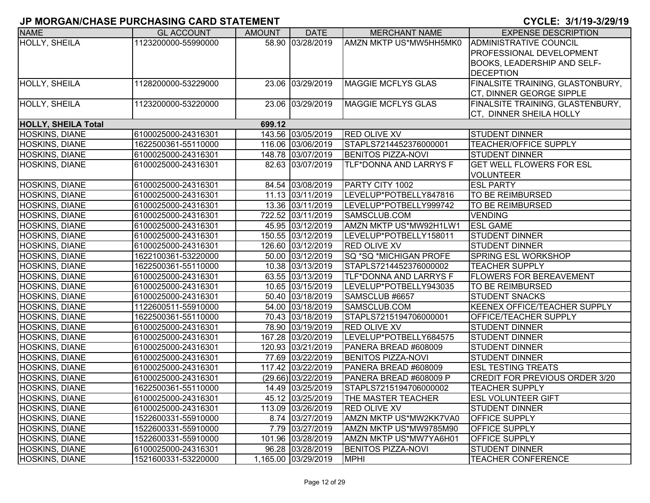| <b>NAME</b>                | <b>GL ACCOUNT</b>   | <b>AMOUNT</b> | <b>DATE</b>         | <b>MERCHANT NAME</b>          | <b>EXPENSE DESCRIPTION</b>            |
|----------------------------|---------------------|---------------|---------------------|-------------------------------|---------------------------------------|
| HOLLY, SHEILA              | 1123200000-55990000 |               | 58.90 03/28/2019    | AMZN MKTP US*MW5HH5MK0        | <b>ADMINISTRATIVE COUNCIL</b>         |
|                            |                     |               |                     |                               | <b>PROFESSIONAL DEVELOPMENT</b>       |
|                            |                     |               |                     |                               | <b>BOOKS, LEADERSHIP AND SELF-</b>    |
|                            |                     |               |                     |                               | <b>DECEPTION</b>                      |
| HOLLY, SHEILA              | 1128200000-53229000 |               | 23.06 03/29/2019    | <b>MAGGIE MCFLYS GLAS</b>     | FINALSITE TRAINING, GLASTONBURY,      |
|                            |                     |               |                     |                               | CT, DINNER GEORGE SIPPLE              |
| HOLLY, SHEILA              | 1123200000-53220000 |               | 23.06 03/29/2019    | <b>MAGGIE MCFLYS GLAS</b>     | FINALSITE TRAINING, GLASTENBURY,      |
|                            |                     |               |                     |                               | CT, DINNER SHEILA HOLLY               |
| <b>HOLLY, SHEILA Total</b> |                     | 699.12        |                     |                               |                                       |
| <b>HOSKINS, DIANE</b>      | 6100025000-24316301 |               | 143.56 03/05/2019   | <b>RED OLIVE XV</b>           | <b>STUDENT DINNER</b>                 |
| HOSKINS, DIANE             | 1622500361-55110000 |               | 116.06 03/06/2019   | STAPLS7214452376000001        | <b>TEACHER/OFFICE SUPPLY</b>          |
| <b>HOSKINS, DIANE</b>      | 6100025000-24316301 |               | 148.78 03/07/2019   | <b>BENITOS PIZZA-NOVI</b>     | <b>STUDENT DINNER</b>                 |
| HOSKINS, DIANE             | 6100025000-24316301 |               | 82.63 03/07/2019    | TLF*DONNA AND LARRYS F        | <b>GET WELL FLOWERS FOR ESL</b>       |
|                            |                     |               |                     |                               | <b>VOLUNTEER</b>                      |
| <b>HOSKINS, DIANE</b>      | 6100025000-24316301 |               | 84.54 03/08/2019    | PARTY CITY 1002               | <b>ESL PARTY</b>                      |
| HOSKINS, DIANE             | 6100025000-24316301 |               | 11.13 03/11/2019    | LEVELUP*POTBELLY847816        | <b>TO BE REIMBURSED</b>               |
| HOSKINS, DIANE             | 6100025000-24316301 |               | 13.36 03/11/2019    | LEVELUP*POTBELLY999742        | <b>TO BE REIMBURSED</b>               |
| HOSKINS, DIANE             | 6100025000-24316301 |               | 722.52 03/11/2019   | SAMSCLUB.COM                  | <b>VENDING</b>                        |
| HOSKINS, DIANE             | 6100025000-24316301 |               | 45.95 03/12/2019    | AMZN MKTP US*MW92H1LW1        | <b>ESL GAME</b>                       |
| HOSKINS, DIANE             | 6100025000-24316301 |               | 150.55 03/12/2019   | LEVELUP*POTBELLY158011        | <b>STUDENT DINNER</b>                 |
| HOSKINS, DIANE             | 6100025000-24316301 |               | 126.60 03/12/2019   | <b>RED OLIVE XV</b>           | <b>STUDENT DINNER</b>                 |
| HOSKINS, DIANE             | 1622100361-53220000 |               | 50.00 03/12/2019    | SQ *SQ *MICHIGAN PROFE        | <b>SPRING ESL WORKSHOP</b>            |
| HOSKINS, DIANE             | 1622500361-55110000 |               | 10.38 03/13/2019    | STAPLS7214452376000002        | <b>TEACHER SUPPLY</b>                 |
| HOSKINS, DIANE             | 6100025000-24316301 |               | 63.55 03/13/2019    | <b>TLF*DONNA AND LARRYS F</b> | <b>FLOWERS FOR BEREAVEMENT</b>        |
| HOSKINS, DIANE             | 6100025000-24316301 |               | 10.65 03/15/2019    | LEVELUP*POTBELLY943035        | TO BE REIMBURSED                      |
| HOSKINS, DIANE             | 6100025000-24316301 |               | 50.40 03/18/2019    | SAMSCLUB #6657                | <b>STUDENT SNACKS</b>                 |
| HOSKINS, DIANE             | 1122600511-55910000 |               | 54.00 03/18/2019    | SAMSCLUB.COM                  | KEENEX OFFICE/TEACHER SUPPLY          |
| HOSKINS, DIANE             | 1622500361-55110000 |               | 70.43 03/18/2019    | STAPLS7215194706000001        | <b>OFFICE/TEACHER SUPPLY</b>          |
| <b>HOSKINS, DIANE</b>      | 6100025000-24316301 |               | 78.90 03/19/2019    | <b>RED OLIVE XV</b>           | <b>STUDENT DINNER</b>                 |
| HOSKINS, DIANE             | 6100025000-24316301 |               | 167.28 03/20/2019   | LEVELUP*POTBELLY684575        | <b>STUDENT DINNER</b>                 |
| HOSKINS, DIANE             | 6100025000-24316301 |               | 120.93 03/21/2019   | PANERA BREAD #608009          | <b>STUDENT DINNER</b>                 |
| HOSKINS, DIANE             | 6100025000-24316301 |               | 77.69 03/22/2019    | <b>BENITOS PIZZA-NOVI</b>     | <b>STUDENT DINNER</b>                 |
| HOSKINS, DIANE             | 6100025000-24316301 |               | 117.42 03/22/2019   | PANERA BREAD #608009          | <b>ESL TESTING TREATS</b>             |
| <b>HOSKINS, DIANE</b>      | 6100025000-24316301 |               | (29.66) 03/22/2019  | PANERA BREAD #608009 P        | <b>CREDIT FOR PREVIOUS ORDER 3/20</b> |
| HOSKINS, DIANE             | 1622500361-55110000 |               | 14.49 03/25/2019    | STAPLS7215194706000002        | <b>TEACHER SUPPLY</b>                 |
| <b>HOSKINS, DIANE</b>      | 6100025000-24316301 |               | 45.12 03/25/2019    | THE MASTER TEACHER            | <b>ESL VOLUNTEER GIFT</b>             |
| HOSKINS, DIANE             | 6100025000-24316301 |               | 113.09 03/26/2019   | <b>RED OLIVE XV</b>           | <b>STUDENT DINNER</b>                 |
| HOSKINS, DIANE             | 1522600331-55910000 |               | 8.74 03/27/2019     | AMZN MKTP US*MW2KK7VA0        | <b>OFFICE SUPPLY</b>                  |
| <b>HOSKINS, DIANE</b>      | 1522600331-55910000 |               | 7.79 03/27/2019     | AMZN MKTP US*MW9785M90        | <b>OFFICE SUPPLY</b>                  |
| HOSKINS, DIANE             | 1522600331-55910000 |               | 101.96 03/28/2019   | AMZN MKTP US*MW7YA6H01        | <b>OFFICE SUPPLY</b>                  |
| <b>HOSKINS, DIANE</b>      | 6100025000-24316301 |               | 96.28 03/28/2019    | <b>BENITOS PIZZA-NOVI</b>     | <b>STUDENT DINNER</b>                 |
| HOSKINS, DIANE             | 1521600331-53220000 |               | 1,165.00 03/29/2019 | <b>MPHI</b>                   | <b>TEACHER CONFERENCE</b>             |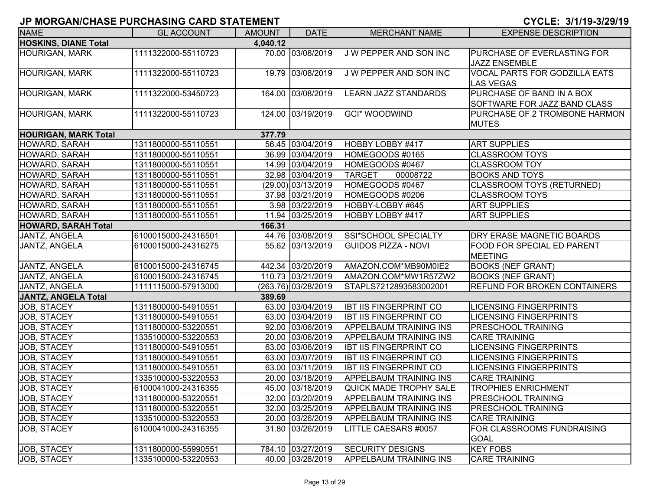| <b>NAME</b>                 | <b>GL ACCOUNT</b>   | <b>AMOUNT</b> | <b>DATE</b>         | <b>MERCHANT NAME</b>          | <b>EXPENSE DESCRIPTION</b>                                 |
|-----------------------------|---------------------|---------------|---------------------|-------------------------------|------------------------------------------------------------|
| <b>HOSKINS, DIANE Total</b> |                     | 4,040.12      |                     |                               |                                                            |
| <b>HOURIGAN, MARK</b>       | 1111322000-55110723 |               | 70.00 03/08/2019    | J W PEPPER AND SON INC        | <b>PURCHASE OF EVERLASTING FOR</b><br><b>JAZZ ENSEMBLE</b> |
| <b>HOURIGAN, MARK</b>       | 1111322000-55110723 |               | 19.79 03/08/2019    | J W PEPPER AND SON INC        | <b>VOCAL PARTS FOR GODZILLA EATS</b><br><b>LAS VEGAS</b>   |
| <b>HOURIGAN, MARK</b>       | 1111322000-53450723 |               | 164.00 03/08/2019   | <b>LEARN JAZZ STANDARDS</b>   | PURCHASE OF BAND IN A BOX<br>SOFTWARE FOR JAZZ BAND CLASS  |
| <b>HOURIGAN, MARK</b>       | 1111322000-55110723 |               | 124.00 03/19/2019   | <b>GCI* WOODWIND</b>          | PURCHASE OF 2 TROMBONE HARMON<br><b>MUTES</b>              |
| <b>HOURIGAN, MARK Total</b> |                     | 377.79        |                     |                               |                                                            |
| HOWARD, SARAH               | 1311800000-55110551 |               | 56.45 03/04/2019    | HOBBY LOBBY #417              | <b>ART SUPPLIES</b>                                        |
| HOWARD, SARAH               | 1311800000-55110551 |               | 36.99 03/04/2019    | HOMEGOODS #0165               | <b>CLASSROOM TOYS</b>                                      |
| HOWARD, SARAH               | 1311800000-55110551 |               | 14.99 03/04/2019    | HOMEGOODS #0467               | <b>CLASSROOM TOY</b>                                       |
| HOWARD, SARAH               | 1311800000-55110551 |               | 32.98 03/04/2019    | <b>TARGET</b><br>00008722     | <b>BOOKS AND TOYS</b>                                      |
| HOWARD, SARAH               | 1311800000-55110551 |               | (29.00) 03/13/2019  | HOMEGOODS #0467               | CLASSROOM TOYS (RETURNED)                                  |
| HOWARD, SARAH               | 1311800000-55110551 |               | 37.98 03/21/2019    | HOMEGOODS #0206               | <b>CLASSROOM TOYS</b>                                      |
| HOWARD, SARAH               | 1311800000-55110551 |               | 3.98 03/22/2019     | HOBBY-LOBBY #645              | <b>ART SUPPLIES</b>                                        |
| HOWARD, SARAH               | 1311800000-55110551 |               | 11.94 03/25/2019    | HOBBY LOBBY #417              | <b>ART SUPPLIES</b>                                        |
| <b>HOWARD, SARAH Total</b>  |                     | 166.31        |                     |                               |                                                            |
| JANTZ, ANGELA               | 6100015000-24316501 |               | 44.76 03/08/2019    | SSI*SCHOOL SPECIALTY          | <b>DRY ERASE MAGNETIC BOARDS</b>                           |
| JANTZ, ANGELA               | 6100015000-24316275 |               | 55.62 03/13/2019    | <b>GUIDOS PIZZA - NOVI</b>    | <b>FOOD FOR SPECIAL ED PARENT</b><br><b>MEETING</b>        |
| JANTZ, ANGELA               | 6100015000-24316745 |               | 442.34 03/20/2019   | AMAZON.COM*MB90M0IE2          | <b>BOOKS (NEF GRANT)</b>                                   |
| JANTZ, ANGELA               | 6100015000-24316745 |               | 110.73 03/21/2019   | AMAZON.COM*MW1R57ZW2          | <b>BOOKS (NEF GRANT)</b>                                   |
| JANTZ, ANGELA               | 1111115000-57913000 |               | (263.76) 03/28/2019 | STAPLS7212893583002001        | <b>REFUND FOR BROKEN CONTAINERS</b>                        |
| <b>JANTZ, ANGELA Total</b>  |                     | 389.69        |                     |                               |                                                            |
| JOB, STACEY                 | 1311800000-54910551 |               | 63.00 03/04/2019    | <b>IBT IIS FINGERPRINT CO</b> | <b>LICENSING FINGERPRINTS</b>                              |
| JOB, STACEY                 | 1311800000-54910551 |               | 63.00 03/04/2019    | <b>IBT IIS FINGERPRINT CO</b> | <b>LICENSING FINGERPRINTS</b>                              |
| JOB, STACEY                 | 1311800000-53220551 |               | 92.00 03/06/2019    | <b>APPELBAUM TRAINING INS</b> | <b>PRESCHOOL TRAINING</b>                                  |
| JOB, STACEY                 | 1335100000-53220553 |               | 20.00 03/06/2019    | <b>APPELBAUM TRAINING INS</b> | <b>CARE TRAINING</b>                                       |
| JOB, STACEY                 | 1311800000-54910551 |               | 63.00 03/06/2019    | <b>IBT IIS FINGERPRINT CO</b> | <b>LICENSING FINGERPRINTS</b>                              |
| JOB, STACEY                 | 1311800000-54910551 |               | 63.00 03/07/2019    | <b>IBT IIS FINGERPRINT CO</b> | <b>LICENSING FINGERPRINTS</b>                              |
| JOB, STACEY                 | 1311800000-54910551 |               | 63.00 03/11/2019    | <b>IBT IIS FINGERPRINT CO</b> | <b>LICENSING FINGERPRINTS</b>                              |
| JOB, STACEY                 | 1335100000-53220553 |               | 20.00 03/18/2019    | APPELBAUM TRAINING INS        | <b>CARE TRAINING</b>                                       |
| JOB, STACEY                 | 6100041000-24316355 |               | 45.00 03/18/2019    | <b>QUICK MADE TROPHY SALE</b> | <b>TROPHIES ENRICHMENT</b>                                 |
| <b>JOB, STACEY</b>          | 1311800000-53220551 |               | 32.00 03/20/2019    | <b>APPELBAUM TRAINING INS</b> | <b>PRESCHOOL TRAINING</b>                                  |
| JOB, STACEY                 | 1311800000-53220551 |               | 32.00 03/25/2019    | <b>APPELBAUM TRAINING INS</b> | <b>PRESCHOOL TRAINING</b>                                  |
| JOB, STACEY                 | 1335100000-53220553 |               | 20.00 03/26/2019    | <b>APPELBAUM TRAINING INS</b> | <b>CARE TRAINING</b>                                       |
| <b>JOB, STACEY</b>          | 6100041000-24316355 |               | 31.80 03/26/2019    | LITTLE CAESARS #0057          | IFOR CLASSROOMS FUNDRAISING<br><b>GOAL</b>                 |
| JOB, STACEY                 | 1311800000-55990551 |               | 784.10 03/27/2019   | <b>SECURITY DESIGNS</b>       | <b>KEY FOBS</b>                                            |
| JOB, STACEY                 | 1335100000-53220553 |               | 40.00 03/28/2019    | <b>APPELBAUM TRAINING INS</b> | <b>CARE TRAINING</b>                                       |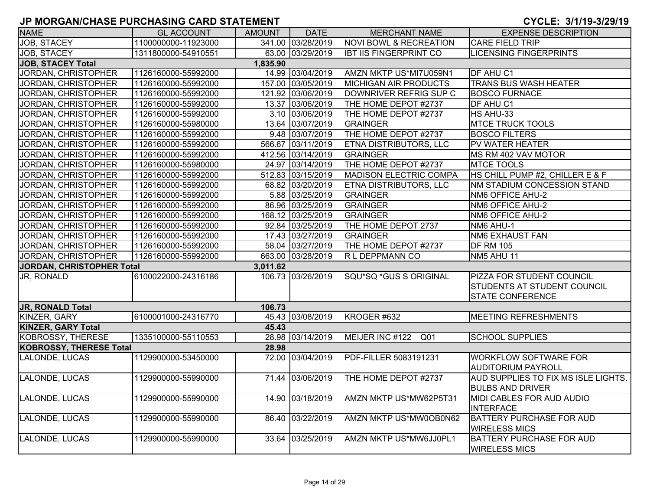| <b>NAME</b>                          | <b>GL ACCOUNT</b>   | AMOUNT   | <b>DATE</b>       | <b>MERCHANT NAME</b>              | <b>EXPENSE DESCRIPTION</b>                                |  |  |  |  |
|--------------------------------------|---------------------|----------|-------------------|-----------------------------------|-----------------------------------------------------------|--|--|--|--|
| JOB, STACEY                          | 1100000000-11923000 |          | 341.00 03/28/2019 | <b>NOVI BOWL &amp; RECREATION</b> | <b>CARE FIELD TRIP</b>                                    |  |  |  |  |
| <b>JOB, STACEY</b>                   | 1311800000-54910551 |          | 63.00 03/29/2019  | <b>IBT IIS FINGERPRINT CO</b>     | <b>LICENSING FINGERPRINTS</b>                             |  |  |  |  |
| <b>JOB, STACEY Total</b><br>1,835.90 |                     |          |                   |                                   |                                                           |  |  |  |  |
| JORDAN, CHRISTOPHER                  | 1126160000-55992000 |          | 14.99 03/04/2019  | AMZN MKTP US*MI7U059N1            | <b>DF AHU C1</b>                                          |  |  |  |  |
| JORDAN, CHRISTOPHER                  | 1126160000-55992000 |          | 157.00 03/05/2019 | <b>MICHIGAN AIR PRODUCTS</b>      | <b>TRANS BUS WASH HEATER</b>                              |  |  |  |  |
| JORDAN, CHRISTOPHER                  | 1126160000-55992000 |          | 121.92 03/06/2019 | DOWNRIVER REFRIG SUP C            | <b>BOSCO FURNACE</b>                                      |  |  |  |  |
| JORDAN, CHRISTOPHER                  | 1126160000-55992000 |          | 13.37 03/06/2019  | THE HOME DEPOT #2737              | DF AHU C1                                                 |  |  |  |  |
| JORDAN, CHRISTOPHER                  | 1126160000-55992000 |          | 3.10 03/06/2019   | THE HOME DEPOT #2737              | HS AHU-33                                                 |  |  |  |  |
| JORDAN, CHRISTOPHER                  | 1126160000-55980000 |          | 13.64 03/07/2019  | <b>GRAINGER</b>                   | <b>MTCE TRUCK TOOLS</b>                                   |  |  |  |  |
| JORDAN, CHRISTOPHER                  | 1126160000-55992000 |          | 9.48 03/07/2019   | THE HOME DEPOT #2737              | <b>BOSCO FILTERS</b>                                      |  |  |  |  |
| <b>JORDAN, CHRISTOPHER</b>           | 1126160000-55992000 |          | 566.67 03/11/2019 | ETNA DISTRIBUTORS, LLC            | PV WATER HEATER                                           |  |  |  |  |
| JORDAN, CHRISTOPHER                  | 1126160000-55992000 |          | 412.56 03/14/2019 | <b>GRAINGER</b>                   | MS RM 402 VAV MOTOR                                       |  |  |  |  |
| JORDAN, CHRISTOPHER                  | 1126160000-55980000 |          | 24.97 03/14/2019  | THE HOME DEPOT #2737              | <b>MTCE TOOLS</b>                                         |  |  |  |  |
| JORDAN, CHRISTOPHER                  | 1126160000-55992000 |          | 512.83 03/15/2019 | <b>MADISON ELECTRIC COMPA</b>     | HS CHILL PUMP #2, CHILLER E & F                           |  |  |  |  |
| <b>JORDAN, CHRISTOPHER</b>           | 1126160000-55992000 |          | 68.82 03/20/2019  | ETNA DISTRIBUTORS, LLC            | <b>NM STADIUM CONCESSION STAND</b>                        |  |  |  |  |
| <b>JORDAN, CHRISTOPHER</b>           | 1126160000-55992000 |          | 5.88 03/25/2019   | <b>GRAINGER</b>                   | NM6 OFFICE AHU-2                                          |  |  |  |  |
| <b>JORDAN, CHRISTOPHER</b>           | 1126160000-55992000 |          | 86.96 03/25/2019  | GRAINGER                          | NM6 OFFICE AHU-2                                          |  |  |  |  |
| JORDAN, CHRISTOPHER                  | 1126160000-55992000 |          | 168.12 03/25/2019 | <b>GRAINGER</b>                   | NM6 OFFICE AHU-2                                          |  |  |  |  |
| <b>JORDAN, CHRISTOPHER</b>           | 1126160000-55992000 |          | 92.84 03/25/2019  | THE HOME DEPOT 2737               | NM6 AHU-1                                                 |  |  |  |  |
| <b>JORDAN, CHRISTOPHER</b>           | 1126160000-55992000 |          | 17.43 03/27/2019  | <b>GRAINGER</b>                   | <b>NM6 EXHAUST FAN</b>                                    |  |  |  |  |
| <b>JORDAN, CHRISTOPHER</b>           | 1126160000-55992000 |          | 58.04 03/27/2019  | THE HOME DEPOT #2737              | <b>DF RM 105</b>                                          |  |  |  |  |
| JORDAN, CHRISTOPHER                  | 1126160000-55992000 |          | 663.00 03/28/2019 | R L DEPPMANN CO                   | NM5 AHU 11                                                |  |  |  |  |
| <b>JORDAN, CHRISTOPHER Total</b>     |                     | 3,011.62 |                   |                                   |                                                           |  |  |  |  |
| JR, RONALD                           | 6100022000-24316186 |          | 106.73 03/26/2019 | SQU*SQ *GUS S ORIGINAL            | PIZZA FOR STUDENT COUNCIL                                 |  |  |  |  |
|                                      |                     |          |                   |                                   | <b>STUDENTS AT STUDENT COUNCIL</b>                        |  |  |  |  |
|                                      |                     |          |                   |                                   | <b>STATE CONFERENCE</b>                                   |  |  |  |  |
| JR, RONALD Total                     |                     | 106.73   |                   |                                   |                                                           |  |  |  |  |
| KINZER, GARY                         | 6100001000-24316770 |          | 45.43 03/08/2019  | KROGER #632                       | MEETING REFRESHMENTS                                      |  |  |  |  |
| <b>KINZER, GARY Total</b>            |                     | 45.43    |                   |                                   |                                                           |  |  |  |  |
| KOBROSSY, THERESE                    | 1335100000-55110553 |          | 28.98 03/14/2019  | MEIJER INC #122<br>Q01            | <b>SCHOOL SUPPLIES</b>                                    |  |  |  |  |
| <b>KOBROSSY, THERESE Total</b>       |                     | 28.98    |                   |                                   |                                                           |  |  |  |  |
| LALONDE, LUCAS                       | 1129900000-53450000 |          | 72.00 03/04/2019  | PDF-FILLER 5083191231             | <b>WORKFLOW SOFTWARE FOR</b><br><b>AUDITORIUM PAYROLL</b> |  |  |  |  |
| LALONDE, LUCAS                       | 1129900000-55990000 | 71.44    | 03/06/2019        | THE HOME DEPOT #2737              | AUD SUPPLIES TO FIX MS ISLE LIGHTS.                       |  |  |  |  |
|                                      |                     |          |                   |                                   | <b>BULBS AND DRIVER</b>                                   |  |  |  |  |
| LALONDE, LUCAS                       | 1129900000-55990000 |          | 14.90 03/18/2019  | AMZN MKTP US*MW62P5T31            | MIDI CABLES FOR AUD AUDIO                                 |  |  |  |  |
|                                      |                     |          |                   |                                   | <b>INTERFACE</b>                                          |  |  |  |  |
| LALONDE, LUCAS                       | 1129900000-55990000 |          | 86.40 03/22/2019  | AMZN MKTP US*MW0OB0N62            | <b>BATTERY PURCHASE FOR AUD</b>                           |  |  |  |  |
|                                      |                     |          |                   |                                   | <b>WIRELESS MICS</b>                                      |  |  |  |  |
| LALONDE, LUCAS                       | 1129900000-55990000 |          | 33.64 03/25/2019  | AMZN MKTP US*MW6JJ0PL1            | <b>BATTERY PURCHASE FOR AUD</b>                           |  |  |  |  |
|                                      |                     |          |                   |                                   | <b>WIRELESS MICS</b>                                      |  |  |  |  |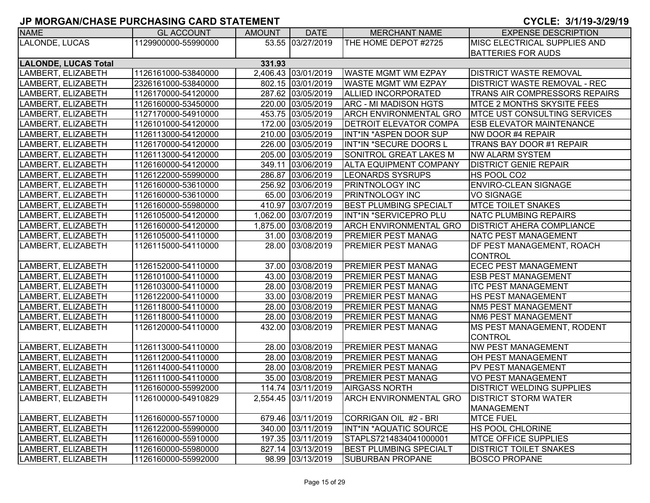| <b>NAME</b>                 | <b>GL ACCOUNT</b>   | <b>AMOUNT</b> | <b>DATE</b>         | <b>MERCHANT NAME</b>          | <b>EXPENSE DESCRIPTION</b>           |
|-----------------------------|---------------------|---------------|---------------------|-------------------------------|--------------------------------------|
| LALONDE, LUCAS              | 1129900000-55990000 |               | 53.55 03/27/2019    | THE HOME DEPOT #2725          | MISC ELECTRICAL SUPPLIES AND         |
|                             |                     |               |                     |                               | <b>BATTERIES FOR AUDS</b>            |
| <b>LALONDE, LUCAS Total</b> |                     | 331.93        |                     |                               |                                      |
| LAMBERT, ELIZABETH          | 1126161000-53840000 |               | 2,406.43 03/01/2019 | <b>WASTE MGMT WM EZPAY</b>    | <b>DISTRICT WASTE REMOVAL</b>        |
| LAMBERT, ELIZABETH          | 2326161000-53840000 |               | 802.15 03/01/2019   | <b>WASTE MGMT WM EZPAY</b>    | <b>DISTRICT WASTE REMOVAL - REC</b>  |
| LAMBERT, ELIZABETH          | 1126170000-54120000 |               | 287.62 03/05/2019   | <b>ALLIED INCORPORATED</b>    | <b>TRANS AIR COMPRESSORS REPAIRS</b> |
| LAMBERT, ELIZABETH          | 1126160000-53450000 |               | 220.00 03/05/2019   | <b>ARC - MI MADISON HGTS</b>  | <b>MTCE 2 MONTHS SKYSITE FEES</b>    |
| LAMBERT, ELIZABETH          | 1127170000-54910000 |               | 453.75 03/05/2019   | <b>ARCH ENVIRONMENTAL GRO</b> | <b>IMTCE UST CONSULTING SERVICES</b> |
| LAMBERT, ELIZABETH          | 1126101000-54120000 |               | 172.00 03/05/2019   | <b>DETROIT ELEVATOR COMPA</b> | <b>ESB ELEVATOR MAINTENANCE</b>      |
| LAMBERT, ELIZABETH          | 1126113000-54120000 |               | 210.00 03/05/2019   | INT*IN *ASPEN DOOR SUP        | NW DOOR #4 REPAIR                    |
| LAMBERT, ELIZABETH          | 1126170000-54120000 |               | 226.00 03/05/2019   | INT*IN *SECURE DOORS L        | TRANS BAY DOOR #1 REPAIR             |
| LAMBERT, ELIZABETH          | 1126113000-54120000 |               | 205.00 03/05/2019   | <b>SONITROL GREAT LAKES M</b> | <b>NW ALARM SYSTEM</b>               |
| LAMBERT, ELIZABETH          | 1126160000-54120000 |               | 349.11 03/06/2019   | <b>ALTA EQUIPMENT COMPANY</b> | <b>DISTRICT GENIE REPAIR</b>         |
| LAMBERT, ELIZABETH          | 1126122000-55990000 |               | 286.87 03/06/2019   | <b>LEONARDS SYSRUPS</b>       | HS POOL CO2                          |
| LAMBERT, ELIZABETH          | 1126160000-53610000 |               | 256.92 03/06/2019   | <b>PRINTNOLOGY INC</b>        | <b>ENVIRO-CLEAN SIGNAGE</b>          |
| LAMBERT, ELIZABETH          | 1126160000-53610000 |               | 65.00 03/06/2019    | <b>PRINTNOLOGY INC</b>        | <b>VO SIGNAGE</b>                    |
| LAMBERT, ELIZABETH          | 1126160000-55980000 |               | 410.97 03/07/2019   | <b>BEST PLUMBING SPECIALT</b> | <b>MTCE TOILET SNAKES</b>            |
| LAMBERT, ELIZABETH          | 1126105000-54120000 |               | 1,062.00 03/07/2019 | INT*IN *SERVICEPRO PLU        | <b>NATC PLUMBING REPAIRS</b>         |
| LAMBERT, ELIZABETH          | 1126160000-54120000 |               | 1,875.00 03/08/2019 | <b>ARCH ENVIRONMENTAL GRO</b> | <b>DISTRICT AHERA COMPLIANCE</b>     |
| LAMBERT, ELIZABETH          | 1126105000-54110000 |               | 31.00 03/08/2019    | <b>PREMIER PEST MANAG</b>     | NATC PEST MANAGEMENT                 |
| LAMBERT, ELIZABETH          | 1126115000-54110000 |               | 28.00 03/08/2019    | <b>PREMIER PEST MANAG</b>     | DF PEST MANAGEMENT, ROACH            |
|                             |                     |               |                     |                               | <b>CONTROL</b>                       |
| LAMBERT, ELIZABETH          | 1126152000-54110000 |               | 37.00 03/08/2019    | <b>PREMIER PEST MANAG</b>     | <b>ECEC PEST MANAGEMENT</b>          |
| LAMBERT, ELIZABETH          | 1126101000-54110000 |               | 43.00 03/08/2019    | <b>PREMIER PEST MANAG</b>     | <b>ESB PEST MANAGEMENT</b>           |
| LAMBERT, ELIZABETH          | 1126103000-54110000 |               | 28.00 03/08/2019    | <b>PREMIER PEST MANAG</b>     | <b>ITC PEST MANAGEMENT</b>           |
| LAMBERT, ELIZABETH          | 1126122000-54110000 |               | 33.00 03/08/2019    | <b>PREMIER PEST MANAG</b>     | <b>HS PEST MANAGEMENT</b>            |
| LAMBERT, ELIZABETH          | 1126118000-54110000 |               | 28.00 03/08/2019    | <b>PREMIER PEST MANAG</b>     | NM5 PEST MANAGEMENT                  |
| LAMBERT, ELIZABETH          | 1126118000-54110000 |               | 28.00 03/08/2019    | <b>PREMIER PEST MANAG</b>     | NM6 PEST MANAGEMENT                  |
| LAMBERT, ELIZABETH          | 1126120000-54110000 |               | 432.00 03/08/2019   | <b>PREMIER PEST MANAG</b>     | <b>MS PEST MANAGEMENT, RODENT</b>    |
|                             |                     |               |                     |                               | CONTROL                              |
| LAMBERT, ELIZABETH          | 1126113000-54110000 |               | 28.00 03/08/2019    | <b>PREMIER PEST MANAG</b>     | <b>NW PEST MANAGEMENT</b>            |
| LAMBERT, ELIZABETH          | 1126112000-54110000 |               | 28.00 03/08/2019    | <b>PREMIER PEST MANAG</b>     | <b>OH PEST MANAGEMENT</b>            |
| LAMBERT, ELIZABETH          | 1126114000-54110000 |               | 28.00 03/08/2019    | <b>PREMIER PEST MANAG</b>     | <b>PV PEST MANAGEMENT</b>            |
| LAMBERT, ELIZABETH          | 1126111000-54110000 |               | 35.00 03/08/2019    | <b>PREMIER PEST MANAG</b>     | <b>VO PEST MANAGEMENT</b>            |
| LAMBERT, ELIZABETH          | 1126160000-55992000 |               | 114.74 03/11/2019   | <b>AIRGASS NORTH</b>          | <b>DISTRICT WELDING SUPPLIES</b>     |
| LAMBERT, ELIZABETH          | 1126100000-54910829 |               | 2,554.45 03/11/2019 | <b>ARCH ENVIRONMENTAL GRO</b> | <b>DISTRICT STORM WATER</b>          |
|                             |                     |               |                     |                               | <b>MANAGEMENT</b>                    |
| LAMBERT, ELIZABETH          | 1126160000-55710000 |               | 679.46 03/11/2019   | CORRIGAN OIL #2 - BRI         | <b>MTCE FUEL</b>                     |
| LAMBERT, ELIZABETH          | 1126122000-55990000 |               | 340.00 03/11/2019   | INT*IN *AQUATIC SOURCE        | <b>HS POOL CHLORINE</b>              |
| LAMBERT, ELIZABETH          | 1126160000-55910000 |               | 197.35 03/11/2019   | STAPLS7214834041000001        | <b>MTCE OFFICE SUPPLIES</b>          |
| LAMBERT, ELIZABETH          | 1126160000-55980000 |               | 827.14 03/13/2019   | <b>BEST PLUMBING SPECIALT</b> | DISTRICT TOILET SNAKES               |
| LAMBERT, ELIZABETH          | 1126160000-55992000 |               | 98.99 03/13/2019    | <b>SUBURBAN PROPANE</b>       | <b>BOSCO PROPANE</b>                 |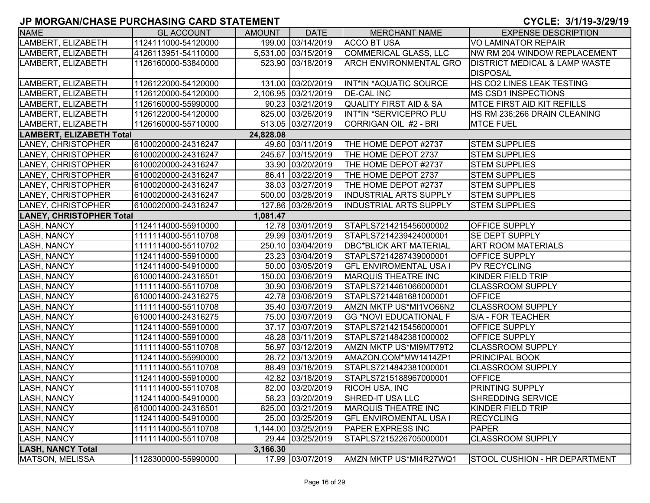| <b>NAME</b>                     | <b>GL ACCOUNT</b>   | <b>AMOUNT</b> | <b>DATE</b>         | <b>MERCHANT NAME</b>          | <b>EXPENSE DESCRIPTION</b>               |
|---------------------------------|---------------------|---------------|---------------------|-------------------------------|------------------------------------------|
| LAMBERT, ELIZABETH              | 1124111000-54120000 |               | 199.00 03/14/2019   | <b>ACCO BT USA</b>            | <b>VO LAMINATOR REPAIR</b>               |
| LAMBERT, ELIZABETH              | 4126113951-54110000 |               | 5,531.00 03/15/2019 | COMMERICAL GLASS, LLC         | NW RM 204 WINDOW REPLACEMENT             |
| LAMBERT, ELIZABETH              | 1126160000-53840000 |               | 523.90 03/18/2019   | <b>ARCH ENVIRONMENTAL GRO</b> | <b>DISTRICT MEDICAL &amp; LAMP WASTE</b> |
|                                 |                     |               |                     |                               | <b>DISPOSAL</b>                          |
| LAMBERT, ELIZABETH              | 1126122000-54120000 |               | 131.00 03/20/2019   | INT*IN *AQUATIC SOURCE        | <b>HS CO2 LINES LEAK TESTING</b>         |
| LAMBERT, ELIZABETH              | 1126120000-54120000 |               | 2,106.95 03/21/2019 | <b>DE-CAL INC</b>             | <b>MS CSD1 INSPECTIONS</b>               |
| LAMBERT, ELIZABETH              | 1126160000-55990000 |               | 90.23 03/21/2019    | QUALITY FIRST AID & SA        | <b>MTCE FIRST AID KIT REFILLS</b>        |
| LAMBERT, ELIZABETH              | 1126122000-54120000 |               | 825.00 03/26/2019   | INT*IN *SERVICEPRO PLU        | HS RM 236;266 DRAIN CLEANING             |
| LAMBERT, ELIZABETH              | 1126160000-55710000 |               | 513.05 03/27/2019   | CORRIGAN OIL #2 - BRI         | <b>MTCE FUEL</b>                         |
| <b>LAMBERT, ELIZABETH Total</b> |                     | 24,828.08     |                     |                               |                                          |
| LANEY, CHRISTOPHER              | 6100020000-24316247 |               | 49.60 03/11/2019    | THE HOME DEPOT #2737          | <b>STEM SUPPLIES</b>                     |
| LANEY, CHRISTOPHER              | 6100020000-24316247 |               | 245.67 03/15/2019   | THE HOME DEPOT 2737           | <b>STEM SUPPLIES</b>                     |
| LANEY, CHRISTOPHER              | 6100020000-24316247 |               | 33.90 03/20/2019    | THE HOME DEPOT #2737          | <b>STEM SUPPLIES</b>                     |
| LANEY, CHRISTOPHER              | 6100020000-24316247 |               | 86.41 03/22/2019    | THE HOME DEPOT 2737           | <b>STEM SUPPLIES</b>                     |
| LANEY, CHRISTOPHER              | 6100020000-24316247 |               | 38.03 03/27/2019    | THE HOME DEPOT #2737          | <b>STEM SUPPLIES</b>                     |
| LANEY, CHRISTOPHER              | 6100020000-24316247 |               | 500.00 03/28/2019   | <b>INDUSTRIAL ARTS SUPPLY</b> | <b>STEM SUPPLIES</b>                     |
| LANEY, CHRISTOPHER              | 6100020000-24316247 |               | 127.86 03/28/2019   | <b>INDUSTRIAL ARTS SUPPLY</b> | <b>STEM SUPPLIES</b>                     |
| <b>LANEY, CHRISTOPHER Total</b> |                     | 1,081.47      |                     |                               |                                          |
| LASH, NANCY                     | 1124114000-55910000 |               | 12.78 03/01/2019    | STAPLS7214215456000002        | <b>OFFICE SUPPLY</b>                     |
| LASH, NANCY                     | 1111114000-55110708 |               | 29.99 03/01/2019    | STAPLS7214239424000001        | <b>SE DEPT SUPPLY</b>                    |
| LASH, NANCY                     | 1111114000-55110702 |               | 250.10 03/04/2019   | <b>DBC*BLICK ART MATERIAL</b> | <b>ART ROOM MATERIALS</b>                |
| LASH, NANCY                     | 1124114000-55910000 |               | 23.23 03/04/2019    | STAPLS7214287439000001        | <b>OFFICE SUPPLY</b>                     |
| LASH, NANCY                     | 1124114000-54910000 |               | 50.00 03/05/2019    | <b>GFL ENVIROMENTAL USA I</b> | <b>PV RECYCLING</b>                      |
| LASH, NANCY                     | 6100014000-24316501 |               | 150.00 03/06/2019   | <b>MARQUIS THEATRE INC</b>    | KINDER FIELD TRIP                        |
| LASH, NANCY                     | 1111114000-55110708 |               | 30.90 03/06/2019    | STAPLS7214461066000001        | <b>CLASSROOM SUPPLY</b>                  |
| <b>LASH, NANCY</b>              | 6100014000-24316275 |               | 42.78 03/06/2019    | STAPLS7214481681000001        | <b>OFFICE</b>                            |
| <b>LASH, NANCY</b>              | 1111114000-55110708 |               | 35.40 03/07/2019    | AMZN MKTP US*MI1VO66N2        | <b>CLASSROOM SUPPLY</b>                  |
| <b>LASH, NANCY</b>              | 6100014000-24316275 |               | 75.00 03/07/2019    | <b>GG *NOVI EDUCATIONAL F</b> | S/A - FOR TEACHER                        |
| LASH, NANCY                     | 1124114000-55910000 |               | 37.17 03/07/2019    | STAPLS7214215456000001        | <b>OFFICE SUPPLY</b>                     |
| <b>LASH, NANCY</b>              | 1124114000-55910000 |               | 48.28 03/11/2019    | STAPLS7214842381000002        | <b>OFFICE SUPPLY</b>                     |
| <b>LASH, NANCY</b>              | 1111114000-55110708 |               | 56.97 03/12/2019    | AMZN MKTP US*MI9MT79T2        | <b>CLASSROOM SUPPLY</b>                  |
| <b>LASH, NANCY</b>              | 1124114000-55990000 |               | 28.72 03/13/2019    | AMAZON.COM*MW1414ZP1          | <b>PRINCIPAL BOOK</b>                    |
| LASH, NANCY                     | 1111114000-55110708 |               | 88.49 03/18/2019    | STAPLS7214842381000001        | <b>CLASSROOM SUPPLY</b>                  |
| LASH, NANCY                     | 1124114000-55910000 |               | 42.82 03/18/2019    | STAPLS7215188967000001        | <b>OFFICE</b>                            |
| <b>LASH, NANCY</b>              | 1111114000-55110708 |               | 82.00 03/20/2019    | <b>RICOH USA, INC</b>         | <b>PRINTING SUPPLY</b>                   |
| <b>LASH, NANCY</b>              | 1124114000-54910000 |               | 58.23 03/20/2019    | SHRED-IT USA LLC              | <b>SHREDDING SERVICE</b>                 |
| <b>LASH, NANCY</b>              | 6100014000-24316501 |               | 825.00 03/21/2019   | <b>MARQUIS THEATRE INC</b>    | KINDER FIELD TRIP                        |
| <b>LASH, NANCY</b>              | 1124114000-54910000 |               | 25.00 03/25/2019    | <b>GFL ENVIROMENTAL USA I</b> | <b>RECYCLING</b>                         |
| LASH, NANCY                     | 1111114000-55110708 |               | 1,144.00 03/25/2019 | <b>PAPER EXPRESS INC</b>      | <b>PAPER</b>                             |
| <b>LASH, NANCY</b>              | 1111114000-55110708 |               | 29.44 03/25/2019    | STAPLS7215226705000001        | <b>CLASSROOM SUPPLY</b>                  |
| <b>LASH, NANCY Total</b>        |                     | 3,166.30      |                     |                               |                                          |
| MATSON, MELISSA                 | 1128300000-55990000 |               | 17.99 03/07/2019    | AMZN MKTP US*MI4R27WQ1        | <b>STOOL CUSHION - HR DEPARTMENT</b>     |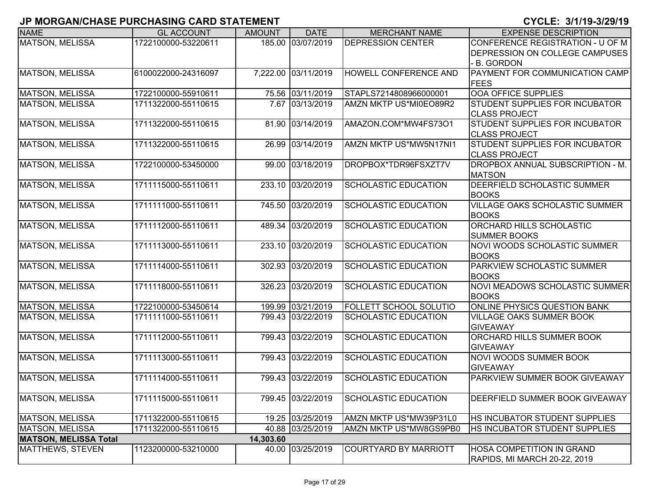| <b>NAME</b>                  | <b>GL ACCOUNT</b>   | <b>AMOUNT</b> | <b>DATE</b>         | <b>MERCHANT NAME</b>          | <b>EXPENSE DESCRIPTION</b>                                                                    |
|------------------------------|---------------------|---------------|---------------------|-------------------------------|-----------------------------------------------------------------------------------------------|
| MATSON, MELISSA              | 1722100000-53220611 |               | 185.00 03/07/2019   | <b>DEPRESSION CENTER</b>      | CONFERENCE REGISTRATION - U OF M<br><b>DEPRESSION ON COLLEGE CAMPUSES</b><br><b>B. GORDON</b> |
| <b>MATSON, MELISSA</b>       | 6100022000-24316097 |               | 7,222.00 03/11/2019 | HOWELL CONFERENCE AND         | <b>PAYMENT FOR COMMUNICATION CAMP</b><br><b>FEES</b>                                          |
| MATSON, MELISSA              | 1722100000-55910611 |               | 75.56 03/11/2019    | STAPLS7214808966000001        | <b>OOA OFFICE SUPPLIES</b>                                                                    |
| <b>MATSON, MELISSA</b>       | 1711322000-55110615 |               | 7.67 03/13/2019     | AMZN MKTP US*MI0EO89R2        | <b>STUDENT SUPPLIES FOR INCUBATOR</b><br><b>CLASS PROJECT</b>                                 |
| MATSON, MELISSA              | 1711322000-55110615 |               | 81.90 03/14/2019    | AMAZON.COM*MW4FS73O1          | <b>STUDENT SUPPLIES FOR INCUBATOR</b><br><b>CLASS PROJECT</b>                                 |
| <b>MATSON, MELISSA</b>       | 1711322000-55110615 |               | 26.99 03/14/2019    | AMZN MKTP US*MW5N17NI1        | <b>STUDENT SUPPLIES FOR INCUBATOR</b><br><b>CLASS PROJECT</b>                                 |
| MATSON, MELISSA              | 1722100000-53450000 |               | 99.00 03/18/2019    | DROPBOX*TDR96FSXZT7V          | DROPBOX ANNUAL SUBSCRIPTION - M.<br><b>MATSON</b>                                             |
| MATSON, MELISSA              | 1711115000-55110611 |               | 233.10 03/20/2019   | <b>SCHOLASTIC EDUCATION</b>   | DEERFIELD SCHOLASTIC SUMMER<br><b>BOOKS</b>                                                   |
| <b>MATSON, MELISSA</b>       | 1711111000-55110611 |               | 745.50 03/20/2019   | <b>SCHOLASTIC EDUCATION</b>   | VILLAGE OAKS SCHOLASTIC SUMMER<br><b>BOOKS</b>                                                |
| MATSON, MELISSA              | 1711112000-55110611 |               | 489.34 03/20/2019   | <b>SCHOLASTIC EDUCATION</b>   | ORCHARD HILLS SCHOLASTIC<br><b>SUMMER BOOKS</b>                                               |
| <b>MATSON, MELISSA</b>       | 1711113000-55110611 |               | 233.10 03/20/2019   | <b>SCHOLASTIC EDUCATION</b>   | NOVI WOODS SCHOLASTIC SUMMER<br><b>BOOKS</b>                                                  |
| MATSON, MELISSA              | 1711114000-55110611 |               | 302.93 03/20/2019   | <b>SCHOLASTIC EDUCATION</b>   | <b>PARKVIEW SCHOLASTIC SUMMER</b><br><b>BOOKS</b>                                             |
| MATSON, MELISSA              | 1711118000-55110611 |               | 326.23 03/20/2019   | <b>SCHOLASTIC EDUCATION</b>   | NOVI MEADOWS SCHOLASTIC SUMMER<br><b>BOOKS</b>                                                |
| <b>MATSON, MELISSA</b>       | 1722100000-53450614 |               | 199.99 03/21/2019   | <b>FOLLETT SCHOOL SOLUTIO</b> | <b>ONLINE PHYSICS QUESTION BANK</b>                                                           |
| <b>MATSON, MELISSA</b>       | 1711111000-55110611 |               | 799.43 03/22/2019   | <b>SCHOLASTIC EDUCATION</b>   | <b>VILLAGE OAKS SUMMER BOOK</b><br><b>GIVEAWAY</b>                                            |
| <b>MATSON, MELISSA</b>       | 1711112000-55110611 |               | 799.43 03/22/2019   | <b>SCHOLASTIC EDUCATION</b>   | <b>ORCHARD HILLS SUMMER BOOK</b><br><b>GIVEAWAY</b>                                           |
| MATSON, MELISSA              | 1711113000-55110611 |               | 799.43 03/22/2019   | <b>SCHOLASTIC EDUCATION</b>   | <b>NOVI WOODS SUMMER BOOK</b><br><b>GIVEAWAY</b>                                              |
| MATSON, MELISSA              | 1711114000-55110611 |               | 799.43 03/22/2019   | <b>SCHOLASTIC EDUCATION</b>   | <b>PARKVIEW SUMMER BOOK GIVEAWAY</b>                                                          |
| MATSON, MELISSA              | 1711115000-55110611 |               | 799.45 03/22/2019   | <b>SCHOLASTIC EDUCATION</b>   | <b>DEERFIELD SUMMER BOOK GIVEAWAY</b>                                                         |
| <b>MATSON, MELISSA</b>       | 1711322000-55110615 |               | 19.25 03/25/2019    | AMZN MKTP US*MW39P31L0        | <b>HS INCUBATOR STUDENT SUPPLIES</b>                                                          |
| <b>MATSON, MELISSA</b>       | 1711322000-55110615 |               | 40.88 03/25/2019    | AMZN MKTP US*MW8GS9PB0        | <b>HS INCUBATOR STUDENT SUPPLIES</b>                                                          |
| <b>MATSON, MELISSA Total</b> |                     | 14,303.60     |                     |                               |                                                                                               |
| MATTHEWS, STEVEN             | 1123200000-53210000 |               | 40.00 03/25/2019    | <b>COURTYARD BY MARRIOTT</b>  | <b>HOSA COMPETITION IN GRAND</b><br>RAPIDS, MI MARCH 20-22, 2019                              |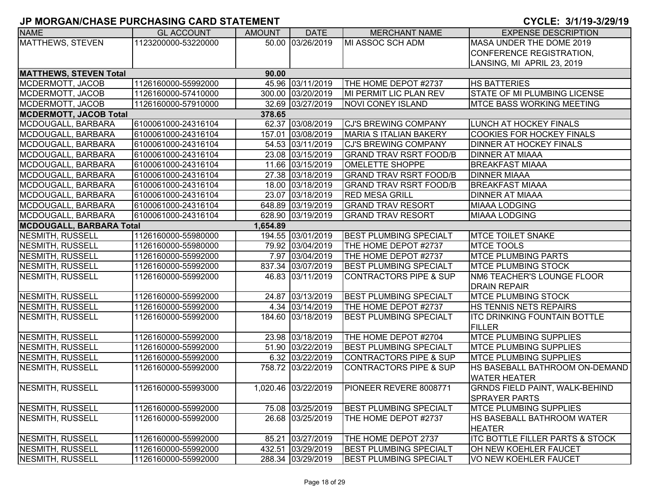| <b>NAME</b>                     | <b>GL ACCOUNT</b>   | <b>AMOUNT</b> | <b>DATE</b>         | <b>MERCHANT NAME</b>              | <b>EXPENSE DESCRIPTION</b>                 |
|---------------------------------|---------------------|---------------|---------------------|-----------------------------------|--------------------------------------------|
| MATTHEWS, STEVEN                | 1123200000-53220000 |               | 50.00 03/26/2019    | MI ASSOC SCH ADM                  | MASA UNDER THE DOME 2019                   |
|                                 |                     |               |                     |                                   | CONFERENCE REGISTRATION,                   |
|                                 |                     |               |                     |                                   | LANSING, MI APRIL 23, 2019                 |
| <b>MATTHEWS, STEVEN Total</b>   |                     | 90.00         |                     |                                   |                                            |
| MCDERMOTT, JACOB                | 1126160000-55992000 |               | 45.96 03/11/2019    | THE HOME DEPOT #2737              | <b>HS BATTERIES</b>                        |
| MCDERMOTT, JACOB                | 1126160000-57410000 |               | 300.00 03/20/2019   | MI PERMIT LIC PLAN REV            | STATE OF MI PLUMBING LICENSE               |
| MCDERMOTT, JACOB                | 1126160000-57910000 |               | 32.69 03/27/2019    | <b>NOVI CONEY ISLAND</b>          | <b>MTCE BASS WORKING MEETING</b>           |
| <b>MCDERMOTT, JACOB Total</b>   |                     | 378.65        |                     |                                   |                                            |
| MCDOUGALL, BARBARA              | 6100061000-24316104 |               | 62.37 03/08/2019    | <b>CJ'S BREWING COMPANY</b>       | <b>LUNCH AT HOCKEY FINALS</b>              |
| MCDOUGALL, BARBARA              | 6100061000-24316104 |               | 157.01 03/08/2019   | <b>MARIA S ITALIAN BAKERY</b>     | <b>COOKIES FOR HOCKEY FINALS</b>           |
| MCDOUGALL, BARBARA              | 6100061000-24316104 |               | 54.53 03/11/2019    | <b>CJ'S BREWING COMPANY</b>       | <b>DINNER AT HOCKEY FINALS</b>             |
| MCDOUGALL, BARBARA              | 6100061000-24316104 |               | 23.08 03/15/2019    | <b>GRAND TRAV RSRT FOOD/B</b>     | <b>DINNER AT MIAAA</b>                     |
| MCDOUGALL, BARBARA              | 6100061000-24316104 |               | 11.66 03/15/2019    | <b>OMELETTE SHOPPE</b>            | <b>BREAKFAST MIAAA</b>                     |
| MCDOUGALL, BARBARA              | 6100061000-24316104 |               | 27.38 03/18/2019    | <b>GRAND TRAV RSRT FOOD/B</b>     | <b>DINNER MIAAA</b>                        |
| MCDOUGALL, BARBARA              | 6100061000-24316104 |               | 18.00 03/18/2019    | <b>GRAND TRAV RSRT FOOD/B</b>     | <b>BREAKFAST MIAAA</b>                     |
| MCDOUGALL, BARBARA              | 6100061000-24316104 |               | 23.07 03/18/2019    | <b>RED MESA GRILL</b>             | <b>DINNER AT MIAAA</b>                     |
| MCDOUGALL, BARBARA              | 6100061000-24316104 |               | 648.89 03/19/2019   | <b>GRAND TRAV RESORT</b>          | <b>MIAAA LODGING</b>                       |
| MCDOUGALL, BARBARA              | 6100061000-24316104 |               | 628.90 03/19/2019   | <b>GRAND TRAV RESORT</b>          | <b>MIAAA LODGING</b>                       |
| <b>MCDOUGALL, BARBARA Total</b> |                     | 1,654.89      |                     |                                   |                                            |
| NESMITH, RUSSELL                | 1126160000-55980000 |               | 194.55 03/01/2019   | <b>BEST PLUMBING SPECIALT</b>     | <b>MTCE TOILET SNAKE</b>                   |
| NESMITH, RUSSELL                | 1126160000-55980000 |               | 79.92 03/04/2019    | THE HOME DEPOT #2737              | <b>IMTCE TOOLS</b>                         |
| NESMITH, RUSSELL                | 1126160000-55992000 |               | 7.97 03/04/2019     | THE HOME DEPOT #2737              | <b>MTCE PLUMBING PARTS</b>                 |
| NESMITH, RUSSELL                | 1126160000-55992000 |               | 837.34 03/07/2019   | <b>BEST PLUMBING SPECIALT</b>     | <b>MTCE PLUMBING STOCK</b>                 |
| NESMITH, RUSSELL                | 1126160000-55992000 |               | 46.83 03/11/2019    | <b>CONTRACTORS PIPE &amp; SUP</b> | NM6 TEACHER'S LOUNGE FLOOR                 |
|                                 |                     |               |                     |                                   | <b>DRAIN REPAIR</b>                        |
| NESMITH, RUSSELL                | 1126160000-55992000 |               | 24.87 03/13/2019    | <b>BEST PLUMBING SPECIALT</b>     | <b>MTCE PLUMBING STOCK</b>                 |
| NESMITH, RUSSELL                | 1126160000-55992000 |               | 4.34 03/14/2019     | THE HOME DEPOT #2737              | HS TENNIS NETS REPAIRS                     |
| NESMITH, RUSSELL                | 1126160000-55992000 |               | 184.60 03/18/2019   | <b>BEST PLUMBING SPECIALT</b>     | <b>ITC DRINKING FOUNTAIN BOTTLE</b>        |
|                                 |                     |               |                     |                                   | <b>FILLER</b>                              |
| NESMITH, RUSSELL                | 1126160000-55992000 |               | 23.98 03/18/2019    | THE HOME DEPOT #2704              | <b>MTCE PLUMBING SUPPLIES</b>              |
| <b>NESMITH, RUSSELL</b>         | 1126160000-55992000 |               | 51.90 03/22/2019    | <b>BEST PLUMBING SPECIALT</b>     | <b>MTCE PLUMBING SUPPLIES</b>              |
| NESMITH, RUSSELL                | 1126160000-55992000 |               | 6.32 03/22/2019     | <b>CONTRACTORS PIPE &amp; SUP</b> | <b>IMTCE PLUMBING SUPPLIES</b>             |
| NESMITH, RUSSELL                | 1126160000-55992000 |               | 758.72 03/22/2019   | <b>CONTRACTORS PIPE &amp; SUP</b> | HS BASEBALL BATHROOM ON-DEMAND             |
|                                 |                     |               |                     |                                   | <b>WATER HEATER</b>                        |
| NESMITH, RUSSELL                | 1126160000-55993000 |               | 1,020.46 03/22/2019 | PIONEER REVERE 8008771            | <b>GRNDS FIELD PAINT, WALK-BEHIND</b>      |
|                                 |                     |               |                     |                                   | <b>SPRAYER PARTS</b>                       |
| NESMITH, RUSSELL                | 1126160000-55992000 |               | 75.08 03/25/2019    | <b>BEST PLUMBING SPECIALT</b>     | <b>MTCE PLUMBING SUPPLIES</b>              |
| NESMITH, RUSSELL                | 1126160000-55992000 |               | 26.68 03/25/2019    | THE HOME DEPOT #2737              | <b>IHS BASEBALL BATHROOM WATER</b>         |
|                                 |                     |               |                     |                                   | <b>HEATER</b>                              |
| NESMITH, RUSSELL                | 1126160000-55992000 |               | 85.21 03/27/2019    | THE HOME DEPOT 2737               | <b>ITC BOTTLE FILLER PARTS &amp; STOCK</b> |
| <b>NESMITH, RUSSELL</b>         | 1126160000-55992000 |               | 432.51 03/29/2019   | <b>BEST PLUMBING SPECIALT</b>     | OH NEW KOEHLER FAUCET                      |
| <b>NESMITH, RUSSELL</b>         | 1126160000-55992000 |               | 288.34 03/29/2019   | <b>BEST PLUMBING SPECIALT</b>     | VO NEW KOEHLER FAUCET                      |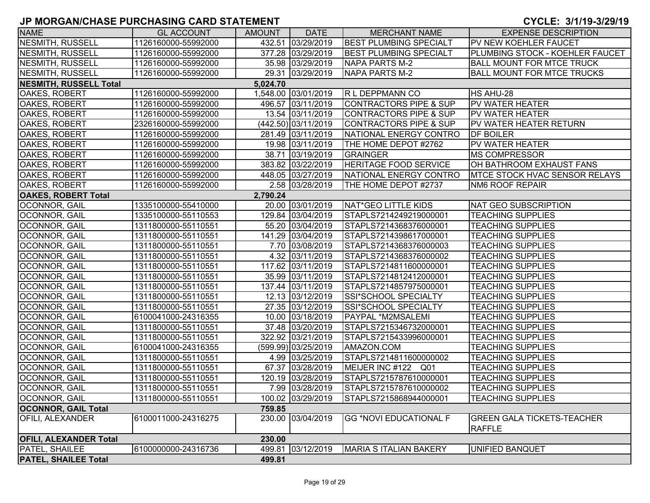| <b>NAME</b>                   | <b>GL ACCOUNT</b>   | <b>AMOUNT</b> | <b>DATE</b>         | <b>MERCHANT NAME</b>          | <b>EXPENSE DESCRIPTION</b>                         |
|-------------------------------|---------------------|---------------|---------------------|-------------------------------|----------------------------------------------------|
| <b>NESMITH, RUSSELL</b>       | 1126160000-55992000 |               | 432.51 03/29/2019   | <b>BEST PLUMBING SPECIALT</b> | <b>PV NEW KOEHLER FAUCET</b>                       |
| <b>NESMITH, RUSSELL</b>       | 1126160000-55992000 |               | 377.28 03/29/2019   | <b>BEST PLUMBING SPECIALT</b> | PLUMBING STOCK - KOEHLER FAUCET                    |
| NESMITH, RUSSELL              | 1126160000-55992000 |               | 35.98 03/29/2019    | NAPA PARTS M-2                | <b>BALL MOUNT FOR MTCE TRUCK</b>                   |
| NESMITH, RUSSELL              | 1126160000-55992000 |               | 29.31 03/29/2019    | NAPA PARTS M-2                | <b>BALL MOUNT FOR MTCE TRUCKS</b>                  |
| <b>NESMITH, RUSSELL Total</b> |                     | 5,024.70      |                     |                               |                                                    |
| OAKES, ROBERT                 | 1126160000-55992000 |               | 1,548.00 03/01/2019 | R L DEPPMANN CO               | HS AHU-28                                          |
| <b>OAKES, ROBERT</b>          | 1126160000-55992000 |               | 496.57 03/11/2019   | CONTRACTORS PIPE & SUP        | <b>PV WATER HEATER</b>                             |
| OAKES, ROBERT                 | 1126160000-55992000 |               | 13.54 03/11/2019    | CONTRACTORS PIPE & SUP        | <b>PV WATER HEATER</b>                             |
| OAKES, ROBERT                 | 2326160000-55992000 |               | (442.50) 03/11/2019 | CONTRACTORS PIPE & SUP        | <b>PV WATER HEATER RETURN</b>                      |
| OAKES, ROBERT                 | 1126160000-55992000 |               | 281.49 03/11/2019   | NATIONAL ENERGY CONTRO        | <b>DF BOILER</b>                                   |
| OAKES, ROBERT                 | 1126160000-55992000 |               | 19.98 03/11/2019    | THE HOME DEPOT #2762          | <b>PV WATER HEATER</b>                             |
| OAKES, ROBERT                 | 1126160000-55992000 |               | 38.71 03/19/2019    | <b>GRAINGER</b>               | <b>MS COMPRESSOR</b>                               |
| OAKES, ROBERT                 | 1126160000-55992000 |               | 383.82 03/22/2019   | <b>HERITAGE FOOD SERVICE</b>  | OH BATHROOM EXHAUST FANS                           |
| OAKES, ROBERT                 | 1126160000-55992000 |               | 448.05 03/27/2019   | NATIONAL ENERGY CONTRO        | <b>IMTCE STOCK HVAC SENSOR RELAYS</b>              |
| OAKES, ROBERT                 | 1126160000-55992000 |               | 2.58 03/28/2019     | THE HOME DEPOT #2737          | <b>NM6 ROOF REPAIR</b>                             |
| <b>OAKES, ROBERT Total</b>    |                     | 2,790.24      |                     |                               |                                                    |
| OCONNOR, GAIL                 | 1335100000-55410000 |               | 20.00 03/01/2019    | <b>NAT*GEO LITTLE KIDS</b>    | <b>NAT GEO SUBSCRIPTION</b>                        |
| <b>OCONNOR, GAIL</b>          | 1335100000-55110553 |               | 129.84 03/04/2019   | STAPLS7214249219000001        | <b>TEACHING SUPPLIES</b>                           |
| OCONNOR, GAIL                 | 1311800000-55110551 |               | 55.20 03/04/2019    | STAPLS7214368376000001        | <b>TEACHING SUPPLIES</b>                           |
| OCONNOR, GAIL                 | 1311800000-55110551 |               | 141.29 03/04/2019   | STAPLS7214398617000001        | <b>TEACHING SUPPLIES</b>                           |
| OCONNOR, GAIL                 | 1311800000-55110551 |               | 7.70 03/08/2019     | STAPLS7214368376000003        | <b>TEACHING SUPPLIES</b>                           |
| OCONNOR, GAIL                 | 1311800000-55110551 |               | 4.32 03/11/2019     | STAPLS7214368376000002        | <b>TEACHING SUPPLIES</b>                           |
| OCONNOR, GAIL                 | 1311800000-55110551 |               | 117.62 03/11/2019   | STAPLS7214811600000001        | <b>TEACHING SUPPLIES</b>                           |
| OCONNOR, GAIL                 | 1311800000-55110551 |               | 35.99 03/11/2019    | STAPLS7214812412000001        | <b>TEACHING SUPPLIES</b>                           |
| <b>OCONNOR, GAIL</b>          | 1311800000-55110551 |               | 137.44 03/11/2019   | STAPLS7214857975000001        | <b>TEACHING SUPPLIES</b>                           |
| OCONNOR, GAIL                 | 1311800000-55110551 |               | 12.13 03/12/2019    | <b>SSI*SCHOOL SPECIALTY</b>   | <b>TEACHING SUPPLIES</b>                           |
| OCONNOR, GAIL                 | 1311800000-55110551 |               | 27.35 03/12/2019    | SSI*SCHOOL SPECIALTY          | <b>TEACHING SUPPLIES</b>                           |
| OCONNOR, GAIL                 | 6100041000-24316355 |               | 10.00 03/18/2019    | PAYPAL *M2MSALEMI             | <b>TEACHING SUPPLIES</b>                           |
| OCONNOR, GAIL                 | 1311800000-55110551 |               | 37.48 03/20/2019    | STAPLS7215346732000001        | <b>TEACHING SUPPLIES</b>                           |
| OCONNOR, GAIL                 | 1311800000-55110551 |               | 322.92 03/21/2019   | STAPLS7215433996000001        | <b>TEACHING SUPPLIES</b>                           |
| OCONNOR, GAIL                 | 6100041000-24316355 |               | (599.99) 03/25/2019 | AMAZON.COM                    | <b>TEACHING SUPPLIES</b>                           |
| <b>OCONNOR, GAIL</b>          | 1311800000-55110551 |               | 4.99 03/25/2019     | STAPLS7214811600000002        | <b>TEACHING SUPPLIES</b>                           |
| <b>OCONNOR, GAIL</b>          | 1311800000-55110551 |               | 67.37 03/28/2019    | MEIJER INC #122 Q01           | <b>TEACHING SUPPLIES</b>                           |
| <b>OCONNOR, GAIL</b>          | 1311800000-55110551 |               | 120.19 03/28/2019   | STAPLS7215787610000001        | <b>TEACHING SUPPLIES</b>                           |
| <b>OCONNOR, GAIL</b>          | 1311800000-55110551 |               | 7.99 03/28/2019     | STAPLS7215787610000002        | <b>TEACHING SUPPLIES</b>                           |
| <b>OCONNOR, GAIL</b>          | 1311800000-55110551 |               | 100.02 03/29/2019   | STAPLS7215868944000001        | <b>TEACHING SUPPLIES</b>                           |
| <b>OCONNOR, GAIL Total</b>    |                     | 759.85        |                     |                               |                                                    |
| <b>OFILI, ALEXANDER</b>       | 6100011000-24316275 |               | 230.00 03/04/2019   | <b>GG *NOVI EDUCATIONAL F</b> | <b>GREEN GALA TICKETS-TEACHER</b><br><b>RAFFLE</b> |
| <b>OFILI, ALEXANDER Total</b> |                     | 230.00        |                     |                               |                                                    |
| PATEL, SHAILEE                | 6100000000-24316736 |               | 499.81 03/12/2019   | <b>MARIA S ITALIAN BAKERY</b> | UNIFIED BANQUET                                    |
| <b>PATEL, SHAILEE Total</b>   |                     | 499.81        |                     |                               |                                                    |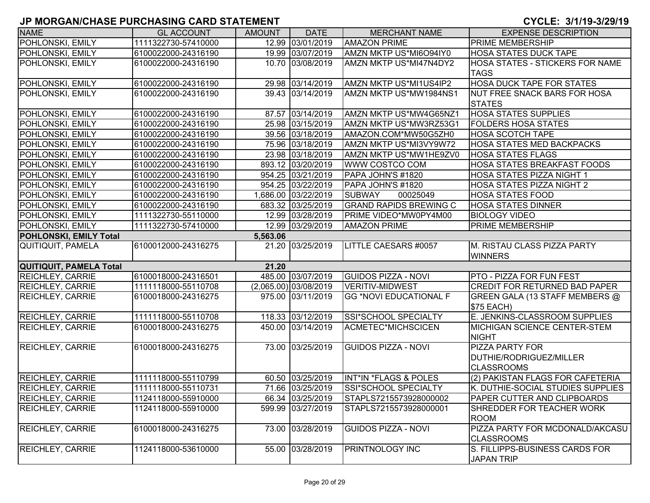| <b>NAME</b>                   | <b>GL ACCOUNT</b>   | <b>AMOUNT</b> | <b>DATE</b>             | <b>MERCHANT NAME</b>             | <b>EXPENSE DESCRIPTION</b>           |
|-------------------------------|---------------------|---------------|-------------------------|----------------------------------|--------------------------------------|
| POHLONSKI, EMILY              | 1111322730-57410000 |               | 12.99 03/01/2019        | <b>AMAZON PRIME</b>              | PRIME MEMBERSHIP                     |
| POHLONSKI, EMILY              | 6100022000-24316190 |               | 19.99 03/07/2019        | AMZN MKTP US*MI6O94IY0           | <b>HOSA STATES DUCK TAPE</b>         |
| POHLONSKI, EMILY              | 6100022000-24316190 |               | 10.70 03/08/2019        | AMZN MKTP US*MI47N4DY2           | HOSA STATES - STICKERS FOR NAME      |
|                               |                     |               |                         |                                  | <b>TAGS</b>                          |
| POHLONSKI, EMILY              | 6100022000-24316190 |               | 29.98 03/14/2019        | AMZN MKTP US*MI1US4IP2           | <b>HOSA DUCK TAPE FOR STATES</b>     |
| POHLONSKI, EMILY              | 6100022000-24316190 |               | 39.43 03/14/2019        | AMZN MKTP US*MW1984NS1           | <b>NUT FREE SNACK BARS FOR HOSA</b>  |
|                               |                     |               |                         |                                  | <b>STATES</b>                        |
| POHLONSKI, EMILY              | 6100022000-24316190 |               | 87.57 03/14/2019        | AMZN MKTP US*MW4G65NZ1           | <b>HOSA STATES SUPPLIES</b>          |
| POHLONSKI, EMILY              | 6100022000-24316190 |               | 25.98 03/15/2019        | AMZN MKTP US*MW3RZ53G1           | <b>FOLDERS HOSA STATES</b>           |
| POHLONSKI, EMILY              | 6100022000-24316190 |               | 39.56 03/18/2019        | AMAZON.COM*MW50G5ZH0             | <b>HOSA SCOTCH TAPE</b>              |
| POHLONSKI, EMILY              | 6100022000-24316190 |               | 75.96 03/18/2019        | AMZN MKTP US*MI3VY9W72           | <b>HOSA STATES MED BACKPACKS</b>     |
| POHLONSKI, EMILY              | 6100022000-24316190 |               | 23.98 03/18/2019        | AMZN MKTP US*MW1HE9ZV0           | <b>HOSA STATES FLAGS</b>             |
| POHLONSKI, EMILY              | 6100022000-24316190 |               | 893.12 03/20/2019       | WWW COSTCO COM                   | <b>HOSA STATES BREAKFAST FOODS</b>   |
| POHLONSKI, EMILY              | 6100022000-24316190 |               | 954.25 03/21/2019       | PAPA JOHN'S #1820                | <b>HOSA STATES PIZZA NIGHT 1</b>     |
| POHLONSKI, EMILY              | 6100022000-24316190 |               | 954.25 03/22/2019       | PAPA JOHN'S #1820                | HOSA STATES PIZZA NIGHT 2            |
| POHLONSKI, EMILY              | 6100022000-24316190 |               | 1,686.00 03/22/2019     | <b>SUBWAY</b><br>00025049        | <b>HOSA STATES FOOD</b>              |
| POHLONSKI, EMILY              | 6100022000-24316190 |               | 683.32 03/25/2019       | <b>GRAND RAPIDS BREWING C</b>    | <b>HOSA STATES DINNER</b>            |
| POHLONSKI, EMILY              | 1111322730-55110000 |               | 12.99 03/28/2019        | PRIME VIDEO*MW0PY4M00            | <b>BIOLOGY VIDEO</b>                 |
| POHLONSKI, EMILY              | 1111322730-57410000 |               | 12.99 03/29/2019        | <b>AMAZON PRIME</b>              | PRIME MEMBERSHIP                     |
| <b>POHLONSKI, EMILY Total</b> |                     | 5,563.06      |                         |                                  |                                      |
| QUITIQUIT, PAMELA             | 6100012000-24316275 |               | 21.20 03/25/2019        | LITTLE CAESARS #0057             | M. RISTAU CLASS PIZZA PARTY          |
|                               |                     |               |                         |                                  | <b>WINNERS</b>                       |
| QUITIQUIT, PAMELA Total       |                     | 21.20         |                         |                                  |                                      |
| <b>REICHLEY, CARRIE</b>       | 6100018000-24316501 |               | 485.00 03/07/2019       | <b>GUIDOS PIZZA - NOVI</b>       | PTO - PIZZA FOR FUN FEST             |
| <b>REICHLEY, CARRIE</b>       | 1111118000-55110708 |               | $(2,065.00)$ 03/08/2019 | VERITIV-MIDWEST                  | <b>CREDIT FOR RETURNED BAD PAPER</b> |
| <b>REICHLEY, CARRIE</b>       | 6100018000-24316275 |               | 975.00 03/11/2019       | <b>GG *NOVI EDUCATIONAL F</b>    | GREEN GALA (13 STAFF MEMBERS @       |
|                               |                     |               |                         |                                  | \$75 EACH)                           |
| REICHLEY, CARRIE              | 1111118000-55110708 |               | 118.33 03/12/2019       | SSI*SCHOOL SPECIALTY             | E. JENKINS-CLASSROOM SUPPLIES        |
| <b>REICHLEY, CARRIE</b>       | 6100018000-24316275 |               | 450.00 03/14/2019       | ACMETEC*MICHSCICEN               | MICHIGAN SCIENCE CENTER-STEM         |
|                               |                     |               |                         |                                  | <b>NIGHT</b>                         |
| <b>REICHLEY, CARRIE</b>       | 6100018000-24316275 |               | 73.00 03/25/2019        | <b>GUIDOS PIZZA - NOVI</b>       | <b>PIZZA PARTY FOR</b>               |
|                               |                     |               |                         |                                  | DUTHIE/RODRIGUEZ/MILLER              |
|                               |                     |               |                         |                                  | <b>CLASSROOMS</b>                    |
| <b>REICHLEY, CARRIE</b>       | 1111118000-55110799 |               | 60.50 03/25/2019        | <b>INT*IN *FLAGS &amp; POLES</b> | (2) PAKISTAN FLAGS FOR CAFETERIA     |
| <b>REICHLEY, CARRIE</b>       | 1111118000-55110731 |               | 71.66 03/25/2019        | SSI*SCHOOL SPECIALTY             | K. DUTHIE-SOCIAL STUDIES SUPPLIES    |
| <b>REICHLEY, CARRIE</b>       | 1124118000-55910000 |               | 66.34 03/25/2019        | STAPLS7215573928000002           | PAPER CUTTER AND CLIPBOARDS          |
| <b>REICHLEY, CARRIE</b>       | 1124118000-55910000 |               | 599.99 03/27/2019       | STAPLS7215573928000001           | SHREDDER FOR TEACHER WORK            |
|                               |                     |               |                         |                                  | <b>ROOM</b>                          |
| <b>REICHLEY, CARRIE</b>       | 6100018000-24316275 |               | 73.00 03/28/2019        | <b>GUIDOS PIZZA - NOVI</b>       | PIZZA PARTY FOR MCDONALD/AKCASU      |
|                               |                     |               |                         |                                  | <b>CLASSROOMS</b>                    |
| <b>REICHLEY, CARRIE</b>       | 1124118000-53610000 |               | 55.00 03/28/2019        | <b>PRINTNOLOGY INC</b>           | S. FILLIPPS-BUSINESS CARDS FOR       |
|                               |                     |               |                         |                                  | <b>JAPAN TRIP</b>                    |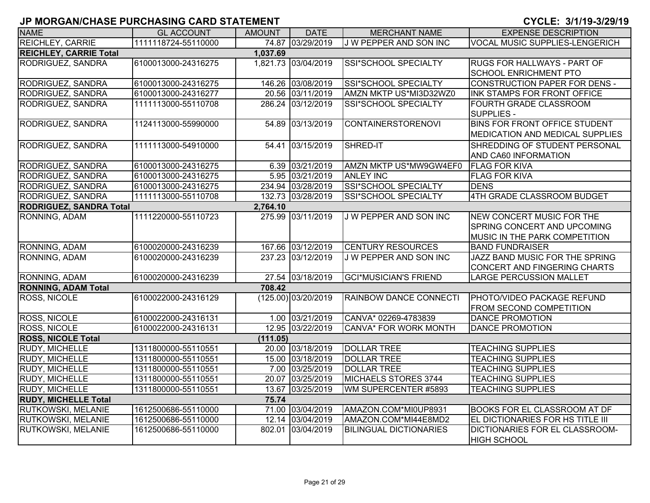| <b>NAME</b>                    | <b>GL ACCOUNT</b>   | <b>AMOUNT</b> | <b>DATE</b>         | <b>MERCHANT NAME</b>          | <b>EXPENSE DESCRIPTION</b>                                   |
|--------------------------------|---------------------|---------------|---------------------|-------------------------------|--------------------------------------------------------------|
| <b>REICHLEY, CARRIE</b>        | 1111118724-55110000 |               | 74.87 03/29/2019    | J W PEPPER AND SON INC        | <b>VOCAL MUSIC SUPPLIES-LENGERICH</b>                        |
| <b>REICHLEY, CARRIE Total</b>  |                     | 1,037.69      |                     |                               |                                                              |
| RODRIGUEZ, SANDRA              | 6100013000-24316275 |               | 1,821.73 03/04/2019 | SSI*SCHOOL SPECIALTY          | <b>RUGS FOR HALLWAYS - PART OF</b>                           |
|                                |                     |               |                     |                               | <b>SCHOOL ENRICHMENT PTO</b>                                 |
| RODRIGUEZ, SANDRA              | 6100013000-24316275 |               | 146.26 03/08/2019   | SSI*SCHOOL SPECIALTY          | CONSTRUCTION PAPER FOR DENS -                                |
| <b>RODRIGUEZ, SANDRA</b>       | 6100013000-24316277 |               | 20.56 03/11/2019    | AMZN MKTP US*MI3D32WZ0        | INK STAMPS FOR FRONT OFFICE                                  |
| RODRIGUEZ, SANDRA              | 1111113000-55110708 |               | 286.24 03/12/2019   | SSI*SCHOOL SPECIALTY          | <b>FOURTH GRADE CLASSROOM</b><br><b>SUPPLIES -</b>           |
| RODRIGUEZ, SANDRA              | 1124113000-55990000 |               | 54.89 03/13/2019    | <b>CONTAINERSTORENOVI</b>     | <b>BINS FOR FRONT OFFICE STUDENT</b>                         |
|                                |                     |               |                     |                               | <b>MEDICATION AND MEDICAL SUPPLIES</b>                       |
| RODRIGUEZ, SANDRA              | 1111113000-54910000 | 54.41         | 03/15/2019          | SHRED-IT                      | SHREDDING OF STUDENT PERSONAL                                |
|                                |                     |               |                     |                               | AND CA60 INFORMATION                                         |
| RODRIGUEZ, SANDRA              | 6100013000-24316275 |               | 6.39 03/21/2019     | AMZN MKTP US*MW9GW4EF0        | <b>FLAG FOR KIVA</b>                                         |
| RODRIGUEZ, SANDRA              | 6100013000-24316275 |               | 5.95 03/21/2019     | <b>ANLEY INC</b>              | <b>FLAG FOR KIVA</b>                                         |
| RODRIGUEZ, SANDRA              | 6100013000-24316275 |               | 234.94 03/28/2019   | <b>SSI*SCHOOL SPECIALTY</b>   | <b>DENS</b>                                                  |
| RODRIGUEZ, SANDRA              | 1111113000-55110708 |               | 132.73 03/28/2019   | SSI*SCHOOL SPECIALTY          | 4TH GRADE CLASSROOM BUDGET                                   |
| <b>RODRIGUEZ, SANDRA Total</b> |                     | 2,764.10      |                     |                               |                                                              |
| RONNING, ADAM                  | 1111220000-55110723 |               | 275.99 03/11/2019   | J W PEPPER AND SON INC        | NEW CONCERT MUSIC FOR THE                                    |
|                                |                     |               |                     |                               | <b>SPRING CONCERT AND UPCOMING</b>                           |
|                                |                     |               |                     |                               | <b>MUSIC IN THE PARK COMPETITION</b>                         |
| <b>RONNING, ADAM</b>           | 6100020000-24316239 |               | 167.66 03/12/2019   | <b>CENTURY RESOURCES</b>      | <b>BAND FUNDRAISER</b>                                       |
| RONNING, ADAM                  | 6100020000-24316239 |               | 237.23 03/12/2019   | J W PEPPER AND SON INC        | JAZZ BAND MUSIC FOR THE SPRING                               |
|                                |                     |               |                     |                               | CONCERT AND FINGERING CHARTS                                 |
| RONNING, ADAM                  | 6100020000-24316239 |               | 27.54 03/18/2019    | <b>GCI*MUSICIAN'S FRIEND</b>  | <b>LARGE PERCUSSION MALLET</b>                               |
| <b>RONNING, ADAM Total</b>     |                     | 708.42        |                     |                               |                                                              |
| <b>ROSS, NICOLE</b>            | 6100022000-24316129 |               | (125.00) 03/20/2019 | RAINBOW DANCE CONNECTI        | PHOTO/VIDEO PACKAGE REFUND<br><b>FROM SECOND COMPETITION</b> |
| ROSS, NICOLE                   | 6100022000-24316131 |               | 1.00 03/21/2019     | CANVA* 02269-4783839          | <b>DANCE PROMOTION</b>                                       |
| ROSS, NICOLE                   | 6100022000-24316131 |               | 12.95 03/22/2019    | CANVA* FOR WORK MONTH         | <b>DANCE PROMOTION</b>                                       |
| <b>ROSS, NICOLE Total</b>      |                     | (111.05)      |                     |                               |                                                              |
| RUDY, MICHELLE                 | 1311800000-55110551 |               | 20.00 03/18/2019    | <b>DOLLAR TREE</b>            | <b>TEACHING SUPPLIES</b>                                     |
| <b>RUDY, MICHELLE</b>          | 1311800000-55110551 |               | 15.00 03/18/2019    | <b>DOLLAR TREE</b>            | <b>TEACHING SUPPLIES</b>                                     |
| <b>RUDY, MICHELLE</b>          | 1311800000-55110551 |               | 7.00 03/25/2019     | <b>DOLLAR TREE</b>            | <b>TEACHING SUPPLIES</b>                                     |
| RUDY, MICHELLE                 | 1311800000-55110551 |               | 20.07 03/25/2019    | <b>MICHAELS STORES 3744</b>   | <b>TEACHING SUPPLIES</b>                                     |
| <b>RUDY, MICHELLE</b>          | 1311800000-55110551 |               | 13.67 03/25/2019    | WM SUPERCENTER #5893          | <b>TEACHING SUPPLIES</b>                                     |
| <b>RUDY, MICHELLE Total</b>    |                     | 75.74         |                     |                               |                                                              |
| RUTKOWSKI, MELANIE             | 1612500686-55110000 |               | 71.00 03/04/2019    | AMAZON.COM*MI0UP8931          | <b>BOOKS FOR EL CLASSROOM AT DF</b>                          |
| <b>RUTKOWSKI, MELANIE</b>      | 1612500686-55110000 |               | 12.14 03/04/2019    | AMAZON.COM*MI44E8MD2          | EL DICTIONARIES FOR HS TITLE III                             |
| <b>RUTKOWSKI, MELANIE</b>      | 1612500686-55110000 | 802.01        | 03/04/2019          | <b>BILINGUAL DICTIONARIES</b> | <b>DICTIONARIES FOR EL CLASSROOM-</b><br><b>HIGH SCHOOL</b>  |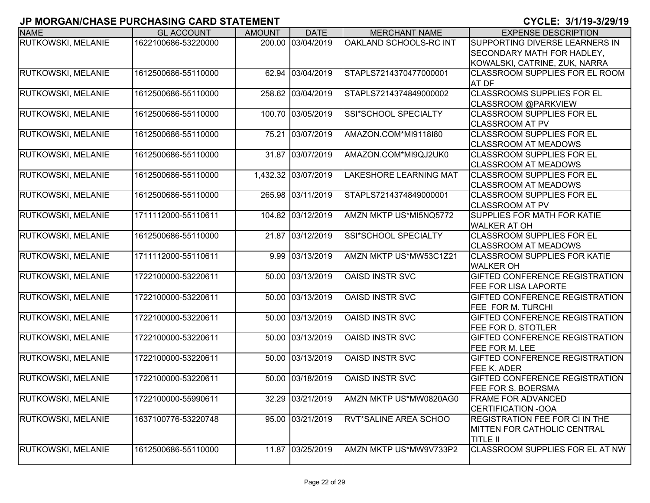| <b>NAME</b>               | <b>GL ACCOUNT</b>   | <b>AMOUNT</b> | <b>DATE</b>         | <b>MERCHANT NAME</b>          | <b>EXPENSE DESCRIPTION</b>                                  |
|---------------------------|---------------------|---------------|---------------------|-------------------------------|-------------------------------------------------------------|
| <b>RUTKOWSKI, MELANIE</b> | 1622100686-53220000 | 200.00        | 03/04/2019          | OAKLAND SCHOOLS-RC INT        | SUPPORTING DIVERSE LEARNERS IN                              |
|                           |                     |               |                     |                               | <b>SECONDARY MATH FOR HADLEY,</b>                           |
|                           |                     |               |                     |                               | KOWALSKI, CATRINE, ZUK, NARRA                               |
| RUTKOWSKI, MELANIE        | 1612500686-55110000 | 62.94         | 03/04/2019          | STAPLS7214370477000001        | <b>CLASSROOM SUPPLIES FOR EL ROOM</b>                       |
|                           |                     |               |                     |                               | <b>AT DF</b>                                                |
| RUTKOWSKI, MELANIE        | 1612500686-55110000 |               | 258.62 03/04/2019   | STAPLS7214374849000002        | <b>CLASSROOMS SUPPLIES FOR EL</b>                           |
|                           |                     |               |                     |                               | CLASSROOM @PARKVIEW                                         |
| RUTKOWSKI, MELANIE        | 1612500686-55110000 | 100.70        | 03/05/2019          | <b>SSI*SCHOOL SPECIALTY</b>   | <b>CLASSROOM SUPPLIES FOR EL</b>                            |
|                           |                     |               |                     |                               | <b>CLASSROOM AT PV</b>                                      |
| RUTKOWSKI, MELANIE        | 1612500686-55110000 | 75.21         | 03/07/2019          | AMAZON.COM*MI9118I80          | <b>CLASSROOM SUPPLIES FOR EL</b>                            |
|                           |                     |               |                     |                               | <b>CLASSROOM AT MEADOWS</b>                                 |
| RUTKOWSKI, MELANIE        | 1612500686-55110000 | 31.87         | 03/07/2019          | AMAZON.COM*MI9QJ2UK0          | <b>CLASSROOM SUPPLIES FOR EL</b>                            |
|                           |                     |               |                     |                               | <b>CLASSROOM AT MEADOWS</b>                                 |
| RUTKOWSKI, MELANIE        | 1612500686-55110000 |               | 1,432.32 03/07/2019 | <b>LAKESHORE LEARNING MAT</b> | <b>CLASSROOM SUPPLIES FOR EL</b>                            |
|                           |                     |               |                     |                               | <b>CLASSROOM AT MEADOWS</b>                                 |
| RUTKOWSKI, MELANIE        | 1612500686-55110000 | 265.98        | 03/11/2019          | STAPLS7214374849000001        | <b>ICLASSROOM SUPPLIES FOR EL</b>                           |
|                           |                     |               |                     |                               | <b>CLASSROOM AT PV</b>                                      |
| RUTKOWSKI, MELANIE        | 1711112000-55110611 | 104.82        | 03/12/2019          | AMZN MKTP US*MI5NQ5772        | <b>SUPPLIES FOR MATH FOR KATIE</b>                          |
|                           |                     |               |                     |                               | <b>WALKER AT OH</b>                                         |
| RUTKOWSKI, MELANIE        | 1612500686-55110000 | 21.87         | 03/12/2019          | SSI*SCHOOL SPECIALTY          | <b>CLASSROOM SUPPLIES FOR EL</b>                            |
|                           |                     |               |                     |                               | <b>CLASSROOM AT MEADOWS</b>                                 |
| RUTKOWSKI, MELANIE        | 1711112000-55110611 | 9.99          | 03/13/2019          | AMZN MKTP US*MW53C1Z21        | <b>CLASSROOM SUPPLIES FOR KATIE</b>                         |
|                           |                     |               |                     |                               | <b>WALKER OH</b>                                            |
| RUTKOWSKI, MELANIE        | 1722100000-53220611 | 50.00         | 03/13/2019          | <b>OAISD INSTR SVC</b>        | <b>GIFTED CONFERENCE REGISTRATION</b>                       |
|                           |                     |               |                     |                               | <b>FEE FOR LISA LAPORTE</b>                                 |
| RUTKOWSKI, MELANIE        | 1722100000-53220611 | 50.00         | 03/13/2019          | <b>OAISD INSTR SVC</b>        | <b>GIFTED CONFERENCE REGISTRATION</b>                       |
|                           |                     |               |                     |                               | <b>FEE FOR M. TURCHI</b>                                    |
| <b>RUTKOWSKI, MELANIE</b> | 1722100000-53220611 | 50.00         | 03/13/2019          | <b>OAISD INSTR SVC</b>        | <b>GIFTED CONFERENCE REGISTRATION</b>                       |
|                           |                     |               |                     |                               | <b>FEE FOR D. STOTLER</b>                                   |
| <b>RUTKOWSKI, MELANIE</b> | 1722100000-53220611 |               | 50.00 03/13/2019    | <b>OAISD INSTR SVC</b>        | <b>GIFTED CONFERENCE REGISTRATION</b>                       |
|                           |                     |               |                     |                               | <b>FEE FOR M. LEE</b>                                       |
| <b>RUTKOWSKI, MELANIE</b> | 1722100000-53220611 | 50.00         | 03/13/2019          | <b>OAISD INSTR SVC</b>        | <b>GIFTED CONFERENCE REGISTRATION</b>                       |
| <b>RUTKOWSKI, MELANIE</b> | 1722100000-53220611 | 50.00         | 03/18/2019          | <b>OAISD INSTR SVC</b>        | <b>FEE K. ADER</b><br><b>GIFTED CONFERENCE REGISTRATION</b> |
|                           |                     |               |                     |                               | <b>FEE FOR S. BOERSMA</b>                                   |
| <b>RUTKOWSKI, MELANIE</b> | 1722100000-55990611 |               | 32.29 03/21/2019    | AMZN MKTP US*MW0820AG0        | <b>FRAME FOR ADVANCED</b>                                   |
|                           |                     |               |                     |                               | <b>CERTIFICATION - OOA</b>                                  |
| RUTKOWSKI, MELANIE        | 1637100776-53220748 |               | 95.00 03/21/2019    | <b>RVT*SALINE AREA SCHOO</b>  | <b>REGISTRATION FEE FOR CI IN THE</b>                       |
|                           |                     |               |                     |                               | MITTEN FOR CATHOLIC CENTRAL                                 |
|                           |                     |               |                     |                               | <b>TITLE II</b>                                             |
| RUTKOWSKI, MELANIE        | 1612500686-55110000 |               | 11.87 03/25/2019    | AMZN MKTP US*MW9V733P2        | CLASSROOM SUPPLIES FOR EL AT NW                             |
|                           |                     |               |                     |                               |                                                             |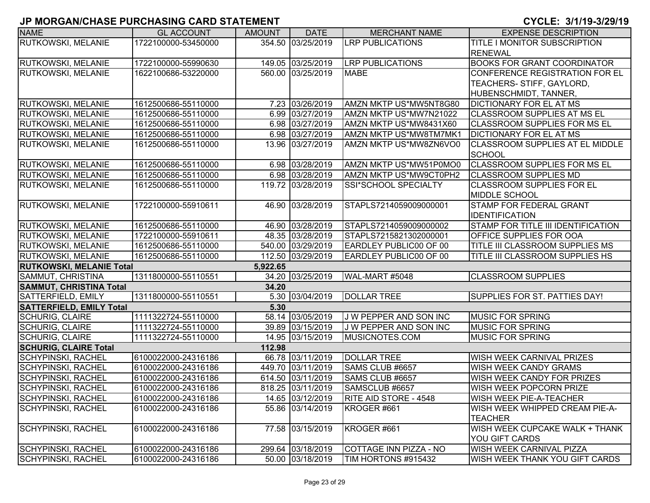| <b>NAME</b>                     | <b>GL ACCOUNT</b>   | <b>AMOUNT</b> | <b>DATE</b>       | <b>MERCHANT NAME</b>          | <b>EXPENSE DESCRIPTION</b>             |
|---------------------------------|---------------------|---------------|-------------------|-------------------------------|----------------------------------------|
| <b>RUTKOWSKI, MELANIE</b>       | 1722100000-53450000 |               | 354.50 03/25/2019 | <b>LRP PUBLICATIONS</b>       | TITLE I MONITOR SUBSCRIPTION           |
|                                 |                     |               |                   |                               | <b>RENEWAL</b>                         |
| <b>RUTKOWSKI, MELANIE</b>       | 1722100000-55990630 |               | 149.05 03/25/2019 | <b>LRP PUBLICATIONS</b>       | <b>BOOKS FOR GRANT COORDINATOR</b>     |
| <b>RUTKOWSKI, MELANIE</b>       | 1622100686-53220000 |               | 560.00 03/25/2019 | <b>MABE</b>                   | CONFERENCE REGISTRATION FOR EL         |
|                                 |                     |               |                   |                               | TEACHERS- STIFF, GAYLORD,              |
|                                 |                     |               |                   |                               | HUBENSCHMIDT, TANNER,                  |
| <b>RUTKOWSKI, MELANIE</b>       | 1612500686-55110000 |               | 7.23 03/26/2019   | AMZN MKTP US*MW5NT8G80        | <b>DICTIONARY FOR EL AT MS</b>         |
| <b>RUTKOWSKI, MELANIE</b>       | 1612500686-55110000 |               | 6.99 03/27/2019   | AMZN MKTP US*MW7N21022        | <b>CLASSROOM SUPPLIES AT MS EL</b>     |
| <b>RUTKOWSKI, MELANIE</b>       | 1612500686-55110000 |               | 6.98 03/27/2019   | AMZN MKTP US*MW8431X60        | <b>CLASSROOM SUPPLIES FOR MS EL</b>    |
| <b>RUTKOWSKI, MELANIE</b>       | 1612500686-55110000 |               | 6.98 03/27/2019   | AMZN MKTP US*MW8TM7MK1        | <b>DICTIONARY FOR EL AT MS</b>         |
| RUTKOWSKI, MELANIE              | 1612500686-55110000 |               | 13.96 03/27/2019  | AMZN MKTP US*MW8ZN6VO0        | <b>CLASSROOM SUPPLIES AT EL MIDDLE</b> |
|                                 |                     |               |                   |                               | <b>SCHOOL</b>                          |
| <b>RUTKOWSKI, MELANIE</b>       | 1612500686-55110000 |               | 6.98 03/28/2019   | AMZN MKTP US*MW51P0MO0        | <b>CLASSROOM SUPPLIES FOR MS EL</b>    |
| <b>RUTKOWSKI, MELANIE</b>       | 1612500686-55110000 |               | 6.98 03/28/2019   | AMZN MKTP US*MW9CT0PH2        | <b>CLASSROOM SUPPLIES MD</b>           |
| <b>RUTKOWSKI, MELANIE</b>       | 1612500686-55110000 |               | 119.72 03/28/2019 | SSI*SCHOOL SPECIALTY          | <b>CLASSROOM SUPPLIES FOR EL</b>       |
|                                 |                     |               |                   |                               | <b>MIDDLE SCHOOL</b>                   |
| <b>RUTKOWSKI, MELANIE</b>       | 1722100000-55910611 |               | 46.90 03/28/2019  | STAPLS7214059009000001        | <b>STAMP FOR FEDERAL GRANT</b>         |
|                                 |                     |               |                   |                               | IDENTIFICATION                         |
| <b>RUTKOWSKI, MELANIE</b>       | 1612500686-55110000 |               | 46.90 03/28/2019  | STAPLS7214059009000002        | STAMP FOR TITLE III IDENTIFICATION     |
| <b>RUTKOWSKI, MELANIE</b>       | 1722100000-55910611 |               | 48.35 03/28/2019  | STAPLS7215821302000001        | <b>OFFICE SUPPLIES FOR OOA</b>         |
| <b>RUTKOWSKI, MELANIE</b>       | 1612500686-55110000 |               | 540.00 03/29/2019 | EARDLEY PUBLIC00 OF 00        | TITLE III CLASSROOM SUPPLIES MS        |
| <b>RUTKOWSKI, MELANIE</b>       | 1612500686-55110000 |               | 112.50 03/29/2019 | EARDLEY PUBLIC00 OF 00        | TITLE III CLASSROOM SUPPLIES HS        |
| <b>RUTKOWSKI, MELANIE Total</b> |                     | 5,922.65      |                   |                               |                                        |
| SAMMUT, CHRISTINA               | 1311800000-55110551 |               | 34.20 03/25/2019  | WAL-MART #5048                | <b>CLASSROOM SUPPLIES</b>              |
| <b>SAMMUT, CHRISTINA Total</b>  |                     | 34.20         |                   |                               |                                        |
| SATTERFIELD, EMILY              | 1311800000-55110551 |               | 5.30 03/04/2019   | <b>DOLLAR TREE</b>            | SUPPLIES FOR ST. PATTIES DAY!          |
| <b>SATTERFIELD, EMILY Total</b> |                     | 5.30          |                   |                               |                                        |
| <b>SCHURIG, CLAIRE</b>          | 1111322724-55110000 |               | 58.14 03/05/2019  | J W PEPPER AND SON INC        | <b>MUSIC FOR SPRING</b>                |
| <b>SCHURIG, CLAIRE</b>          | 1111322724-55110000 |               | 39.89 03/15/2019  | J W PEPPER AND SON INC        | <b>MUSIC FOR SPRING</b>                |
| <b>SCHURIG, CLAIRE</b>          | 1111322724-55110000 |               | 14.95 03/15/2019  | MUSICNOTES.COM                | <b>MUSIC FOR SPRING</b>                |
| <b>SCHURIG, CLAIRE Total</b>    |                     | 112.98        |                   |                               |                                        |
| <b>SCHYPINSKI, RACHEL</b>       | 6100022000-24316186 |               | 66.78 03/11/2019  | <b>DOLLAR TREE</b>            | <b>WISH WEEK CARNIVAL PRIZES</b>       |
| <b>SCHYPINSKI, RACHEL</b>       | 6100022000-24316186 |               | 449.70 03/11/2019 | SAMS CLUB #6657               | <b>WISH WEEK CANDY GRAMS</b>           |
| <b>SCHYPINSKI, RACHEL</b>       | 6100022000-24316186 |               | 614.50 03/11/2019 | SAMS CLUB #6657               | <b>WISH WEEK CANDY FOR PRIZES</b>      |
| <b>SCHYPINSKI, RACHEL</b>       | 6100022000-24316186 |               | 818.25 03/11/2019 | SAMSCLUB #6657                | <b>WISH WEEK POPCORN PRIZE</b>         |
| SCHYPINSKI, RACHEL              | 6100022000-24316186 |               | 14.65 03/12/2019  | <b>IRITE AID STORE - 4548</b> | WISH WEEK PIE-A-TEACHER                |
| SCHYPINSKI, RACHEL              | 6100022000-24316186 |               | 55.86 03/14/2019  | KROGER #661                   | <b>WISH WEEK WHIPPED CREAM PIE-A-</b>  |
|                                 |                     |               |                   |                               | <b>TEACHER</b>                         |
| <b>SCHYPINSKI, RACHEL</b>       | 6100022000-24316186 |               | 77.58 03/15/2019  | KROGER #661                   | <b>WISH WEEK CUPCAKE WALK + THANK</b>  |
|                                 |                     |               |                   |                               | YOU GIFT CARDS                         |
| SCHYPINSKI, RACHEL              | 6100022000-24316186 |               | 299.64 03/18/2019 | COTTAGE INN PIZZA - NO        | <b>WISH WEEK CARNIVAL PIZZA</b>        |
| SCHYPINSKI, RACHEL              | 6100022000-24316186 |               | 50.00 03/18/2019  | TIM HORTONS #915432           | <b>WISH WEEK THANK YOU GIFT CARDS</b>  |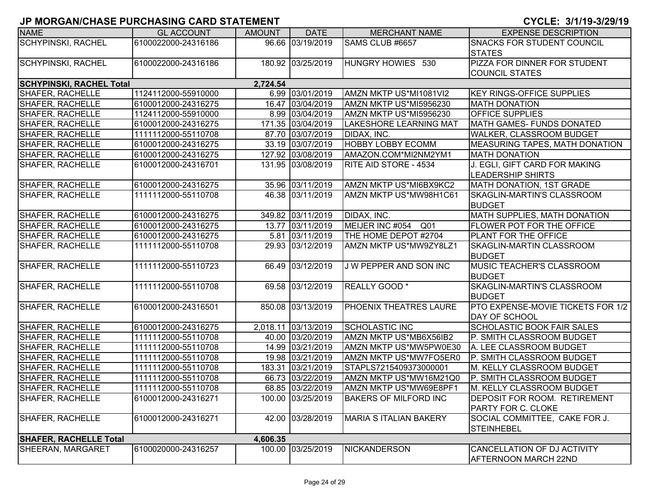| <b>NAME</b>                     | <b>GL ACCOUNT</b>   | <b>AMOUNT</b> | <b>DATE</b>         | <b>MERCHANT NAME</b>          | <b>EXPENSE DESCRIPTION</b>          |
|---------------------------------|---------------------|---------------|---------------------|-------------------------------|-------------------------------------|
| <b>SCHYPINSKI, RACHEL</b>       | 6100022000-24316186 |               | 96.66 03/19/2019    | SAMS CLUB #6657               | <b>SNACKS FOR STUDENT COUNCIL</b>   |
|                                 |                     |               |                     |                               | <b>STATES</b>                       |
| <b>SCHYPINSKI, RACHEL</b>       | 6100022000-24316186 |               | 180.92 03/25/2019   | HUNGRY HOWIES 530             | PIZZA FOR DINNER FOR STUDENT        |
|                                 |                     |               |                     |                               | <b>COUNCIL STATES</b>               |
| <b>SCHYPINSKI, RACHEL Total</b> |                     | 2,724.54      |                     |                               |                                     |
| <b>SHAFER, RACHELLE</b>         | 1124112000-55910000 |               | 6.99 03/01/2019     | AMZN MKTP US*MI1081VI2        | <b>KEY RINGS-OFFICE SUPPLIES</b>    |
| <b>SHAFER, RACHELLE</b>         | 6100012000-24316275 |               | 16.47 03/04/2019    | AMZN MKTP US*MI5956230        | <b>MATH DONATION</b>                |
| <b>SHAFER, RACHELLE</b>         | 1124112000-55910000 |               | 8.99 03/04/2019     | AMZN MKTP US*MI5956230        | <b>OFFICE SUPPLIES</b>              |
| <b>SHAFER, RACHELLE</b>         | 6100012000-24316275 |               | 171.35 03/04/2019   | <b>LAKESHORE LEARNING MAT</b> | <b>MATH GAMES- FUNDS DONATED</b>    |
| <b>SHAFER, RACHELLE</b>         | 1111112000-55110708 |               | 87.70 03/07/2019    | DIDAX, INC.                   | WALKER, CLASSROOM BUDGET            |
| <b>SHAFER, RACHELLE</b>         | 6100012000-24316275 |               | 33.19 03/07/2019    | <b>HOBBY LOBBY ECOMM</b>      | MEASURING TAPES, MATH DONATION      |
| <b>SHAFER, RACHELLE</b>         | 6100012000-24316275 |               | 127.92 03/08/2019   | AMAZON.COM*MI2NM2YM1          | <b>MATH DONATION</b>                |
| <b>SHAFER, RACHELLE</b>         | 6100012000-24316701 |               | 131.95 03/08/2019   | <b>RITE AID STORE - 4534</b>  | J. EGLI, GIFT CARD FOR MAKING       |
|                                 |                     |               |                     |                               | <b>LEADERSHIP SHIRTS</b>            |
| <b>SHAFER, RACHELLE</b>         | 6100012000-24316275 |               | 35.96 03/11/2019    | AMZN MKTP US*MI6BX9KC2        | MATH DONATION, 1ST GRADE            |
| <b>SHAFER, RACHELLE</b>         | 1111112000-55110708 |               | 46.38 03/11/2019    | AMZN MKTP US*MW98H1C61        | <b>SKAGLIN-MARTIN'S CLASSROOM</b>   |
|                                 |                     |               |                     |                               | <b>BUDGET</b>                       |
| SHAFER, RACHELLE                | 6100012000-24316275 |               | 349.82 03/11/2019   | DIDAX, INC.                   | <b>MATH SUPPLIES, MATH DONATION</b> |
| <b>SHAFER, RACHELLE</b>         | 6100012000-24316275 |               | 13.77 03/11/2019    | MEIJER INC #054<br>Q01        | <b>FLOWER POT FOR THE OFFICE</b>    |
| <b>SHAFER, RACHELLE</b>         | 6100012000-24316275 |               | 5.81 03/11/2019     | THE HOME DEPOT #2704          | <b>PLANT FOR THE OFFICE</b>         |
| <b>SHAFER, RACHELLE</b>         | 1111112000-55110708 |               | 29.93 03/12/2019    | AMZN MKTP US*MW9ZY8LZ1        | <b>SKAGLIN-MARTIN CLASSROOM</b>     |
|                                 |                     |               |                     |                               | <b>BUDGET</b>                       |
| <b>SHAFER, RACHELLE</b>         | 1111112000-55110723 |               | 66.49 03/12/2019    | J W PEPPER AND SON INC        | MUSIC TEACHER'S CLASSROOM           |
|                                 |                     |               |                     |                               | <b>BUDGET</b>                       |
| <b>SHAFER, RACHELLE</b>         | 1111112000-55110708 |               | 69.58 03/12/2019    | REALLY GOOD *                 | <b>SKAGLIN-MARTIN'S CLASSROOM</b>   |
|                                 |                     |               |                     |                               | <b>BUDGET</b>                       |
| <b>SHAFER, RACHELLE</b>         | 6100012000-24316501 |               | 850.08 03/13/2019   | <b>PHOENIX THEATRES LAURE</b> | PTO EXPENSE-MOVIE TICKETS FOR 1/2   |
|                                 |                     |               |                     |                               | <b>DAY OF SCHOOL</b>                |
| <b>SHAFER, RACHELLE</b>         | 6100012000-24316275 |               | 2,018.11 03/13/2019 | <b>SCHOLASTIC INC</b>         | <b>SCHOLASTIC BOOK FAIR SALES</b>   |
| <b>SHAFER, RACHELLE</b>         | 1111112000-55110708 |               | 40.00 03/20/2019    | AMZN MKTP US*MB6X56IB2        | P. SMITH CLASSROOM BUDGET           |
| <b>SHAFER, RACHELLE</b>         | 1111112000-55110708 |               | 14.99 03/21/2019    | AMZN MKTP US*MW5PW0E30        | A. LEE CLASSROOM BUDGET             |
| <b>SHAFER, RACHELLE</b>         | 1111112000-55110708 |               | 19.98 03/21/2019    | AMZN MKTP US*MW7FO5ER0        | P. SMITH CLASSROOM BUDGET           |
| <b>SHAFER, RACHELLE</b>         | 1111112000-55110708 |               | 183.31 03/21/2019   | STAPLS7215409373000001        | M. KELLY CLASSROOM BUDGET           |
| <b>SHAFER, RACHELLE</b>         | 1111112000-55110708 |               | 66.73 03/22/2019    | AMZN MKTP US*MW16M21Q0        | P. SMITH CLASSROOM BUDGET           |
| <b>SHAFER, RACHELLE</b>         | 1111112000-55110708 |               | 68.85 03/22/2019    | AMZN MKTP US*MW69E8PF1        | M. KELLY CLASSROOM BUDGET           |
| <b>SHAFER, RACHELLE</b>         | 6100012000-24316271 |               | 100.00 03/25/2019   | <b>BAKERS OF MILFORD INC</b>  | <b>DEPOSIT FOR ROOM. RETIREMENT</b> |
|                                 |                     |               |                     |                               | PARTY FOR C. CLOKE                  |
| SHAFER, RACHELLE                | 6100012000-24316271 |               | 42.00 03/28/2019    | <b>MARIA S ITALIAN BAKERY</b> | SOCIAL COMMITTEE, CAKE FOR J.       |
|                                 |                     |               |                     |                               | <b>STEINHEBEL</b>                   |
| <b>SHAFER, RACHELLE Total</b>   |                     | 4,606.35      |                     |                               |                                     |
| SHEERAN, MARGARET               | 6100020000-24316257 |               | 100.00 03/25/2019   | NICKANDERSON                  | CANCELLATION OF DJ ACTIVITY         |
|                                 |                     |               |                     |                               | IAFTERNOON MARCH 22ND               |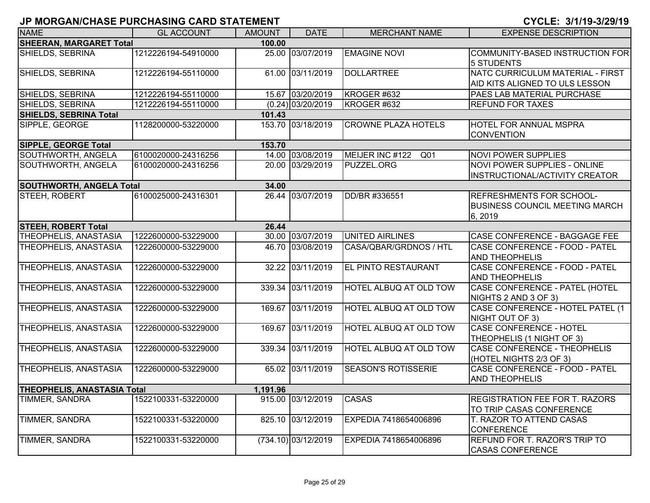| <b>NAME</b>                             | <b>GL ACCOUNT</b>   | <b>AMOUNT</b> | <b>DATE</b>         | <b>MERCHANT NAME</b>               | <b>EXPENSE DESCRIPTION</b>                                                  |  |
|-----------------------------------------|---------------------|---------------|---------------------|------------------------------------|-----------------------------------------------------------------------------|--|
| <b>SHEERAN, MARGARET Total</b>          |                     | 100.00        |                     |                                    |                                                                             |  |
| SHIELDS, SEBRINA                        | 1212226194-54910000 |               | 25.00 03/07/2019    | <b>EMAGINE NOVI</b>                | COMMUNITY-BASED INSTRUCTION FOR<br>5 STUDENTS                               |  |
| SHIELDS, SEBRINA                        | 1212226194-55110000 |               | 61.00 03/11/2019    | <b>DOLLARTREE</b>                  | NATC CURRICULUM MATERIAL - FIRST<br>AID KITS ALIGNED TO ULS LESSON          |  |
| SHIELDS, SEBRINA                        | 1212226194-55110000 |               | 15.67 03/20/2019    | KROGER #632                        | PAES LAB MATERIAL PURCHASE                                                  |  |
| SHIELDS, SEBRINA                        | 1212226194-55110000 |               | (0.24) 03/20/2019   | KROGER #632                        | <b>REFUND FOR TAXES</b>                                                     |  |
| <b>SHIELDS, SEBRINA Total</b>           |                     | 101.43        |                     |                                    |                                                                             |  |
| SIPPLE, GEORGE                          | 1128200000-53220000 |               | 153.70 03/18/2019   | <b>CROWNE PLAZA HOTELS</b>         | HOTEL FOR ANNUAL MSPRA<br><b>CONVENTION</b>                                 |  |
| <b>SIPPLE, GEORGE Total</b>             |                     | 153.70        |                     |                                    |                                                                             |  |
| SOUTHWORTH, ANGELA                      | 6100020000-24316256 |               | 14.00 03/08/2019    | MEIJER INC #122<br>Q <sub>01</sub> | <b>NOVI POWER SUPPLIES</b>                                                  |  |
| SOUTHWORTH, ANGELA                      | 6100020000-24316256 |               | 20.00 03/29/2019    | PUZZEL.ORG                         | <b>NOVI POWER SUPPLIES - ONLINE</b><br>INSTRUCTIONAL/ACTIVITY CREATOR       |  |
| <b>SOUTHWORTH, ANGELA Total</b>         |                     | 34.00         |                     |                                    |                                                                             |  |
| STEEH, ROBERT                           | 6100025000-24316301 |               | 26.44 03/07/2019    | DD/BR #336551                      | REFRESHMENTS FOR SCHOOL-<br><b>BUSINESS COUNCIL MEETING MARCH</b><br>6,2019 |  |
| <b>STEEH, ROBERT Total</b>              |                     | 26.44         |                     |                                    |                                                                             |  |
| THEOPHELIS, ANASTASIA                   | 1222600000-53229000 |               | 30.00 03/07/2019    | UNITED AIRLINES                    | CASE CONFERENCE - BAGGAGE FEE                                               |  |
| THEOPHELIS, ANASTASIA                   | 1222600000-53229000 |               | 46.70 03/08/2019    | CASA/QBAR/GRDNOS / HTL             | CASE CONFERENCE - FOOD - PATEL<br><b>AND THEOPHELIS</b>                     |  |
| THEOPHELIS, ANASTASIA                   | 1222600000-53229000 |               | 32.22 03/11/2019    | EL PINTO RESTAURANT                | CASE CONFERENCE - FOOD - PATEL<br><b>AND THEOPHELIS</b>                     |  |
| THEOPHELIS, ANASTASIA                   | 1222600000-53229000 |               | 339.34 03/11/2019   | HOTEL ALBUQ AT OLD TOW             | <b>CASE CONFERENCE - PATEL (HOTEL</b><br>NIGHTS 2 AND 3 OF 3)               |  |
| THEOPHELIS, ANASTASIA                   | 1222600000-53229000 |               | 169.67 03/11/2019   | HOTEL ALBUQ AT OLD TOW             | CASE CONFERENCE - HOTEL PATEL (1<br>NIGHT OUT OF 3)                         |  |
| THEOPHELIS, ANASTASIA                   | 1222600000-53229000 |               | 169.67 03/11/2019   | <b>HOTEL ALBUQ AT OLD TOW</b>      | <b>CASE CONFERENCE - HOTEL</b><br>THEOPHELIS (1 NIGHT OF 3)                 |  |
| THEOPHELIS, ANASTASIA                   | 1222600000-53229000 |               | 339.34 03/11/2019   | HOTEL ALBUQ AT OLD TOW             | CASE CONFERENCE - THEOPHELIS<br>(HOTEL NIGHTS 2/3 OF 3)                     |  |
| <b>THEOPHELIS, ANASTASIA</b>            | 1222600000-53229000 |               | 65.02 03/11/2019    | <b>SEASON'S ROTISSERIE</b>         | CASE CONFERENCE - FOOD - PATEL<br><b>AND THEOPHELIS</b>                     |  |
| THEOPHELIS, ANASTASIA Total<br>1,191.96 |                     |               |                     |                                    |                                                                             |  |
| <b>TIMMER, SANDRA</b>                   | 1522100331-53220000 |               | 915.00 03/12/2019   | <b>CASAS</b>                       | <b>REGISTRATION FEE FOR T. RAZORS</b><br>TO TRIP CASAS CONFERENCE           |  |
| <b>TIMMER, SANDRA</b>                   | 1522100331-53220000 |               | 825.10 03/12/2019   | EXPEDIA 7418654006896              | T. RAZOR TO ATTEND CASAS<br>CONFERENCE                                      |  |
| TIMMER, SANDRA                          | 1522100331-53220000 |               | (734.10) 03/12/2019 | EXPEDIA 7418654006896              | REFUND FOR T. RAZOR'S TRIP TO<br><b>CASAS CONFERENCE</b>                    |  |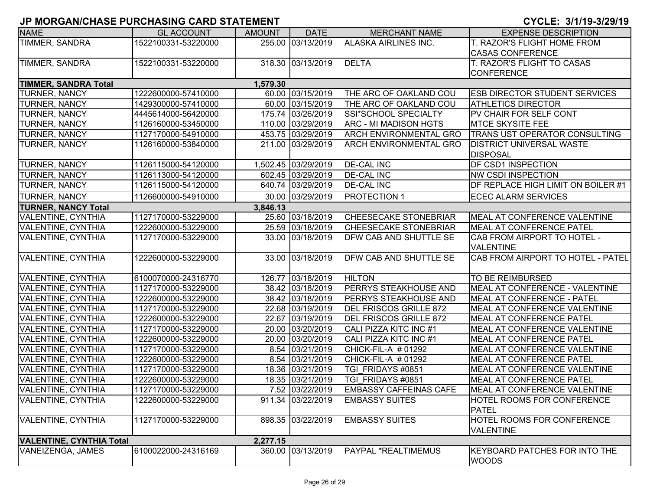| <b>NAME</b>                                 | <b>GL ACCOUNT</b>   | <b>AMOUNT</b> | <b>DATE</b>         | <b>MERCHANT NAME</b>          | <b>EXPENSE DESCRIPTION</b>           |  |
|---------------------------------------------|---------------------|---------------|---------------------|-------------------------------|--------------------------------------|--|
| TIMMER, SANDRA                              | 1522100331-53220000 |               | 255.00 03/13/2019   | <b>ALASKA AIRLINES INC.</b>   | T. RAZOR'S FLIGHT HOME FROM          |  |
|                                             |                     |               |                     |                               | <b>CASAS CONFERENCE</b>              |  |
| TIMMER, SANDRA                              | 1522100331-53220000 |               | 318.30 03/13/2019   | <b>DELTA</b>                  | T. RAZOR'S FLIGHT TO CASAS           |  |
|                                             |                     |               |                     |                               | <b>CONFERENCE</b>                    |  |
| <b>TIMMER, SANDRA Total</b>                 |                     | 1,579.30      |                     |                               |                                      |  |
| TURNER, NANCY                               | 1222600000-57410000 |               | 60.00 03/15/2019    | THE ARC OF OAKLAND COU        | <b>ESB DIRECTOR STUDENT SERVICES</b> |  |
| TURNER, NANCY                               | 1429300000-57410000 |               | 60.00 03/15/2019    | THE ARC OF OAKLAND COU        | <b>ATHLETICS DIRECTOR</b>            |  |
| TURNER, NANCY                               | 4445614000-56420000 |               | 175.74 03/26/2019   | SSI*SCHOOL SPECIALTY          | PV CHAIR FOR SELF CONT               |  |
| TURNER, NANCY                               | 1126160000-53450000 |               | 110.00 03/29/2019   | <b>ARC - MI MADISON HGTS</b>  | <b>MTCE SKYSITE FEE</b>              |  |
| TURNER, NANCY                               | 1127170000-54910000 |               | 453.75 03/29/2019   | <b>ARCH ENVIRONMENTAL GRO</b> | TRANS UST OPERATOR CONSULTING        |  |
| TURNER, NANCY                               | 1126160000-53840000 |               | 211.00 03/29/2019   | <b>ARCH ENVIRONMENTAL GRO</b> | <b>DISTRICT UNIVERSAL WASTE</b>      |  |
|                                             |                     |               |                     |                               | <b>DISPOSAL</b>                      |  |
| TURNER, NANCY                               | 1126115000-54120000 |               | 1,502.45 03/29/2019 | <b>DE-CAL INC</b>             | DF CSD1 INSPECTION                   |  |
| TURNER, NANCY                               | 1126113000-54120000 |               | 602.45 03/29/2019   | <b>DE-CAL INC</b>             | <b>NW CSDI INSPECTION</b>            |  |
| TURNER, NANCY                               | 1126115000-54120000 |               | 640.74 03/29/2019   | <b>DE-CAL INC</b>             | DF REPLACE HIGH LIMIT ON BOILER #1   |  |
| TURNER, NANCY                               | 1126600000-54910000 |               | 30.00 03/29/2019    | <b>PROTECTION 1</b>           | <b>ECEC ALARM SERVICES</b>           |  |
| <b>TURNER, NANCY Total</b>                  |                     | 3,846.13      |                     |                               |                                      |  |
| VALENTINE, CYNTHIA                          | 1127170000-53229000 |               | 25.60 03/18/2019    | <b>CHEESECAKE STONEBRIAR</b>  | MEAL AT CONFERENCE VALENTINE         |  |
| VALENTINE, CYNTHIA                          | 1222600000-53229000 |               | 25.59 03/18/2019    | <b>CHEESECAKE STONEBRIAR</b>  | <b>MEAL AT CONFERENCE PATEL</b>      |  |
| VALENTINE, CYNTHIA                          | 1127170000-53229000 |               | 33.00 03/18/2019    | <b>DFW CAB AND SHUTTLE SE</b> | CAB FROM AIRPORT TO HOTEL -          |  |
|                                             |                     |               |                     |                               | <b>VALENTINE</b>                     |  |
| VALENTINE, CYNTHIA                          | 1222600000-53229000 |               | 33.00 03/18/2019    | <b>DFW CAB AND SHUTTLE SE</b> | CAB FROM AIRPORT TO HOTEL - PATEL    |  |
|                                             |                     |               |                     |                               |                                      |  |
| VALENTINE, CYNTHIA                          | 6100070000-24316770 |               | 126.77 03/18/2019   | <b>HILTON</b>                 | TO BE REIMBURSED                     |  |
| VALENTINE, CYNTHIA                          | 1127170000-53229000 |               | 38.42 03/18/2019    | <b>PERRYS STEAKHOUSE AND</b>  | MEAL AT CONFERENCE - VALENTINE       |  |
| VALENTINE, CYNTHIA                          | 1222600000-53229000 |               | 38.42 03/18/2019    | PERRYS STEAKHOUSE AND         | MEAL AT CONFERENCE - PATEL           |  |
| VALENTINE, CYNTHIA                          | 1127170000-53229000 |               | 22.68 03/19/2019    | DEL FRISCOS GRILLE 872        | MEAL AT CONFERENCE VALENTINE         |  |
| VALENTINE, CYNTHIA                          | 1222600000-53229000 |               | 22.67 03/19/2019    | DEL FRISCOS GRILLE 872        | MEAL AT CONFERENCE PATEL             |  |
| VALENTINE, CYNTHIA                          | 1127170000-53229000 |               | 20.00 03/20/2019    | CALI PIZZA KITC INC #1        | MEAL AT CONFERENCE VALENTINE         |  |
| VALENTINE, CYNTHIA                          | 1222600000-53229000 |               | 20.00 03/20/2019    | CALI PIZZA KITC INC #1        | <b>MEAL AT CONFERENCE PATEL</b>      |  |
| VALENTINE, CYNTHIA                          | 1127170000-53229000 |               | 8.54 03/21/2019     | CHICK-FIL-A # 01292           | MEAL AT CONFERENCE VALENTINE         |  |
| VALENTINE, CYNTHIA                          | 1222600000-53229000 |               | 8.54 03/21/2019     | CHICK-FIL-A # 01292           | MEAL AT CONFERENCE PATEL             |  |
| VALENTINE, CYNTHIA                          | 1127170000-53229000 |               | 18.36 03/21/2019    | TGI FRIDAYS #0851             | MEAL AT CONFERENCE VALENTINE         |  |
| <b>VALENTINE, CYNTHIA</b>                   | 1222600000-53229000 |               | 18.35 03/21/2019    | TGI FRIDAYS #0851             | <b>MEAL AT CONFERENCE PATEL</b>      |  |
| <b>VALENTINE, CYNTHIA</b>                   | 1127170000-53229000 |               | 7.52 03/22/2019     | <b>EMBASSY CAFFEINAS CAFE</b> | MEAL AT CONFERENCE VALENTINE         |  |
| VALENTINE, CYNTHIA                          | 1222600000-53229000 |               | 911.34 03/22/2019   | <b>EMBASSY SUITES</b>         | HOTEL ROOMS FOR CONFERENCE           |  |
|                                             |                     |               |                     |                               | <b>PATEL</b>                         |  |
| <b>VALENTINE, CYNTHIA</b>                   | 1127170000-53229000 |               | 898.35 03/22/2019   | <b>EMBASSY SUITES</b>         | HOTEL ROOMS FOR CONFERENCE           |  |
|                                             |                     |               |                     |                               | <b>VALENTINE</b>                     |  |
| <b>VALENTINE, CYNTHIA Total</b><br>2,277.15 |                     |               |                     |                               |                                      |  |
| VANEIZENGA, JAMES                           | 6100022000-24316169 |               | 360.00 03/13/2019   | PAYPAL *REALTIMEMUS           | KEYBOARD PATCHES FOR INTO THE        |  |
|                                             |                     |               |                     |                               | <b>WOODS</b>                         |  |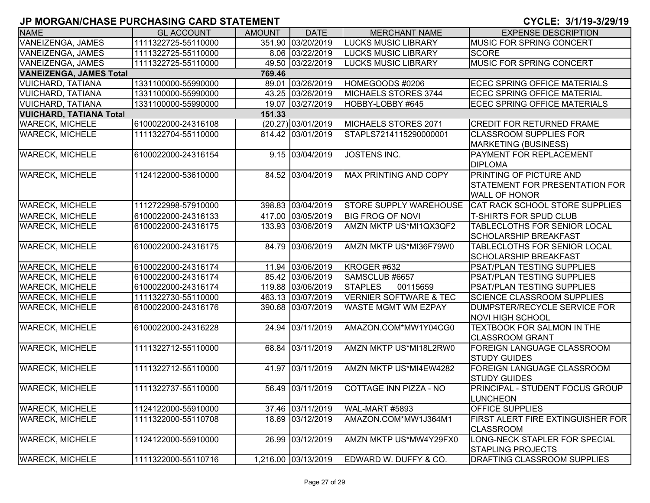| <b>NAME</b>                              | <b>GL ACCOUNT</b>                        | <b>AMOUNT</b> | <b>DATE</b>         | <b>MERCHANT NAME</b>              | <b>EXPENSE DESCRIPTION</b>                                                        |  |  |  |
|------------------------------------------|------------------------------------------|---------------|---------------------|-----------------------------------|-----------------------------------------------------------------------------------|--|--|--|
| VANEIZENGA, JAMES                        | 1111322725-55110000                      |               | 351.90 03/20/2019   | <b>LUCKS MUSIC LIBRARY</b>        | MUSIC FOR SPRING CONCERT                                                          |  |  |  |
| VANEIZENGA, JAMES                        | 1111322725-55110000                      |               | 8.06 03/22/2019     | <b>LUCKS MUSIC LIBRARY</b>        | <b>SCORE</b>                                                                      |  |  |  |
| VANEIZENGA, JAMES                        | 1111322725-55110000                      |               | 49.50 03/22/2019    | <b>LUCKS MUSIC LIBRARY</b>        | MUSIC FOR SPRING CONCERT                                                          |  |  |  |
| <b>VANEIZENGA, JAMES Total</b><br>769.46 |                                          |               |                     |                                   |                                                                                   |  |  |  |
| <b>VUICHARD, TATIANA</b>                 | 1331100000-55990000                      | 89.01         | 03/26/2019          | HOMEGOODS #0206                   | <b>ECEC SPRING OFFICE MATERIALS</b>                                               |  |  |  |
| <b>VUICHARD, TATIANA</b>                 | 1331100000-55990000                      |               | 43.25 03/26/2019    | MICHAELS STORES 3744              | <b>ECEC SPRING OFFICE MATERIAL</b>                                                |  |  |  |
| <b>VUICHARD, TATIANA</b>                 | 1331100000-55990000                      |               | 19.07 03/27/2019    | HOBBY-LOBBY #645                  | <b>ECEC SPRING OFFICE MATERIALS</b>                                               |  |  |  |
|                                          | <b>VUICHARD, TATIANA Total</b><br>151.33 |               |                     |                                   |                                                                                   |  |  |  |
| <b>WARECK, MICHELE</b>                   | 6100022000-24316108                      |               | (20.27) 03/01/2019  | MICHAELS STORES 2071              | <b>CREDIT FOR RETURNED FRAME</b>                                                  |  |  |  |
| <b>WARECK, MICHELE</b>                   | 1111322704-55110000                      |               | 814.42 03/01/2019   | STAPLS7214115290000001            | <b>CLASSROOM SUPPLIES FOR</b>                                                     |  |  |  |
|                                          |                                          |               |                     |                                   | <b>MARKETING (BUSINESS)</b>                                                       |  |  |  |
| <b>WARECK, MICHELE</b>                   | 6100022000-24316154                      |               | 9.15 03/04/2019     | <b>JOSTENS INC.</b>               | PAYMENT FOR REPLACEMENT<br><b>DIPLOMA</b>                                         |  |  |  |
| <b>WARECK, MICHELE</b>                   | 1124122000-53610000                      |               | 84.52 03/04/2019    | MAX PRINTING AND COPY             | PRINTING OF PICTURE AND<br>STATEMENT FOR PRESENTATION FOR<br><b>WALL OF HONOR</b> |  |  |  |
| <b>WARECK, MICHELE</b>                   | 1112722998-57910000                      |               | 398.83 03/04/2019   | <b>STORE SUPPLY WAREHOUSE</b>     | <b>CAT RACK SCHOOL STORE SUPPLIES</b>                                             |  |  |  |
| <b>WARECK, MICHELE</b>                   | 6100022000-24316133                      |               | 417.00 03/05/2019   | <b>BIG FROG OF NOVI</b>           | <b>T-SHIRTS FOR SPUD CLUB</b>                                                     |  |  |  |
| <b>WARECK, MICHELE</b>                   | 6100022000-24316175                      |               | 133.93 03/06/2019   | AMZN MKTP US*MI1QX3QF2            | TABLECLOTHS FOR SENIOR LOCAL<br><b>SCHOLARSHIP BREAKFAST</b>                      |  |  |  |
| <b>WARECK, MICHELE</b>                   | 6100022000-24316175                      |               | 84.79 03/06/2019    | AMZN MKTP US*MI36F79W0            | <b>TABLECLOTHS FOR SENIOR LOCAL</b><br><b>SCHOLARSHIP BREAKFAST</b>               |  |  |  |
| <b>WARECK, MICHELE</b>                   | 6100022000-24316174                      |               | 11.94 03/06/2019    | KROGER #632                       | <b>PSAT/PLAN TESTING SUPPLIES</b>                                                 |  |  |  |
| <b>WARECK, MICHELE</b>                   | 6100022000-24316174                      |               | 85.42 03/06/2019    | SAMSCLUB #6657                    | <b>PSAT/PLAN TESTING SUPPLIES</b>                                                 |  |  |  |
| <b>WARECK, MICHELE</b>                   | 6100022000-24316174                      |               | 119.88 03/06/2019   | <b>STAPLES</b><br>00115659        | <b>PSAT/PLAN TESTING SUPPLIES</b>                                                 |  |  |  |
| <b>WARECK, MICHELE</b>                   | 1111322730-55110000                      |               | 463.13 03/07/2019   | <b>VERNIER SOFTWARE &amp; TEC</b> | <b>SCIENCE CLASSROOM SUPPLIES</b>                                                 |  |  |  |
| <b>WARECK, MICHELE</b>                   | 6100022000-24316176                      |               | 390.68 03/07/2019   | <b>WASTE MGMT WM EZPAY</b>        | DUMPSTER/RECYCLE SERVICE FOR<br><b>NOVI HIGH SCHOOL</b>                           |  |  |  |
| <b>WARECK, MICHELE</b>                   | 6100022000-24316228                      |               | 24.94 03/11/2019    | AMAZON.COM*MW1Y04CG0              | TEXTBOOK FOR SALMON IN THE<br><b>CLASSROOM GRANT</b>                              |  |  |  |
| <b>WARECK, MICHELE</b>                   | 1111322712-55110000                      |               | 68.84 03/11/2019    | AMZN MKTP US*MI18L2RW0            | <b>FOREIGN LANGUAGE CLASSROOM</b><br><b>STUDY GUIDES</b>                          |  |  |  |
| <b>WARECK, MICHELE</b>                   | 1111322712-55110000                      |               | 41.97 03/11/2019    | AMZN MKTP US*MI4EW4282            | FOREIGN LANGUAGE CLASSROOM<br><b>STUDY GUIDES</b>                                 |  |  |  |
| <b>WARECK, MICHELE</b>                   | 1111322737-55110000                      |               | 56.49 03/11/2019    | COTTAGE INN PIZZA - NO            | PRINCIPAL - STUDENT FOCUS GROUP<br>LUNCHEON                                       |  |  |  |
| <b>WARECK, MICHELE</b>                   | 1124122000-55910000                      |               | 37.46 03/11/2019    | WAL-MART #5893                    | <b>OFFICE SUPPLIES</b>                                                            |  |  |  |
| <b>WARECK, MICHELE</b>                   | 1111322000-55110708                      |               | 18.69 03/12/2019    | AMAZON.COM*MW1J364M1              | FIRST ALERT FIRE EXTINGUISHER FOR<br><b>CLASSROOM</b>                             |  |  |  |
| <b>WARECK, MICHELE</b>                   | 1124122000-55910000                      |               | 26.99 03/12/2019    | AMZN MKTP US*MW4Y29FX0            | LONG-NECK STAPLER FOR SPECIAL<br><b>STAPLING PROJECTS</b>                         |  |  |  |
| <b>WARECK, MICHELE</b>                   | 1111322000-55110716                      |               | 1,216.00 03/13/2019 | EDWARD W. DUFFY & CO.             | <b>DRAFTING CLASSROOM SUPPLIES</b>                                                |  |  |  |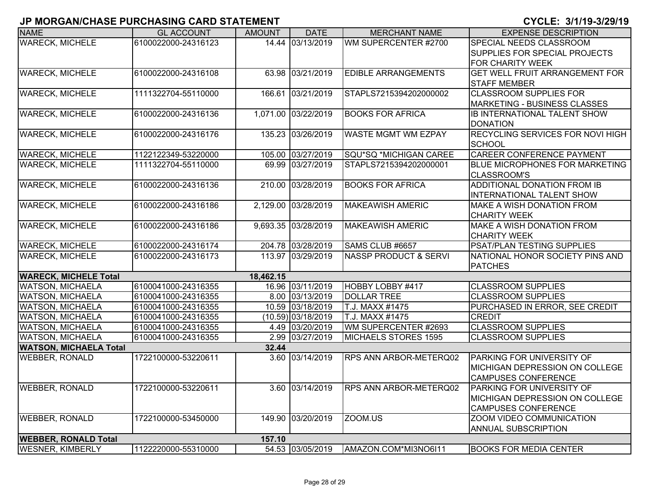| <b>NAME</b>                   | <b>GL ACCOUNT</b>   | <b>AMOUNT</b> | <b>DATE</b>         | <b>MERCHANT NAME</b>             | <b>EXPENSE DESCRIPTION</b>                               |
|-------------------------------|---------------------|---------------|---------------------|----------------------------------|----------------------------------------------------------|
| <b>WARECK, MICHELE</b>        | 6100022000-24316123 |               | 14.44 03/13/2019    | WM SUPERCENTER #2700             | SPECIAL NEEDS CLASSROOM                                  |
|                               |                     |               |                     |                                  | SUPPLIES FOR SPECIAL PROJECTS                            |
|                               |                     |               |                     |                                  | <b>FOR CHARITY WEEK</b>                                  |
| <b>WARECK, MICHELE</b>        | 6100022000-24316108 |               | 63.98 03/21/2019    | <b>EDIBLE ARRANGEMENTS</b>       | <b>GET WELL FRUIT ARRANGEMENT FOR</b>                    |
|                               |                     |               |                     |                                  | <b>STAFF MEMBER</b>                                      |
| <b>WARECK, MICHELE</b>        | 1111322704-55110000 |               | 166.61 03/21/2019   | STAPLS7215394202000002           | <b>CLASSROOM SUPPLIES FOR</b>                            |
|                               |                     |               |                     |                                  | <b>MARKETING - BUSINESS CLASSES</b>                      |
| <b>WARECK, MICHELE</b>        | 6100022000-24316136 |               | 1,071.00 03/22/2019 | <b>BOOKS FOR AFRICA</b>          | IB INTERNATIONAL TALENT SHOW                             |
|                               |                     |               |                     |                                  | <b>DONATION</b>                                          |
| <b>WARECK, MICHELE</b>        | 6100022000-24316176 |               | 135.23 03/26/2019   | <b>WASTE MGMT WM EZPAY</b>       | <b>RECYCLING SERVICES FOR NOVI HIGH</b>                  |
|                               |                     |               |                     |                                  | SCHOOL                                                   |
| <b>WARECK, MICHELE</b>        | 1122122349-53220000 |               | 105.00 03/27/2019   | SQU*SQ *MICHIGAN CAREE           | <b>CAREER CONFERENCE PAYMENT</b>                         |
| <b>WARECK, MICHELE</b>        | 1111322704-55110000 |               | 69.99 03/27/2019    | STAPLS7215394202000001           | <b>BLUE MICROPHONES FOR MARKETING</b>                    |
|                               |                     |               |                     |                                  | <b>CLASSROOM'S</b>                                       |
| <b>WARECK, MICHELE</b>        | 6100022000-24316136 |               | 210.00 03/28/2019   | <b>BOOKS FOR AFRICA</b>          | <b>ADDITIONAL DONATION FROM IB</b>                       |
|                               |                     |               |                     |                                  | <b>INTERNATIONAL TALENT SHOW</b>                         |
| <b>WARECK, MICHELE</b>        | 6100022000-24316186 |               | 2,129.00 03/28/2019 | <b>MAKEAWISH AMERIC</b>          | <b>MAKE A WISH DONATION FROM</b>                         |
|                               |                     |               |                     | <b>MAKEAWISH AMERIC</b>          | <b>CHARITY WEEK</b><br><b>MAKE A WISH DONATION FROM</b>  |
| <b>WARECK, MICHELE</b>        | 6100022000-24316186 |               | 9,693.35 03/28/2019 |                                  |                                                          |
|                               | 6100022000-24316174 |               | 204.78 03/28/2019   | SAMS CLUB #6657                  | <b>CHARITY WEEK</b><br><b>PSAT/PLAN TESTING SUPPLIES</b> |
| <b>WARECK, MICHELE</b>        |                     |               |                     | <b>NASSP PRODUCT &amp; SERVI</b> |                                                          |
| <b>WARECK, MICHELE</b>        | 6100022000-24316173 |               | 113.97 03/29/2019   |                                  | NATIONAL HONOR SOCIETY PINS AND                          |
| <b>WARECK, MICHELE Total</b>  |                     | 18,462.15     |                     |                                  | <b>PATCHES</b>                                           |
| <b>WATSON, MICHAELA</b>       | 6100041000-24316355 |               | 16.96 03/11/2019    | HOBBY LOBBY #417                 | <b>CLASSROOM SUPPLIES</b>                                |
| <b>WATSON, MICHAELA</b>       | 6100041000-24316355 |               | 8.00 03/13/2019     | <b>DOLLAR TREE</b>               | <b>CLASSROOM SUPPLIES</b>                                |
| <b>WATSON, MICHAELA</b>       | 6100041000-24316355 |               | 10.59 03/18/2019    | T.J. MAXX #1475                  | PURCHASED IN ERROR, SEE CREDIT                           |
| <b>WATSON, MICHAELA</b>       | 6100041000-24316355 |               | (10.59) 03/18/2019  | T.J. MAXX #1475                  | <b>CREDIT</b>                                            |
| <b>WATSON, MICHAELA</b>       | 6100041000-24316355 |               | 4.49 03/20/2019     | WM SUPERCENTER #2693             | <b>CLASSROOM SUPPLIES</b>                                |
| <b>WATSON, MICHAELA</b>       | 6100041000-24316355 |               | 2.99 03/27/2019     | MICHAELS STORES 1595             | <b>CLASSROOM SUPPLIES</b>                                |
| <b>WATSON, MICHAELA Total</b> |                     | 32.44         |                     |                                  |                                                          |
| <b>WEBBER, RONALD</b>         | 1722100000-53220611 |               | 3.60 03/14/2019     | RPS ANN ARBOR-METERQ02           | <b>PARKING FOR UNIVERSITY OF</b>                         |
|                               |                     |               |                     |                                  | <b>MICHIGAN DEPRESSION ON COLLEGE</b>                    |
|                               |                     |               |                     |                                  | <b>CAMPUSES CONFERENCE</b>                               |
| <b>WEBBER, RONALD</b>         | 1722100000-53220611 |               | 3.60 03/14/2019     | <b>RPS ANN ARBOR-METERQ02</b>    | <b>PARKING FOR UNIVERSITY OF</b>                         |
|                               |                     |               |                     |                                  | <b>MICHIGAN DEPRESSION ON COLLEGE</b>                    |
|                               |                     |               |                     |                                  | <b>CAMPUSES CONFERENCE</b>                               |
| <b>WEBBER, RONALD</b>         | 1722100000-53450000 |               | 149.90 03/20/2019   | ZOOM.US                          | ZOOM VIDEO COMMUNICATION                                 |
|                               |                     |               |                     |                                  | <b>ANNUAL SUBSCRIPTION</b>                               |
| <b>WEBBER, RONALD Total</b>   |                     | 157.10        |                     |                                  |                                                          |
| <b>WESNER, KIMBERLY</b>       | 1122220000-55310000 |               | 54.53 03/05/2019    | AMAZON.COM*MI3NO6I11             | <b>BOOKS FOR MEDIA CENTER</b>                            |